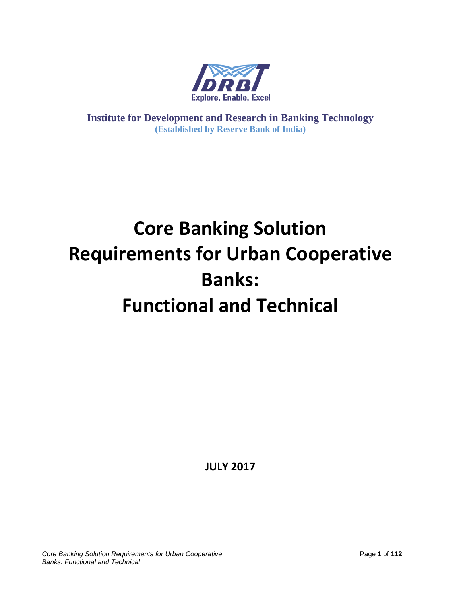

**Institute for Development and Research in Banking Technology (Established by Reserve Bank of India)**

# **Core Banking Solution Requirements for Urban Cooperative Banks: Functional and Technical**

**JULY 2017**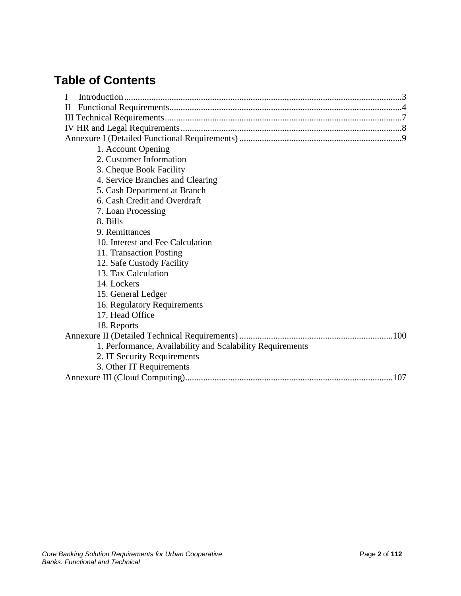## **Table of Contents**

| $\mathbf{I}$                                              |
|-----------------------------------------------------------|
| $\mathbf{I}$                                              |
|                                                           |
|                                                           |
|                                                           |
| 1. Account Opening                                        |
| 2. Customer Information                                   |
| 3. Cheque Book Facility                                   |
| 4. Service Branches and Clearing                          |
| 5. Cash Department at Branch                              |
| 6. Cash Credit and Overdraft                              |
| 7. Loan Processing                                        |
| 8. Bills                                                  |
| 9. Remittances                                            |
| 10. Interest and Fee Calculation                          |
| 11. Transaction Posting                                   |
| 12. Safe Custody Facility                                 |
| 13. Tax Calculation                                       |
| 14. Lockers                                               |
| 15. General Ledger                                        |
| 16. Regulatory Requirements                               |
| 17. Head Office                                           |
| 18. Reports                                               |
|                                                           |
| 1. Performance, Availability and Scalability Requirements |
| 2. IT Security Requirements                               |
| 3. Other IT Requirements                                  |
| 107                                                       |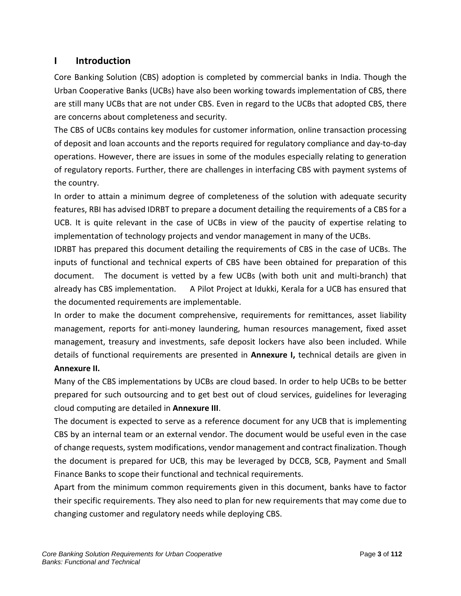## **I Introduction**

Core Banking Solution (CBS) adoption is completed by commercial banks in India. Though the Urban Cooperative Banks (UCBs) have also been working towards implementation of CBS, there are still many UCBs that are not under CBS. Even in regard to the UCBs that adopted CBS, there are concerns about completeness and security.

The CBS of UCBs contains key modules for customer information, online transaction processing of deposit and loan accounts and the reports required for regulatory compliance and day-to-day operations. However, there are issues in some of the modules especially relating to generation of regulatory reports. Further, there are challenges in interfacing CBS with payment systems of the country.

In order to attain a minimum degree of completeness of the solution with adequate security features, RBI has advised IDRBT to prepare a document detailing the requirements of a CBS for a UCB. It is quite relevant in the case of UCBs in view of the paucity of expertise relating to implementation of technology projects and vendor management in many of the UCBs.

IDRBT has prepared this document detailing the requirements of CBS in the case of UCBs. The inputs of functional and technical experts of CBS have been obtained for preparation of this document. The document is vetted by a few UCBs (with both unit and multi-branch) that already has CBS implementation. A Pilot Project at Idukki, Kerala for a UCB has ensured that the documented requirements are implementable.

In order to make the document comprehensive, requirements for remittances, asset liability management, reports for anti-money laundering, human resources management, fixed asset management, treasury and investments, safe deposit lockers have also been included. While details of functional requirements are presented in **Annexure I,** technical details are given in **Annexure II.** 

Many of the CBS implementations by UCBs are cloud based. In order to help UCBs to be better prepared for such outsourcing and to get best out of cloud services, guidelines for leveraging cloud computing are detailed in **Annexure III**.

The document is expected to serve as a reference document for any UCB that is implementing CBS by an internal team or an external vendor. The document would be useful even in the case of change requests, system modifications, vendor management and contract finalization. Though the document is prepared for UCB, this may be leveraged by DCCB, SCB, Payment and Small Finance Banks to scope their functional and technical requirements.

Apart from the minimum common requirements given in this document, banks have to factor their specific requirements. They also need to plan for new requirements that may come due to changing customer and regulatory needs while deploying CBS.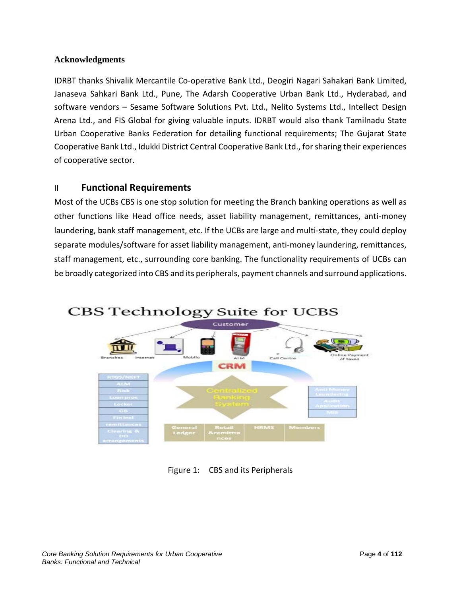#### **Acknowledgments**

IDRBT thanks Shivalik Mercantile Co-operative Bank Ltd., Deogiri Nagari Sahakari Bank Limited, Janaseva Sahkari Bank Ltd., Pune, The Adarsh Cooperative Urban Bank Ltd., Hyderabad, and software vendors – Sesame Software Solutions Pvt. Ltd., Nelito Systems Ltd., Intellect Design Arena Ltd., and FIS Global for giving valuable inputs. IDRBT would also thank Tamilnadu State Urban Cooperative Banks Federation for detailing functional requirements; The Gujarat State Cooperative Bank Ltd., Idukki District Central Cooperative Bank Ltd., for sharing their experiences of cooperative sector.

## II **Functional Requirements**

Most of the UCBs CBS is one stop solution for meeting the Branch banking operations as well as other functions like Head office needs, asset liability management, remittances, anti-money laundering, bank staff management, etc. If the UCBs are large and multi-state, they could deploy separate modules/software for asset liability management, anti-money laundering, remittances, staff management, etc., surrounding core banking. The functionality requirements of UCBs can be broadly categorized into CBS and its peripherals, payment channels and surround applications.



Figure 1: CBS and its Peripherals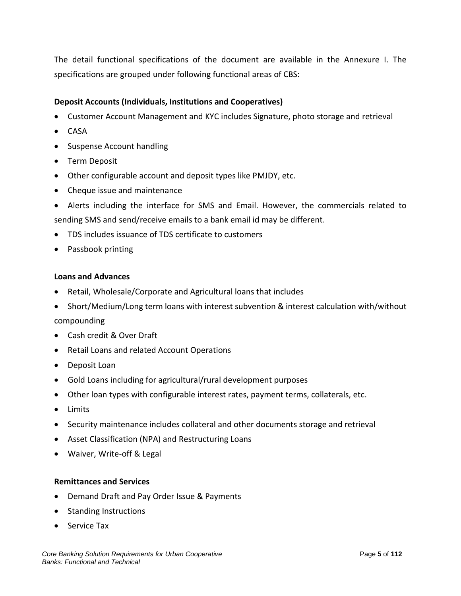The detail functional specifications of the document are available in the Annexure I. The specifications are grouped under following functional areas of CBS:

#### **Deposit Accounts (Individuals, Institutions and Cooperatives)**

- Customer Account Management and KYC includes Signature, photo storage and retrieval
- CASA
- Suspense Account handling
- Term Deposit
- Other configurable account and deposit types like PMJDY, etc.
- Cheque issue and maintenance
- Alerts including the interface for SMS and Email. However, the commercials related to sending SMS and send/receive emails to a bank email id may be different.
- TDS includes issuance of TDS certificate to customers
- Passbook printing

#### **Loans and Advances**

- Retail, Wholesale/Corporate and Agricultural loans that includes
- Short/Medium/Long term loans with interest subvention & interest calculation with/without compounding
- Cash credit & Over Draft
- Retail Loans and related Account Operations
- Deposit Loan
- Gold Loans including for agricultural/rural development purposes
- Other loan types with configurable interest rates, payment terms, collaterals, etc.
- Limits
- Security maintenance includes collateral and other documents storage and retrieval
- Asset Classification (NPA) and Restructuring Loans
- Waiver, Write-off & Legal

#### **Remittances and Services**

- Demand Draft and Pay Order Issue & Payments
- Standing Instructions
- Service Tax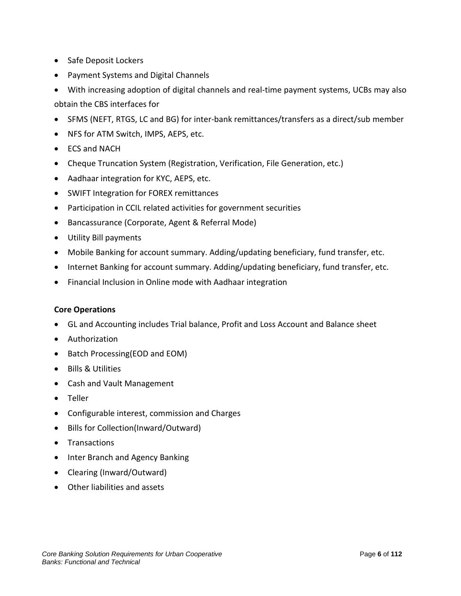- Safe Deposit Lockers
- Payment Systems and Digital Channels
- With increasing adoption of digital channels and real-time payment systems, UCBs may also obtain the CBS interfaces for
- SFMS (NEFT, RTGS, LC and BG) for inter-bank remittances/transfers as a direct/sub member
- NFS for ATM Switch, IMPS, AEPS, etc.
- ECS and NACH
- Cheque Truncation System (Registration, Verification, File Generation, etc.)
- Aadhaar integration for KYC, AEPS, etc.
- SWIFT Integration for FOREX remittances
- Participation in CCIL related activities for government securities
- Bancassurance (Corporate, Agent & Referral Mode)
- Utility Bill payments
- Mobile Banking for account summary. Adding/updating beneficiary, fund transfer, etc.
- Internet Banking for account summary. Adding/updating beneficiary, fund transfer, etc.
- Financial Inclusion in Online mode with Aadhaar integration

#### **Core Operations**

- GL and Accounting includes Trial balance, Profit and Loss Account and Balance sheet
- Authorization
- Batch Processing(EOD and EOM)
- Bills & Utilities
- Cash and Vault Management
- Teller
- Configurable interest, commission and Charges
- Bills for Collection(Inward/Outward)
- Transactions
- Inter Branch and Agency Banking
- Clearing (Inward/Outward)
- Other liabilities and assets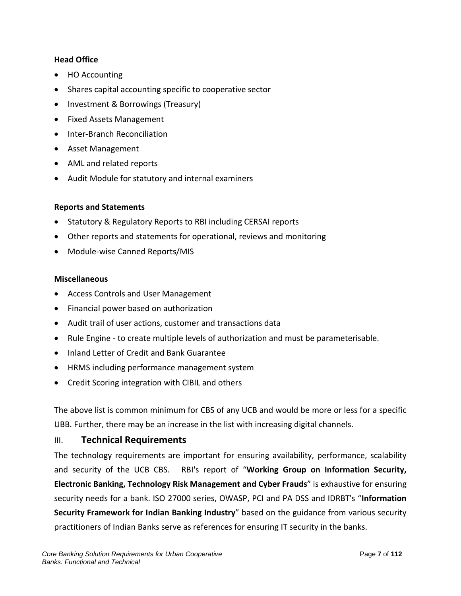#### **Head Office**

- HO Accounting
- Shares capital accounting specific to cooperative sector
- Investment & Borrowings (Treasury)
- Fixed Assets Management
- Inter-Branch Reconciliation
- Asset Management
- AML and related reports
- Audit Module for statutory and internal examiners

#### **Reports and Statements**

- Statutory & Regulatory Reports to RBI including CERSAI reports
- Other reports and statements for operational, reviews and monitoring
- Module-wise Canned Reports/MIS

#### **Miscellaneous**

- Access Controls and User Management
- Financial power based on authorization
- Audit trail of user actions, customer and transactions data
- Rule Engine to create multiple levels of authorization and must be parameterisable.
- Inland Letter of Credit and Bank Guarantee
- HRMS including performance management system
- Credit Scoring integration with CIBIL and others

The above list is common minimum for CBS of any UCB and would be more or less for a specific UBB. Further, there may be an increase in the list with increasing digital channels.

## III. **Technical Requirements**

The technology requirements are important for ensuring availability, performance, scalability and security of the UCB CBS. RBI's report of "**Working Group on Information Security, Electronic Banking, Technology Risk Management and Cyber Frauds**" is exhaustive for ensuring security needs for a bank. ISO 27000 series, OWASP, PCI and PA DSS and IDRBT's "**Information Security Framework for Indian Banking Industry**" based on the guidance from various security practitioners of Indian Banks serve as references for ensuring IT security in the banks.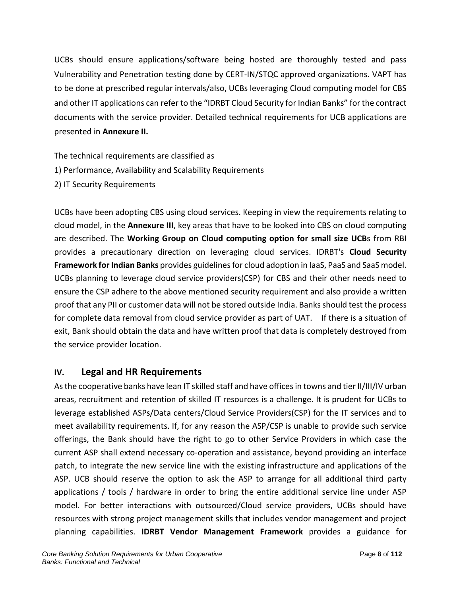UCBs should ensure applications/software being hosted are thoroughly tested and pass Vulnerability and Penetration testing done by CERT-IN/STQC approved organizations. VAPT has to be done at prescribed regular intervals/also, UCBs leveraging Cloud computing model for CBS and other IT applications can refer to the "IDRBT Cloud Security for Indian Banks" for the contract documents with the service provider. Detailed technical requirements for UCB applications are presented in **Annexure II.**

The technical requirements are classified as 1) Performance, Availability and Scalability Requirements 2) IT Security Requirements

UCBs have been adopting CBS using cloud services. Keeping in view the requirements relating to cloud model, in the **Annexure III**, key areas that have to be looked into CBS on cloud computing are described. The **Working Group on Cloud computing option for small size UCB**s from RBI provides a precautionary direction on leveraging cloud services. IDRBT's **Cloud Security Framework for Indian Banks** provides guidelines for cloud adoption in IaaS, PaaS and SaaS model. UCBs planning to leverage cloud service providers(CSP) for CBS and their other needs need to ensure the CSP adhere to the above mentioned security requirement and also provide a written proof that any PII or customer data will not be stored outside India. Banks should test the process for complete data removal from cloud service provider as part of UAT. If there is a situation of exit, Bank should obtain the data and have written proof that data is completely destroyed from the service provider location.

## **IV. Legal and HR Requirements**

As the cooperative banks have lean IT skilled staff and have offices in towns and tier II/III/IV urban areas, recruitment and retention of skilled IT resources is a challenge. It is prudent for UCBs to leverage established ASPs/Data centers/Cloud Service Providers(CSP) for the IT services and to meet availability requirements. If, for any reason the ASP/CSP is unable to provide such service offerings, the Bank should have the right to go to other Service Providers in which case the current ASP shall extend necessary co-operation and assistance, beyond providing an interface patch, to integrate the new service line with the existing infrastructure and applications of the ASP. UCB should reserve the option to ask the ASP to arrange for all additional third party applications / tools / hardware in order to bring the entire additional service line under ASP model. For better interactions with outsourced/Cloud service providers, UCBs should have resources with strong project management skills that includes vendor management and project planning capabilities. **IDRBT Vendor Management Framework** provides a guidance for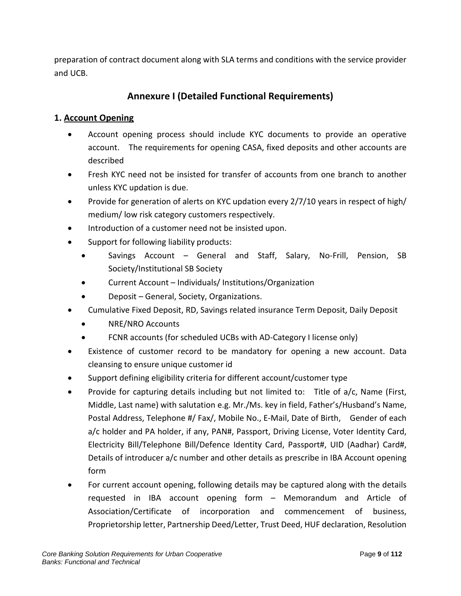preparation of contract document along with SLA terms and conditions with the service provider and UCB.

## **Annexure I (Detailed Functional Requirements)**

## **1. Account Opening**

- Account opening process should include KYC documents to provide an operative account. The requirements for opening CASA, fixed deposits and other accounts are described
- Fresh KYC need not be insisted for transfer of accounts from one branch to another unless KYC updation is due.
- Provide for generation of alerts on KYC updation every 2/7/10 years in respect of high/ medium/ low risk category customers respectively.
- Introduction of a customer need not be insisted upon.
- Support for following liability products:
	- Savings Account General and Staff, Salary, No-Frill, Pension, SB Society/Institutional SB Society
	- Current Account Individuals/ Institutions/Organization
	- Deposit General, Society, Organizations.
- Cumulative Fixed Deposit, RD, Savings related insurance Term Deposit, Daily Deposit
	- NRE/NRO Accounts
	- FCNR accounts (for scheduled UCBs with AD-Category I license only)
- Existence of customer record to be mandatory for opening a new account. Data cleansing to ensure unique customer id
- Support defining eligibility criteria for different account/customer type
- Provide for capturing details including but not limited to: Title of a/c, Name (First, Middle, Last name) with salutation e.g. Mr./Ms. key in field, Father's/Husband's Name, Postal Address, Telephone #/ Fax/, Mobile No., E-Mail, Date of Birth, Gender of each a/c holder and PA holder, if any, PAN#, Passport, Driving License, Voter Identity Card, Electricity Bill/Telephone Bill/Defence Identity Card, Passport#, UID (Aadhar) Card#, Details of introducer a/c number and other details as prescribe in IBA Account opening form
- For current account opening, following details may be captured along with the details requested in IBA account opening form – Memorandum and Article of Association/Certificate of incorporation and commencement of business, Proprietorship letter, Partnership Deed/Letter, Trust Deed, HUF declaration, Resolution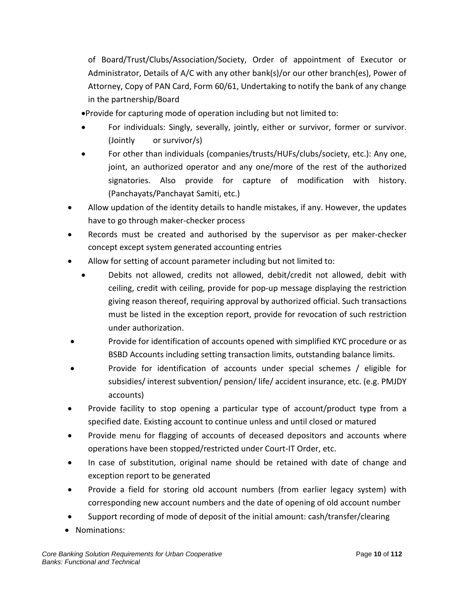of Board/Trust/Clubs/Association/Society, Order of appointment of Executor or Administrator, Details of A/C with any other bank(s)/or our other branch(es), Power of Attorney, Copy of PAN Card, Form 60/61, Undertaking to notify the bank of any change in the partnership/Board

- •Provide for capturing mode of operation including but not limited to:
- For individuals: Singly, severally, jointly, either or survivor, former or survivor. (Jointly or survivor/s)
- For other than individuals (companies/trusts/HUFs/clubs/society, etc.): Any one, joint, an authorized operator and any one/more of the rest of the authorized signatories. Also provide for capture of modification with history. (Panchayats/Panchayat Samiti, etc.)
- Allow updation of the identity details to handle mistakes, if any. However, the updates have to go through maker-checker process
- Records must be created and authorised by the supervisor as per maker-checker concept except system generated accounting entries
- Allow for setting of account parameter including but not limited to:
	- Debits not allowed, credits not allowed, debit/credit not allowed, debit with ceiling, credit with ceiling, provide for pop-up message displaying the restriction giving reason thereof, requiring approval by authorized official. Such transactions must be listed in the exception report, provide for revocation of such restriction under authorization.
- Provide for identification of accounts opened with simplified KYC procedure or as BSBD Accounts including setting transaction limits, outstanding balance limits.
- Provide for identification of accounts under special schemes / eligible for subsidies/ interest subvention/ pension/ life/ accident insurance, etc. (e.g. PMJDY accounts)
- Provide facility to stop opening a particular type of account/product type from a specified date. Existing account to continue unless and until closed or matured
- Provide menu for flagging of accounts of deceased depositors and accounts where operations have been stopped/restricted under Court-IT Order, etc.
- In case of substitution, original name should be retained with date of change and exception report to be generated
- Provide a field for storing old account numbers (from earlier legacy system) with corresponding new account numbers and the date of opening of old account number
- Support recording of mode of deposit of the initial amount: cash/transfer/clearing
- Nominations: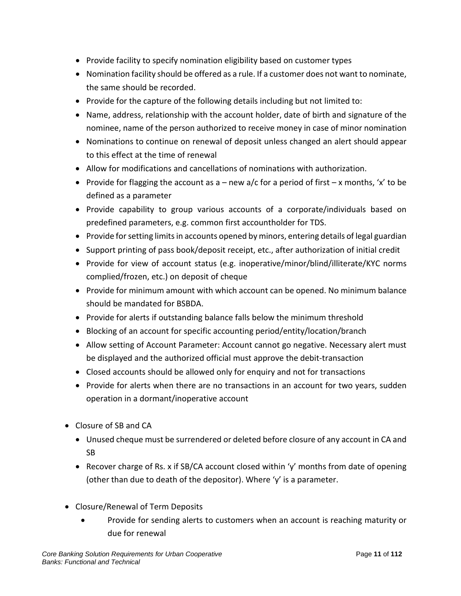- Provide facility to specify nomination eligibility based on customer types
- Nomination facility should be offered as a rule. If a customer does not want to nominate, the same should be recorded.
- Provide for the capture of the following details including but not limited to:
- Name, address, relationship with the account holder, date of birth and signature of the nominee, name of the person authorized to receive money in case of minor nomination
- Nominations to continue on renewal of deposit unless changed an alert should appear to this effect at the time of renewal
- Allow for modifications and cancellations of nominations with authorization.
- Provide for flagging the account as  $a new$  a/c for a period of first  $-x$  months, 'x' to be defined as a parameter
- Provide capability to group various accounts of a corporate/individuals based on predefined parameters, e.g. common first accountholder for TDS.
- Provide for setting limits in accounts opened by minors, entering details of legal guardian
- Support printing of pass book/deposit receipt, etc., after authorization of initial credit
- Provide for view of account status (e.g. inoperative/minor/blind/illiterate/KYC norms complied/frozen, etc.) on deposit of cheque
- Provide for minimum amount with which account can be opened. No minimum balance should be mandated for BSBDA.
- Provide for alerts if outstanding balance falls below the minimum threshold
- Blocking of an account for specific accounting period/entity/location/branch
- Allow setting of Account Parameter: Account cannot go negative. Necessary alert must be displayed and the authorized official must approve the debit-transaction
- Closed accounts should be allowed only for enquiry and not for transactions
- Provide for alerts when there are no transactions in an account for two years, sudden operation in a dormant/inoperative account
- Closure of SB and CA
	- Unused cheque must be surrendered or deleted before closure of any account in CA and SB
	- Recover charge of Rs. x if SB/CA account closed within 'y' months from date of opening (other than due to death of the depositor). Where 'y' is a parameter.
- Closure/Renewal of Term Deposits
	- Provide for sending alerts to customers when an account is reaching maturity or due for renewal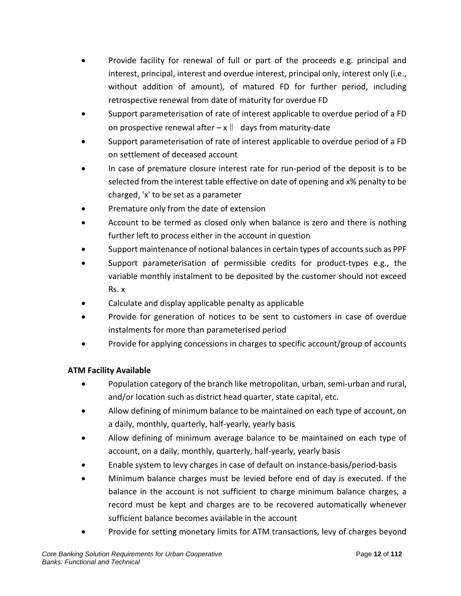- Provide facility for renewal of full or part of the proceeds e.g. principal and interest, principal, interest and overdue interest, principal only, interest only (i.e., without addition of amount), of matured FD for further period, including retrospective renewal from date of maturity for overdue FD
- Support parameterisation of rate of interest applicable to overdue period of a FD on prospective renewal after  $-x \parallel$  days from maturity-date
- Support parameterisation of rate of interest applicable to overdue period of a FD on settlement of deceased account
- In case of premature closure interest rate for run-period of the deposit is to be selected from the interest table effective on date of opening and x% penalty to be charged, 'x' to be set as a parameter
- Premature only from the date of extension
- Account to be termed as closed only when balance is zero and there is nothing further left to process either in the account in question
- Support maintenance of notional balances in certain types of accounts such as PPF
- Support parameterisation of permissible credits for product-types e.g., the variable monthly instalment to be deposited by the customer should not exceed Rs. x
- Calculate and display applicable penalty as applicable
- Provide for generation of notices to be sent to customers in case of overdue instalments for more than parameterised period
- Provide for applying concessions in charges to specific account/group of accounts

## **ATM Facility Available**

- Population category of the branch like metropolitan, urban, semi-urban and rural, and/or location such as district head quarter, state capital, etc.
- Allow defining of minimum balance to be maintained on each type of account, on a daily, monthly, quarterly, half-yearly, yearly basis
- Allow defining of minimum average balance to be maintained on each type of account, on a daily, monthly, quarterly, half-yearly, yearly basis
- Enable system to levy charges in case of default on instance-basis/period-basis
- Minimum balance charges must be levied before end of day is executed. If the balance in the account is not sufficient to charge minimum balance charges, a record must be kept and charges are to be recovered automatically whenever sufficient balance becomes available in the account
- Provide for setting monetary limits for ATM transactions, levy of charges beyond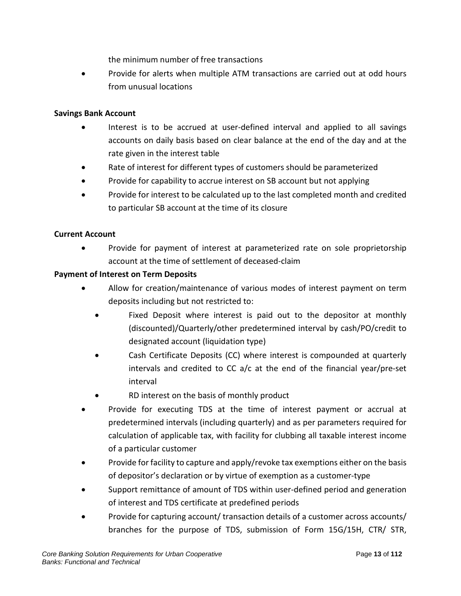the minimum number of free transactions

• Provide for alerts when multiple ATM transactions are carried out at odd hours from unusual locations

#### **Savings Bank Account**

- Interest is to be accrued at user-defined interval and applied to all savings accounts on daily basis based on clear balance at the end of the day and at the rate given in the interest table
- Rate of interest for different types of customers should be parameterized
- Provide for capability to accrue interest on SB account but not applying
- Provide for interest to be calculated up to the last completed month and credited to particular SB account at the time of its closure

#### **Current Account**

• Provide for payment of interest at parameterized rate on sole proprietorship account at the time of settlement of deceased-claim

#### **Payment of Interest on Term Deposits**

- Allow for creation/maintenance of various modes of interest payment on term deposits including but not restricted to:
	- Fixed Deposit where interest is paid out to the depositor at monthly (discounted)/Quarterly/other predetermined interval by cash/PO/credit to designated account (liquidation type)
	- Cash Certificate Deposits (CC) where interest is compounded at quarterly intervals and credited to CC a/c at the end of the financial year/pre-set interval
	- RD interest on the basis of monthly product
- Provide for executing TDS at the time of interest payment or accrual at predetermined intervals (including quarterly) and as per parameters required for calculation of applicable tax, with facility for clubbing all taxable interest income of a particular customer
- Provide for facility to capture and apply/revoke tax exemptions either on the basis of depositor's declaration or by virtue of exemption as a customer-type
- Support remittance of amount of TDS within user-defined period and generation of interest and TDS certificate at predefined periods
- Provide for capturing account/ transaction details of a customer across accounts/ branches for the purpose of TDS, submission of Form 15G/15H, CTR/ STR,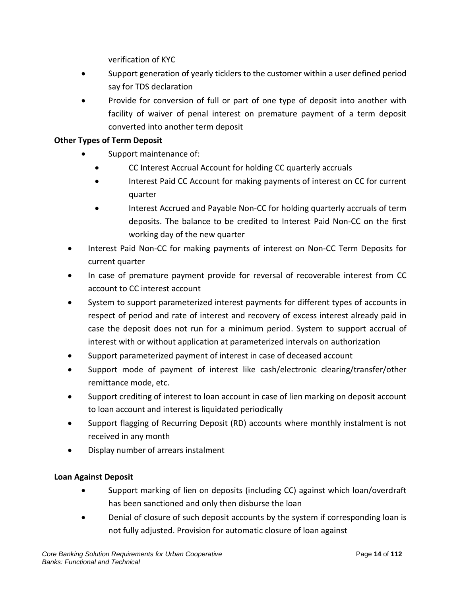verification of KYC

- Support generation of yearly ticklers to the customer within a user defined period say for TDS declaration
- Provide for conversion of full or part of one type of deposit into another with facility of waiver of penal interest on premature payment of a term deposit converted into another term deposit

## **Other Types of Term Deposit**

- Support maintenance of:
	- CC Interest Accrual Account for holding CC quarterly accruals
	- Interest Paid CC Account for making payments of interest on CC for current quarter
	- Interest Accrued and Payable Non-CC for holding quarterly accruals of term deposits. The balance to be credited to Interest Paid Non-CC on the first working day of the new quarter
- Interest Paid Non-CC for making payments of interest on Non-CC Term Deposits for current quarter
- In case of premature payment provide for reversal of recoverable interest from CC account to CC interest account
- System to support parameterized interest payments for different types of accounts in respect of period and rate of interest and recovery of excess interest already paid in case the deposit does not run for a minimum period. System to support accrual of interest with or without application at parameterized intervals on authorization
- Support parameterized payment of interest in case of deceased account
- Support mode of payment of interest like cash/electronic clearing/transfer/other remittance mode, etc.
- Support crediting of interest to loan account in case of lien marking on deposit account to loan account and interest is liquidated periodically
- Support flagging of Recurring Deposit (RD) accounts where monthly instalment is not received in any month
- Display number of arrears instalment

## **Loan Against Deposit**

- Support marking of lien on deposits (including CC) against which loan/overdraft has been sanctioned and only then disburse the loan
- Denial of closure of such deposit accounts by the system if corresponding loan is not fully adjusted. Provision for automatic closure of loan against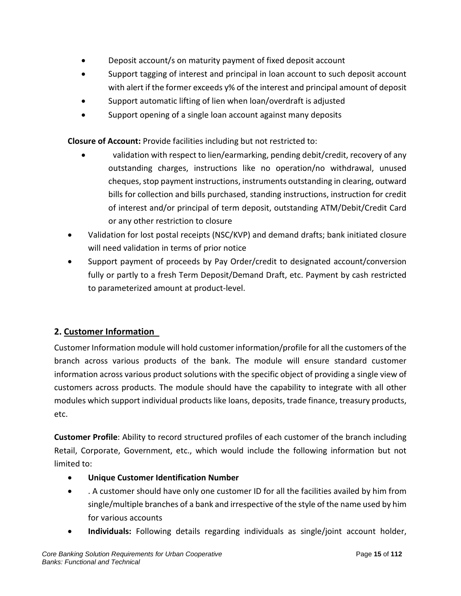- Deposit account/s on maturity payment of fixed deposit account
- Support tagging of interest and principal in loan account to such deposit account with alert if the former exceeds y% of the interest and principal amount of deposit
- Support automatic lifting of lien when loan/overdraft is adjusted
- Support opening of a single loan account against many deposits

**Closure of Account:** Provide facilities including but not restricted to:

- validation with respect to lien/earmarking, pending debit/credit, recovery of any outstanding charges, instructions like no operation/no withdrawal, unused cheques, stop payment instructions, instruments outstanding in clearing, outward bills for collection and bills purchased, standing instructions, instruction for credit of interest and/or principal of term deposit, outstanding ATM/Debit/Credit Card or any other restriction to closure
- Validation for lost postal receipts (NSC/KVP) and demand drafts; bank initiated closure will need validation in terms of prior notice
- Support payment of proceeds by Pay Order/credit to designated account/conversion fully or partly to a fresh Term Deposit/Demand Draft, etc. Payment by cash restricted to parameterized amount at product-level.

## **2. Customer Information**

Customer Information module will hold customer information/profile for all the customers of the branch across various products of the bank. The module will ensure standard customer information across various product solutions with the specific object of providing a single view of customers across products. The module should have the capability to integrate with all other modules which support individual products like loans, deposits, trade finance, treasury products, etc.

**Customer Profile**: Ability to record structured profiles of each customer of the branch including Retail, Corporate, Government, etc., which would include the following information but not limited to:

- **Unique Customer Identification Number**
- . A customer should have only one customer ID for all the facilities availed by him from single/multiple branches of a bank and irrespective of the style of the name used by him for various accounts
- **Individuals:** Following details regarding individuals as single/joint account holder,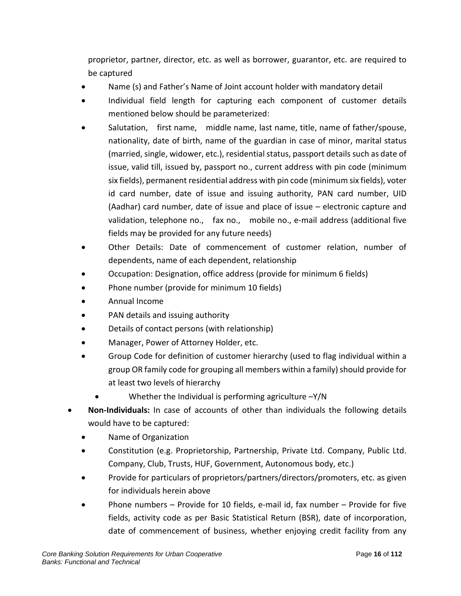proprietor, partner, director, etc. as well as borrower, guarantor, etc. are required to be captured

- Name (s) and Father's Name of Joint account holder with mandatory detail
- Individual field length for capturing each component of customer details mentioned below should be parameterized:
- Salutation, first name, middle name, last name, title, name of father/spouse, nationality, date of birth, name of the guardian in case of minor, marital status (married, single, widower, etc.), residential status, passport details such as date of issue, valid till, issued by, passport no., current address with pin code (minimum six fields), permanent residential address with pin code (minimum six fields), voter id card number, date of issue and issuing authority, PAN card number, UID (Aadhar) card number, date of issue and place of issue – electronic capture and validation, telephone no., fax no., mobile no., e-mail address (additional five fields may be provided for any future needs)
- Other Details: Date of commencement of customer relation, number of dependents, name of each dependent, relationship
- Occupation: Designation, office address (provide for minimum 6 fields)
- Phone number (provide for minimum 10 fields)
- Annual Income
- PAN details and issuing authority
- Details of contact persons (with relationship)
- Manager, Power of Attorney Holder, etc.
- Group Code for definition of customer hierarchy (used to flag individual within a group OR family code for grouping all members within a family) should provide for at least two levels of hierarchy
	- Whether the Individual is performing agriculture  $-Y/N$
- **Non-Individuals:** In case of accounts of other than individuals the following details would have to be captured:
	- Name of Organization
	- Constitution (e.g. Proprietorship, Partnership, Private Ltd. Company, Public Ltd. Company, Club, Trusts, HUF, Government, Autonomous body, etc.)
	- Provide for particulars of proprietors/partners/directors/promoters, etc. as given for individuals herein above
	- Phone numbers Provide for 10 fields, e-mail id, fax number Provide for five fields, activity code as per Basic Statistical Return (BSR), date of incorporation, date of commencement of business, whether enjoying credit facility from any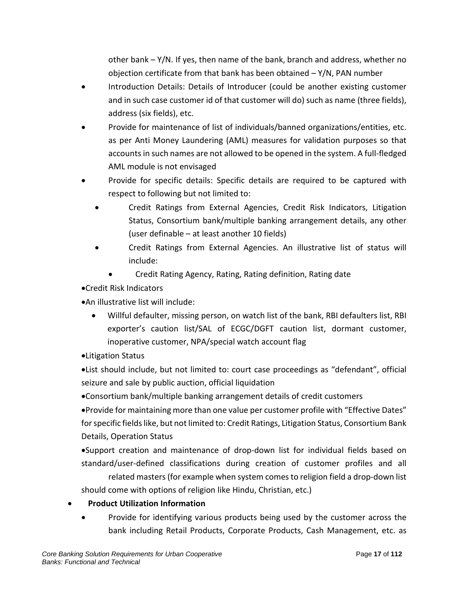other bank – Y/N. If yes, then name of the bank, branch and address, whether no objection certificate from that bank has been obtained  $-Y/N$ , PAN number

- Introduction Details: Details of Introducer (could be another existing customer and in such case customer id of that customer will do) such as name (three fields), address (six fields), etc.
- Provide for maintenance of list of individuals/banned organizations/entities, etc. as per Anti Money Laundering (AML) measures for validation purposes so that accounts in such names are not allowed to be opened in the system. A full-fledged AML module is not envisaged
- Provide for specific details: Specific details are required to be captured with respect to following but not limited to:
	- Credit Ratings from External Agencies, Credit Risk Indicators, Litigation Status, Consortium bank/multiple banking arrangement details, any other (user definable – at least another 10 fields)
	- Credit Ratings from External Agencies. An illustrative list of status will include:
		- Credit Rating Agency, Rating, Rating definition, Rating date
- •Credit Risk Indicators
- •An illustrative list will include:
	- Willful defaulter, missing person, on watch list of the bank, RBI defaulters list, RBI exporter's caution list/SAL of ECGC/DGFT caution list, dormant customer, inoperative customer, NPA/special watch account flag
- •Litigation Status

•List should include, but not limited to: court case proceedings as "defendant", official seizure and sale by public auction, official liquidation

•Consortium bank/multiple banking arrangement details of credit customers

•Provide for maintaining more than one value per customer profile with "Effective Dates" for specific fields like, but not limited to: Credit Ratings, Litigation Status, Consortium Bank Details, Operation Status

•Support creation and maintenance of drop-down list for individual fields based on standard/user-defined classifications during creation of customer profiles and all related masters (for example when system comes to religion field a drop-down list should come with options of religion like Hindu, Christian, etc.)

## • **Product Utilization Information**

Provide for identifying various products being used by the customer across the bank including Retail Products, Corporate Products, Cash Management, etc. as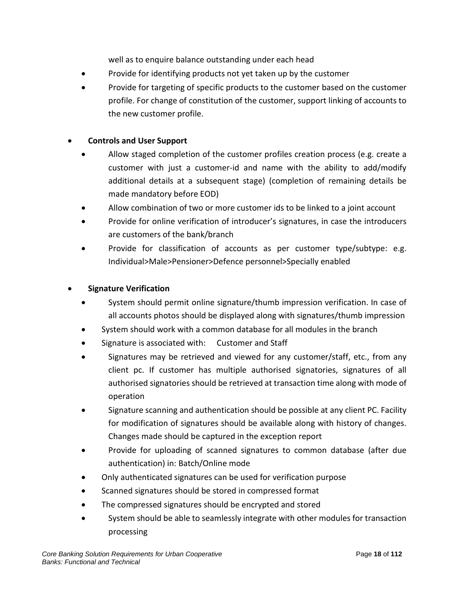well as to enquire balance outstanding under each head

- Provide for identifying products not yet taken up by the customer
- Provide for targeting of specific products to the customer based on the customer profile. For change of constitution of the customer, support linking of accounts to the new customer profile.

#### • **Controls and User Support**

- Allow staged completion of the customer profiles creation process (e.g. create a customer with just a customer-id and name with the ability to add/modify additional details at a subsequent stage) (completion of remaining details be made mandatory before EOD)
- Allow combination of two or more customer ids to be linked to a joint account
- Provide for online verification of introducer's signatures, in case the introducers are customers of the bank/branch
- Provide for classification of accounts as per customer type/subtype: e.g. Individual>Male>Pensioner>Defence personnel>Specially enabled

#### • **Signature Verification**

- System should permit online signature/thumb impression verification. In case of all accounts photos should be displayed along with signatures/thumb impression
- System should work with a common database for all modules in the branch
- Signature is associated with: Customer and Staff
- Signatures may be retrieved and viewed for any customer/staff, etc., from any client pc. If customer has multiple authorised signatories, signatures of all authorised signatories should be retrieved at transaction time along with mode of operation
- Signature scanning and authentication should be possible at any client PC. Facility for modification of signatures should be available along with history of changes. Changes made should be captured in the exception report
- Provide for uploading of scanned signatures to common database (after due authentication) in: Batch/Online mode
- Only authenticated signatures can be used for verification purpose
- Scanned signatures should be stored in compressed format
- The compressed signatures should be encrypted and stored
- System should be able to seamlessly integrate with other modules for transaction processing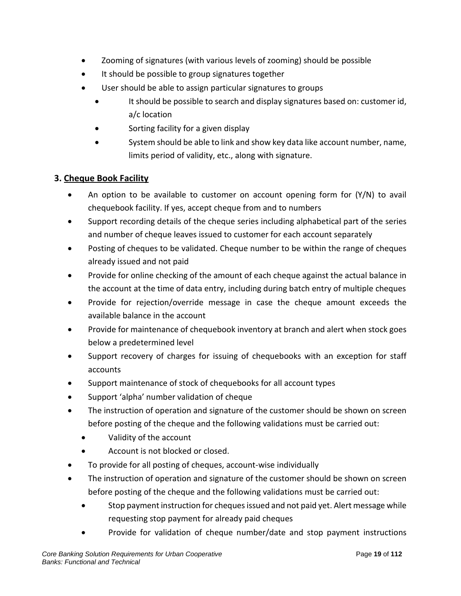- Zooming of signatures (with various levels of zooming) should be possible
- It should be possible to group signatures together
- User should be able to assign particular signatures to groups
	- It should be possible to search and display signatures based on: customer id, a/c location
	- Sorting facility for a given display
	- System should be able to link and show key data like account number, name, limits period of validity, etc., along with signature.

## **3. Cheque Book Facility**

- An option to be available to customer on account opening form for (Y/N) to avail chequebook facility. If yes, accept cheque from and to numbers
- Support recording details of the cheque series including alphabetical part of the series and number of cheque leaves issued to customer for each account separately
- Posting of cheques to be validated. Cheque number to be within the range of cheques already issued and not paid
- Provide for online checking of the amount of each cheque against the actual balance in the account at the time of data entry, including during batch entry of multiple cheques
- Provide for rejection/override message in case the cheque amount exceeds the available balance in the account
- Provide for maintenance of chequebook inventory at branch and alert when stock goes below a predetermined level
- Support recovery of charges for issuing of chequebooks with an exception for staff accounts
- Support maintenance of stock of chequebooks for all account types
- Support 'alpha' number validation of cheque
- The instruction of operation and signature of the customer should be shown on screen before posting of the cheque and the following validations must be carried out:
	- Validity of the account
	- Account is not blocked or closed.
- To provide for all posting of cheques, account-wise individually
- The instruction of operation and signature of the customer should be shown on screen before posting of the cheque and the following validations must be carried out:
	- Stop payment instruction for cheques issued and not paid yet. Alert message while requesting stop payment for already paid cheques
	- Provide for validation of cheque number/date and stop payment instructions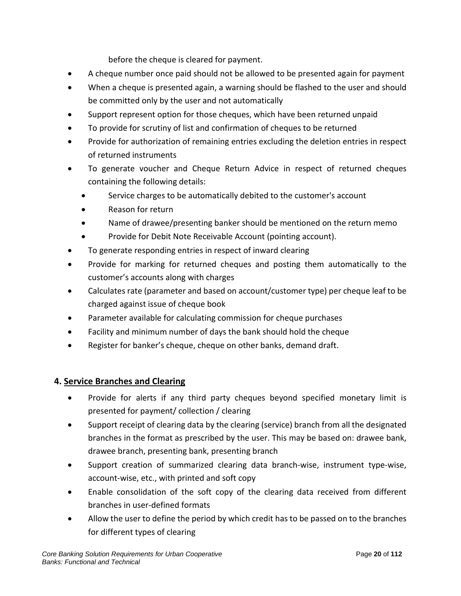before the cheque is cleared for payment.

- A cheque number once paid should not be allowed to be presented again for payment
- When a cheque is presented again, a warning should be flashed to the user and should be committed only by the user and not automatically
- Support represent option for those cheques, which have been returned unpaid
- To provide for scrutiny of list and confirmation of cheques to be returned
- Provide for authorization of remaining entries excluding the deletion entries in respect of returned instruments
- To generate voucher and Cheque Return Advice in respect of returned cheques containing the following details:
	- Service charges to be automatically debited to the customer's account
	- Reason for return
	- Name of drawee/presenting banker should be mentioned on the return memo
	- Provide for Debit Note Receivable Account (pointing account).
- To generate responding entries in respect of inward clearing
- Provide for marking for returned cheques and posting them automatically to the customer's accounts along with charges
- Calculates rate (parameter and based on account/customer type) per cheque leaf to be charged against issue of cheque book
- Parameter available for calculating commission for cheque purchases
- Facility and minimum number of days the bank should hold the cheque
- Register for banker's cheque, cheque on other banks, demand draft.

## **4. Service Branches and Clearing**

- Provide for alerts if any third party cheques beyond specified monetary limit is presented for payment/ collection / clearing
- Support receipt of clearing data by the clearing (service) branch from all the designated branches in the format as prescribed by the user. This may be based on: drawee bank, drawee branch, presenting bank, presenting branch
- Support creation of summarized clearing data branch-wise, instrument type-wise, account-wise, etc., with printed and soft copy
- Enable consolidation of the soft copy of the clearing data received from different branches in user-defined formats
- Allow the user to define the period by which credit has to be passed on to the branches for different types of clearing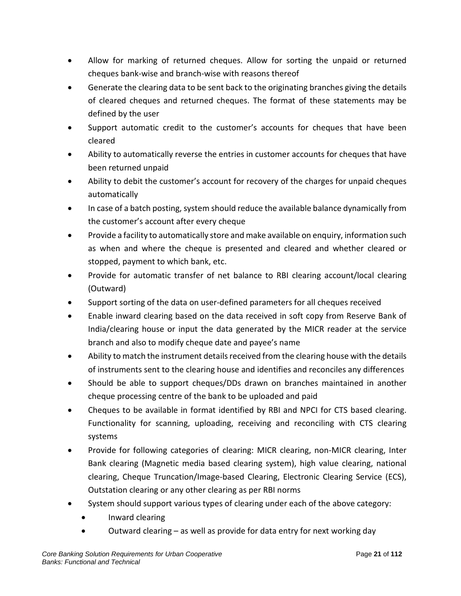- Allow for marking of returned cheques. Allow for sorting the unpaid or returned cheques bank-wise and branch-wise with reasons thereof
- Generate the clearing data to be sent back to the originating branches giving the details of cleared cheques and returned cheques. The format of these statements may be defined by the user
- Support automatic credit to the customer's accounts for cheques that have been cleared
- Ability to automatically reverse the entries in customer accounts for cheques that have been returned unpaid
- Ability to debit the customer's account for recovery of the charges for unpaid cheques automatically
- In case of a batch posting, system should reduce the available balance dynamically from the customer's account after every cheque
- Provide a facility to automatically store and make available on enquiry, information such as when and where the cheque is presented and cleared and whether cleared or stopped, payment to which bank, etc.
- Provide for automatic transfer of net balance to RBI clearing account/local clearing (Outward)
- Support sorting of the data on user-defined parameters for all cheques received
- Enable inward clearing based on the data received in soft copy from Reserve Bank of India/clearing house or input the data generated by the MICR reader at the service branch and also to modify cheque date and payee's name
- Ability to match the instrument details received from the clearing house with the details of instruments sent to the clearing house and identifies and reconciles any differences
- Should be able to support cheques/DDs drawn on branches maintained in another cheque processing centre of the bank to be uploaded and paid
- Cheques to be available in format identified by RBI and NPCI for CTS based clearing. Functionality for scanning, uploading, receiving and reconciling with CTS clearing systems
- Provide for following categories of clearing: MICR clearing, non-MICR clearing, Inter Bank clearing (Magnetic media based clearing system), high value clearing, national clearing, Cheque Truncation/Image-based Clearing, Electronic Clearing Service (ECS), Outstation clearing or any other clearing as per RBI norms
- System should support various types of clearing under each of the above category:
	- Inward clearing
	- Outward clearing as well as provide for data entry for next working day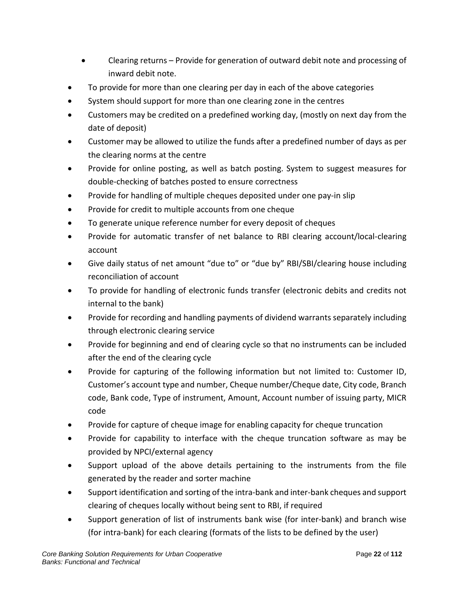- Clearing returns Provide for generation of outward debit note and processing of inward debit note.
- To provide for more than one clearing per day in each of the above categories
- System should support for more than one clearing zone in the centres
- Customers may be credited on a predefined working day, (mostly on next day from the date of deposit)
- Customer may be allowed to utilize the funds after a predefined number of days as per the clearing norms at the centre
- Provide for online posting, as well as batch posting. System to suggest measures for double-checking of batches posted to ensure correctness
- Provide for handling of multiple cheques deposited under one pay-in slip
- Provide for credit to multiple accounts from one cheque
- To generate unique reference number for every deposit of cheques
- Provide for automatic transfer of net balance to RBI clearing account/local-clearing account
- Give daily status of net amount "due to" or "due by" RBI/SBI/clearing house including reconciliation of account
- To provide for handling of electronic funds transfer (electronic debits and credits not internal to the bank)
- Provide for recording and handling payments of dividend warrants separately including through electronic clearing service
- Provide for beginning and end of clearing cycle so that no instruments can be included after the end of the clearing cycle
- Provide for capturing of the following information but not limited to: Customer ID, Customer's account type and number, Cheque number/Cheque date, City code, Branch code, Bank code, Type of instrument, Amount, Account number of issuing party, MICR code
- Provide for capture of cheque image for enabling capacity for cheque truncation
- Provide for capability to interface with the cheque truncation software as may be provided by NPCI/external agency
- Support upload of the above details pertaining to the instruments from the file generated by the reader and sorter machine
- Support identification and sorting of the intra-bank and inter-bank cheques and support clearing of cheques locally without being sent to RBI, if required
- Support generation of list of instruments bank wise (for inter-bank) and branch wise (for intra-bank) for each clearing (formats of the lists to be defined by the user)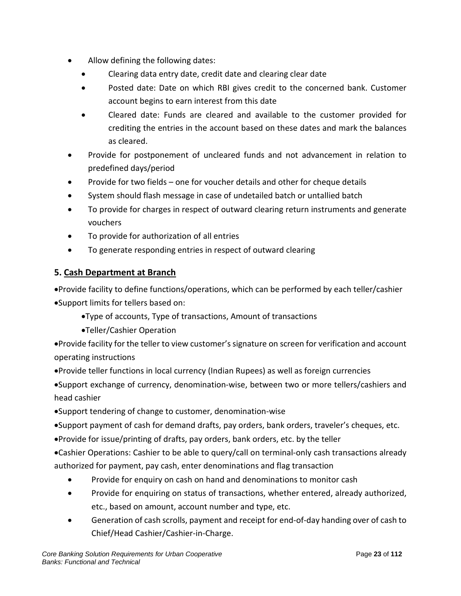- Allow defining the following dates:
	- Clearing data entry date, credit date and clearing clear date
	- Posted date: Date on which RBI gives credit to the concerned bank. Customer account begins to earn interest from this date
	- Cleared date: Funds are cleared and available to the customer provided for crediting the entries in the account based on these dates and mark the balances as cleared.
- Provide for postponement of uncleared funds and not advancement in relation to predefined days/period
- Provide for two fields one for voucher details and other for cheque details
- System should flash message in case of undetailed batch or untallied batch
- To provide for charges in respect of outward clearing return instruments and generate vouchers
- To provide for authorization of all entries
- To generate responding entries in respect of outward clearing

## **5. Cash Department at Branch**

•Provide facility to define functions/operations, which can be performed by each teller/cashier •Support limits for tellers based on:

- •Type of accounts, Type of transactions, Amount of transactions
- •Teller/Cashier Operation

•Provide facility for the teller to view customer's signature on screen for verification and account operating instructions

•Provide teller functions in local currency (Indian Rupees) as well as foreign currencies

•Support exchange of currency, denomination-wise, between two or more tellers/cashiers and head cashier

- •Support tendering of change to customer, denomination-wise
- •Support payment of cash for demand drafts, pay orders, bank orders, traveler's cheques, etc.
- •Provide for issue/printing of drafts, pay orders, bank orders, etc. by the teller

•Cashier Operations: Cashier to be able to query/call on terminal-only cash transactions already authorized for payment, pay cash, enter denominations and flag transaction

- Provide for enquiry on cash on hand and denominations to monitor cash
- Provide for enquiring on status of transactions, whether entered, already authorized, etc., based on amount, account number and type, etc.
- Generation of cash scrolls, payment and receipt for end-of-day handing over of cash to Chief/Head Cashier/Cashier-in-Charge.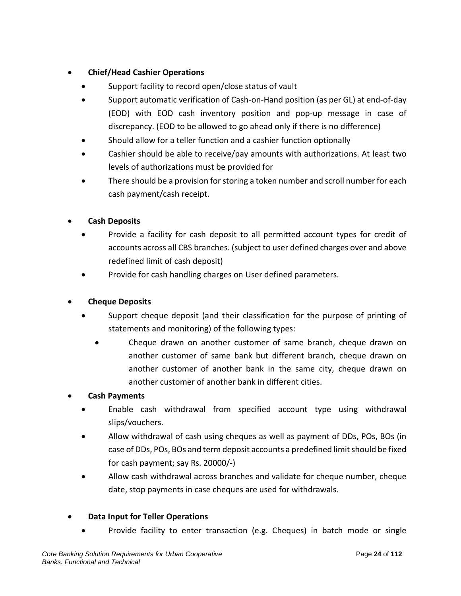## • **Chief/Head Cashier Operations**

- Support facility to record open/close status of vault
- Support automatic verification of Cash-on-Hand position (as per GL) at end-of-day (EOD) with EOD cash inventory position and pop-up message in case of discrepancy. (EOD to be allowed to go ahead only if there is no difference)
- Should allow for a teller function and a cashier function optionally
- Cashier should be able to receive/pay amounts with authorizations. At least two levels of authorizations must be provided for
- There should be a provision for storing a token number and scroll number for each cash payment/cash receipt.

## • **Cash Deposits**

- Provide a facility for cash deposit to all permitted account types for credit of accounts across all CBS branches. (subject to user defined charges over and above redefined limit of cash deposit)
- Provide for cash handling charges on User defined parameters.

## • **Cheque Deposits**

- Support cheque deposit (and their classification for the purpose of printing of statements and monitoring) of the following types:
	- Cheque drawn on another customer of same branch, cheque drawn on another customer of same bank but different branch, cheque drawn on another customer of another bank in the same city, cheque drawn on another customer of another bank in different cities.
- **Cash Payments**
	- Enable cash withdrawal from specified account type using withdrawal slips/vouchers.
	- Allow withdrawal of cash using cheques as well as payment of DDs, POs, BOs (in case of DDs, POs, BOs and term deposit accounts a predefined limit should be fixed for cash payment; say Rs. 20000/-)
	- Allow cash withdrawal across branches and validate for cheque number, cheque date, stop payments in case cheques are used for withdrawals.

## • **Data Input for Teller Operations**

• Provide facility to enter transaction (e.g. Cheques) in batch mode or single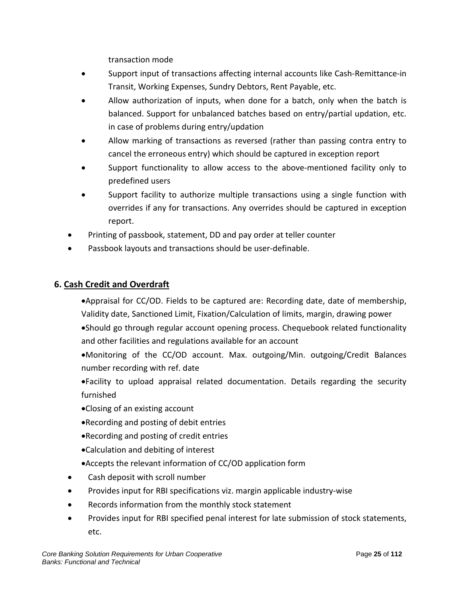transaction mode

- Support input of transactions affecting internal accounts like Cash-Remittance-in Transit, Working Expenses, Sundry Debtors, Rent Payable, etc.
- Allow authorization of inputs, when done for a batch, only when the batch is balanced. Support for unbalanced batches based on entry/partial updation, etc. in case of problems during entry/updation
- Allow marking of transactions as reversed (rather than passing contra entry to cancel the erroneous entry) which should be captured in exception report
- Support functionality to allow access to the above-mentioned facility only to predefined users
- Support facility to authorize multiple transactions using a single function with overrides if any for transactions. Any overrides should be captured in exception report.
- Printing of passbook, statement, DD and pay order at teller counter
- Passbook layouts and transactions should be user-definable.

## **6. Cash Credit and Overdraft**

•Appraisal for CC/OD. Fields to be captured are: Recording date, date of membership, Validity date, Sanctioned Limit, Fixation/Calculation of limits, margin, drawing power

•Should go through regular account opening process. Chequebook related functionality and other facilities and regulations available for an account

•Monitoring of the CC/OD account. Max. outgoing/Min. outgoing/Credit Balances number recording with ref. date

•Facility to upload appraisal related documentation. Details regarding the security furnished

- •Closing of an existing account
- •Recording and posting of debit entries
- •Recording and posting of credit entries
- •Calculation and debiting of interest
- •Accepts the relevant information of CC/OD application form
- Cash deposit with scroll number
- Provides input for RBI specifications viz. margin applicable industry-wise
- Records information from the monthly stock statement
- Provides input for RBI specified penal interest for late submission of stock statements, etc.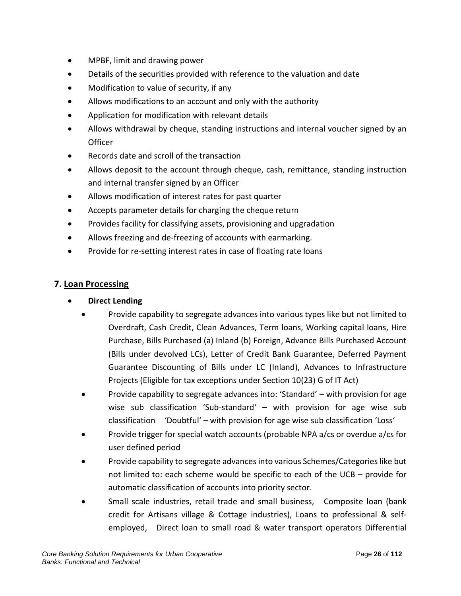- MPBF, limit and drawing power
- Details of the securities provided with reference to the valuation and date
- Modification to value of security, if any
- Allows modifications to an account and only with the authority
- Application for modification with relevant details
- Allows withdrawal by cheque, standing instructions and internal voucher signed by an Officer
- Records date and scroll of the transaction
- Allows deposit to the account through cheque, cash, remittance, standing instruction and internal transfer signed by an Officer
- Allows modification of interest rates for past quarter
- Accepts parameter details for charging the cheque return
- Provides facility for classifying assets, provisioning and upgradation
- Allows freezing and de-freezing of accounts with earmarking.
- Provide for re-setting interest rates in case of floating rate loans

## **7. Loan Processing**

- **Direct Lending**
	- Provide capability to segregate advances into various types like but not limited to Overdraft, Cash Credit, Clean Advances, Term loans, Working capital loans, Hire Purchase, Bills Purchased (a) Inland (b) Foreign, Advance Bills Purchased Account (Bills under devolved LCs), Letter of Credit Bank Guarantee, Deferred Payment Guarantee Discounting of Bills under LC (Inland), Advances to Infrastructure Projects (Eligible for tax exceptions under Section 10(23) G of IT Act)
	- Provide capability to segregate advances into: 'Standard' with provision for age wise sub classification 'Sub-standard' – with provision for age wise sub classification 'Doubtful' – with provision for age wise sub classification 'Loss'
	- Provide trigger for special watch accounts (probable NPA a/cs or overdue a/cs for user defined period
	- Provide capability to segregate advances into various Schemes/Categories like but not limited to: each scheme would be specific to each of the UCB – provide for automatic classification of accounts into priority sector.
	- Small scale industries, retail trade and small business, Composite loan (bank credit for Artisans village & Cottage industries), Loans to professional & selfemployed, Direct loan to small road & water transport operators Differential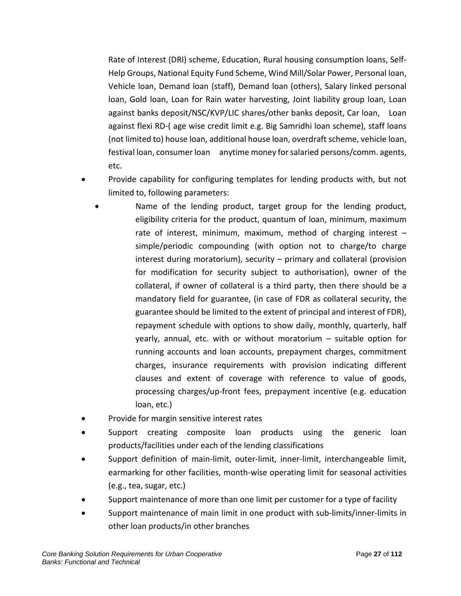Rate of Interest (DRI) scheme, Education, Rural housing consumption loans, Self-Help Groups, National Equity Fund Scheme, Wind Mill/Solar Power, Personal loan, Vehicle loan, Demand loan (staff), Demand loan (others), Salary linked personal loan, Gold loan, Loan for Rain water harvesting, Joint liability group loan, Loan against banks deposit/NSC/KVP/LIC shares/other banks deposit, Car loan, Loan against flexi RD-( age wise credit limit e.g. Big Samridhi loan scheme), staff loans (not limited to) house loan, additional house loan, overdraft scheme, vehicle loan, festival loan, consumer loan anytime money for salaried persons/comm. agents, etc.

- Provide capability for configuring templates for lending products with, but not limited to, following parameters:
	- Name of the lending product, target group for the lending product, eligibility criteria for the product, quantum of loan, minimum, maximum rate of interest, minimum, maximum, method of charging interest – simple/periodic compounding (with option not to charge/to charge interest during moratorium), security – primary and collateral (provision for modification for security subject to authorisation), owner of the collateral, if owner of collateral is a third party, then there should be a mandatory field for guarantee, (in case of FDR as collateral security, the guarantee should be limited to the extent of principal and interest of FDR), repayment schedule with options to show daily, monthly, quarterly, half yearly, annual, etc. with or without moratorium – suitable option for running accounts and loan accounts, prepayment charges, commitment charges, insurance requirements with provision indicating different clauses and extent of coverage with reference to value of goods, processing charges/up-front fees, prepayment incentive (e.g. education loan, etc.)
- Provide for margin sensitive interest rates
- Support creating composite loan products using the generic loan products/facilities under each of the lending classifications
- Support definition of main-limit, outer-limit, inner-limit, interchangeable limit, earmarking for other facilities, month-wise operating limit for seasonal activities (e.g., tea, sugar, etc.)
- Support maintenance of more than one limit per customer for a type of facility
- Support maintenance of main limit in one product with sub-limits/inner-limits in other loan products/in other branches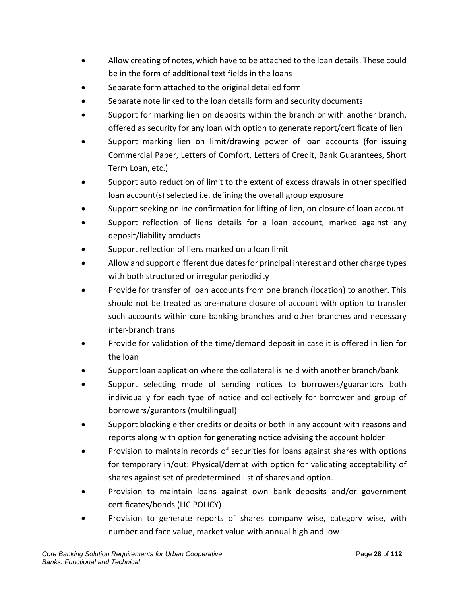- Allow creating of notes, which have to be attached to the loan details. These could be in the form of additional text fields in the loans
- Separate form attached to the original detailed form
- Separate note linked to the loan details form and security documents
- Support for marking lien on deposits within the branch or with another branch, offered as security for any loan with option to generate report/certificate of lien
- Support marking lien on limit/drawing power of loan accounts (for issuing Commercial Paper, Letters of Comfort, Letters of Credit, Bank Guarantees, Short Term Loan, etc.)
- Support auto reduction of limit to the extent of excess drawals in other specified loan account(s) selected i.e. defining the overall group exposure
- Support seeking online confirmation for lifting of lien, on closure of loan account
- Support reflection of liens details for a loan account, marked against any deposit/liability products
- Support reflection of liens marked on a loan limit
- Allow and support different due dates for principal interest and other charge types with both structured or irregular periodicity
- Provide for transfer of loan accounts from one branch (location) to another. This should not be treated as pre-mature closure of account with option to transfer such accounts within core banking branches and other branches and necessary inter-branch trans
- Provide for validation of the time/demand deposit in case it is offered in lien for the loan
- Support loan application where the collateral is held with another branch/bank
- Support selecting mode of sending notices to borrowers/guarantors both individually for each type of notice and collectively for borrower and group of borrowers/gurantors (multilingual)
- Support blocking either credits or debits or both in any account with reasons and reports along with option for generating notice advising the account holder
- Provision to maintain records of securities for loans against shares with options for temporary in/out: Physical/demat with option for validating acceptability of shares against set of predetermined list of shares and option.
- Provision to maintain loans against own bank deposits and/or government certificates/bonds (LIC POLICY)
- Provision to generate reports of shares company wise, category wise, with number and face value, market value with annual high and low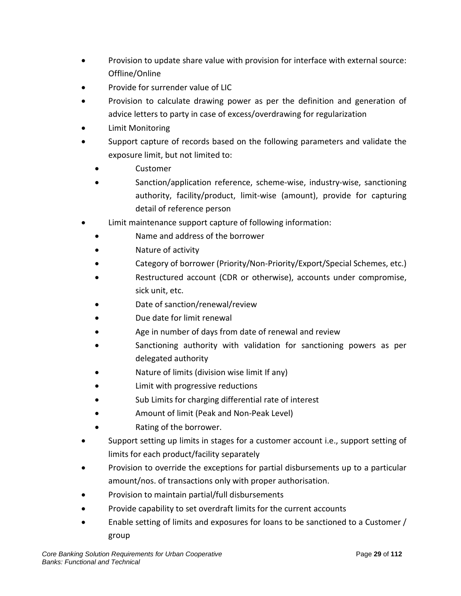- Provision to update share value with provision for interface with external source: Offline/Online
- Provide for surrender value of LIC
- Provision to calculate drawing power as per the definition and generation of advice letters to party in case of excess/overdrawing for regularization
- Limit Monitoring
- Support capture of records based on the following parameters and validate the exposure limit, but not limited to:
	- Customer
	- Sanction/application reference, scheme-wise, industry-wise, sanctioning authority, facility/product, limit-wise (amount), provide for capturing detail of reference person
- Limit maintenance support capture of following information:
	- Name and address of the borrower
	- Nature of activity
	- Category of borrower (Priority/Non-Priority/Export/Special Schemes, etc.)
	- Restructured account (CDR or otherwise), accounts under compromise, sick unit, etc.
	- Date of sanction/renewal/review
	- Due date for limit renewal
	- Age in number of days from date of renewal and review
	- Sanctioning authority with validation for sanctioning powers as per delegated authority
	- Nature of limits (division wise limit If any)
	- Limit with progressive reductions
	- Sub Limits for charging differential rate of interest
	- Amount of limit (Peak and Non-Peak Level)
	- Rating of the borrower.
- Support setting up limits in stages for a customer account i.e., support setting of limits for each product/facility separately
- Provision to override the exceptions for partial disbursements up to a particular amount/nos. of transactions only with proper authorisation.
- Provision to maintain partial/full disbursements
- Provide capability to set overdraft limits for the current accounts
- Enable setting of limits and exposures for loans to be sanctioned to a Customer / group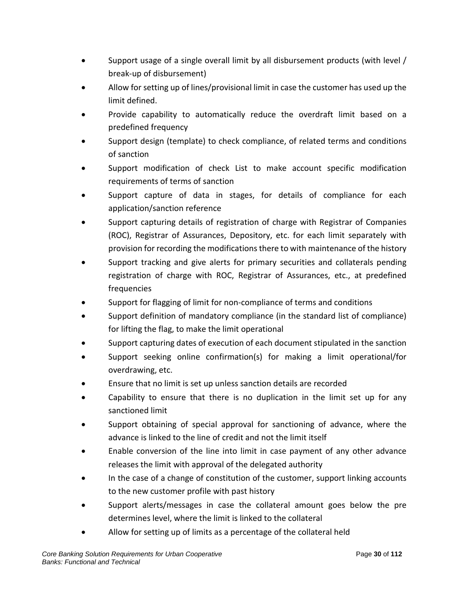- Support usage of a single overall limit by all disbursement products (with level / break-up of disbursement)
- Allow for setting up of lines/provisional limit in case the customer has used up the limit defined.
- Provide capability to automatically reduce the overdraft limit based on a predefined frequency
- Support design (template) to check compliance, of related terms and conditions of sanction
- Support modification of check List to make account specific modification requirements of terms of sanction
- Support capture of data in stages, for details of compliance for each application/sanction reference
- Support capturing details of registration of charge with Registrar of Companies (ROC), Registrar of Assurances, Depository, etc. for each limit separately with provision for recording the modifications there to with maintenance of the history
- Support tracking and give alerts for primary securities and collaterals pending registration of charge with ROC, Registrar of Assurances, etc., at predefined frequencies
- Support for flagging of limit for non-compliance of terms and conditions
- Support definition of mandatory compliance (in the standard list of compliance) for lifting the flag, to make the limit operational
- Support capturing dates of execution of each document stipulated in the sanction
- Support seeking online confirmation(s) for making a limit operational/for overdrawing, etc.
- Ensure that no limit is set up unless sanction details are recorded
- Capability to ensure that there is no duplication in the limit set up for any sanctioned limit
- Support obtaining of special approval for sanctioning of advance, where the advance is linked to the line of credit and not the limit itself
- Enable conversion of the line into limit in case payment of any other advance releases the limit with approval of the delegated authority
- In the case of a change of constitution of the customer, support linking accounts to the new customer profile with past history
- Support alerts/messages in case the collateral amount goes below the pre determines level, where the limit is linked to the collateral
- Allow for setting up of limits as a percentage of the collateral held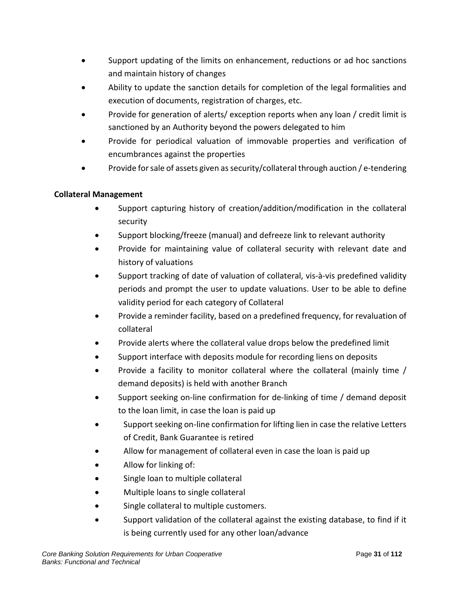- Support updating of the limits on enhancement, reductions or ad hoc sanctions and maintain history of changes
- Ability to update the sanction details for completion of the legal formalities and execution of documents, registration of charges, etc.
- Provide for generation of alerts/ exception reports when any loan / credit limit is sanctioned by an Authority beyond the powers delegated to him
- Provide for periodical valuation of immovable properties and verification of encumbrances against the properties
- Provide for sale of assets given as security/collateral through auction / e-tendering

## **Collateral Management**

- Support capturing history of creation/addition/modification in the collateral security
- Support blocking/freeze (manual) and defreeze link to relevant authority
- Provide for maintaining value of collateral security with relevant date and history of valuations
- Support tracking of date of valuation of collateral, vis-à-vis predefined validity periods and prompt the user to update valuations. User to be able to define validity period for each category of Collateral
- Provide a reminder facility, based on a predefined frequency, for revaluation of collateral
- Provide alerts where the collateral value drops below the predefined limit
- Support interface with deposits module for recording liens on deposits
- Provide a facility to monitor collateral where the collateral (mainly time / demand deposits) is held with another Branch
- Support seeking on-line confirmation for de-linking of time / demand deposit to the loan limit, in case the loan is paid up
- Support seeking on-line confirmation for lifting lien in case the relative Letters of Credit, Bank Guarantee is retired
- Allow for management of collateral even in case the loan is paid up
- Allow for linking of:
- Single loan to multiple collateral
- Multiple loans to single collateral
- Single collateral to multiple customers.
- Support validation of the collateral against the existing database, to find if it is being currently used for any other loan/advance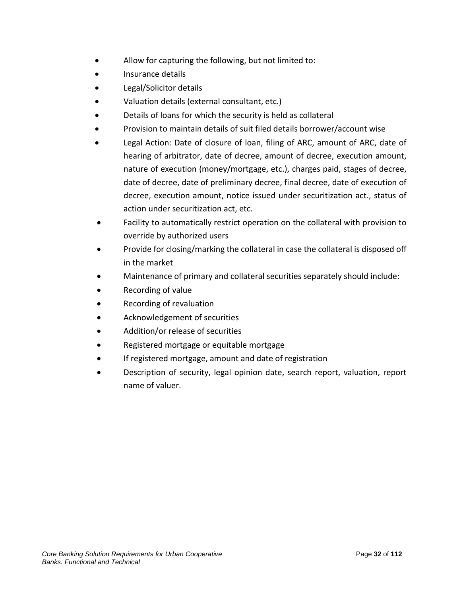- Allow for capturing the following, but not limited to:
- Insurance details
- Legal/Solicitor details
- Valuation details (external consultant, etc.)
- Details of loans for which the security is held as collateral
- Provision to maintain details of suit filed details borrower/account wise
- Legal Action: Date of closure of loan, filing of ARC, amount of ARC, date of hearing of arbitrator, date of decree, amount of decree, execution amount, nature of execution (money/mortgage, etc.), charges paid, stages of decree, date of decree, date of preliminary decree, final decree, date of execution of decree, execution amount, notice issued under securitization act., status of action under securitization act, etc.
- Facility to automatically restrict operation on the collateral with provision to override by authorized users
- Provide for closing/marking the collateral in case the collateral is disposed off in the market
- Maintenance of primary and collateral securities separately should include:
- Recording of value
- Recording of revaluation
- Acknowledgement of securities
- Addition/or release of securities
- Registered mortgage or equitable mortgage
- If registered mortgage, amount and date of registration
- Description of security, legal opinion date, search report, valuation, report name of valuer.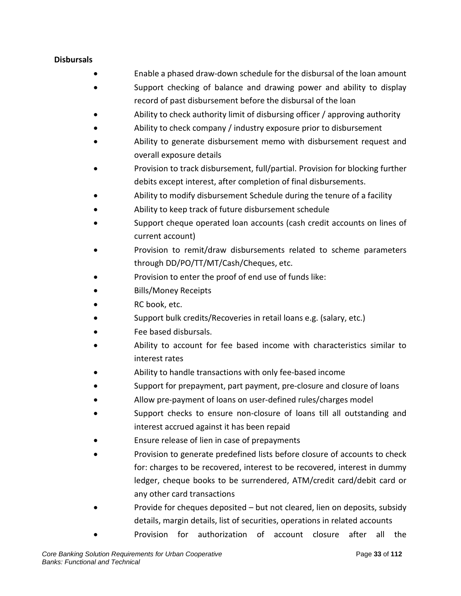#### **Disbursals**

- Enable a phased draw-down schedule for the disbursal of the loan amount
- Support checking of balance and drawing power and ability to display record of past disbursement before the disbursal of the loan
- Ability to check authority limit of disbursing officer / approving authority
- Ability to check company / industry exposure prior to disbursement
- Ability to generate disbursement memo with disbursement request and overall exposure details
- Provision to track disbursement, full/partial. Provision for blocking further debits except interest, after completion of final disbursements.
- Ability to modify disbursement Schedule during the tenure of a facility
- Ability to keep track of future disbursement schedule
- Support cheque operated loan accounts (cash credit accounts on lines of current account)
- Provision to remit/draw disbursements related to scheme parameters through DD/PO/TT/MT/Cash/Cheques, etc.
- Provision to enter the proof of end use of funds like:
- Bills/Money Receipts
- RC book, etc.
- Support bulk credits/Recoveries in retail loans e.g. (salary, etc.)
- Fee based disbursals.
- Ability to account for fee based income with characteristics similar to interest rates
- Ability to handle transactions with only fee-based income
- Support for prepayment, part payment, pre-closure and closure of loans
- Allow pre-payment of loans on user-defined rules/charges model
- Support checks to ensure non-closure of loans till all outstanding and interest accrued against it has been repaid
- Ensure release of lien in case of prepayments
- Provision to generate predefined lists before closure of accounts to check for: charges to be recovered, interest to be recovered, interest in dummy ledger, cheque books to be surrendered, ATM/credit card/debit card or any other card transactions
- Provide for cheques deposited but not cleared, lien on deposits, subsidy details, margin details, list of securities, operations in related accounts
- Provision for authorization of account closure after all the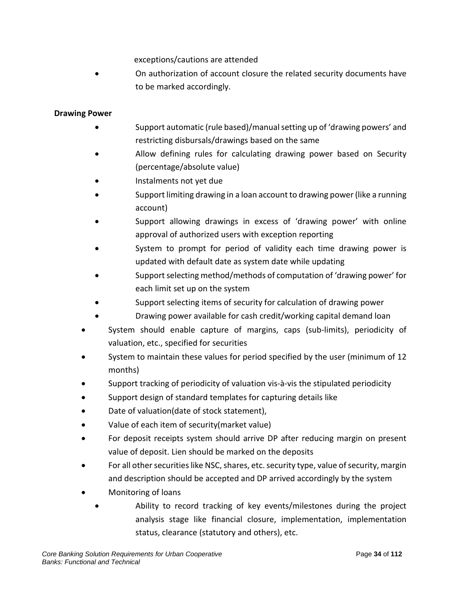exceptions/cautions are attended

• On authorization of account closure the related security documents have to be marked accordingly.

#### **Drawing Power**

- Support automatic (rule based)/manual setting up of 'drawing powers' and restricting disbursals/drawings based on the same
- Allow defining rules for calculating drawing power based on Security (percentage/absolute value)
- Instalments not yet due
- Support limiting drawing in a loan account to drawing power (like a running account)
- Support allowing drawings in excess of 'drawing power' with online approval of authorized users with exception reporting
- System to prompt for period of validity each time drawing power is updated with default date as system date while updating
- Support selecting method/methods of computation of 'drawing power' for each limit set up on the system
- Support selecting items of security for calculation of drawing power
- Drawing power available for cash credit/working capital demand loan
- System should enable capture of margins, caps (sub-limits), periodicity of valuation, etc., specified for securities
- System to maintain these values for period specified by the user (minimum of 12 months)
- Support tracking of periodicity of valuation vis-à-vis the stipulated periodicity
- Support design of standard templates for capturing details like
- Date of valuation(date of stock statement),
- Value of each item of security(market value)
- For deposit receipts system should arrive DP after reducing margin on present value of deposit. Lien should be marked on the deposits
- For all other securities like NSC, shares, etc. security type, value of security, margin and description should be accepted and DP arrived accordingly by the system
- Monitoring of loans
	- Ability to record tracking of key events/milestones during the project analysis stage like financial closure, implementation, implementation status, clearance (statutory and others), etc.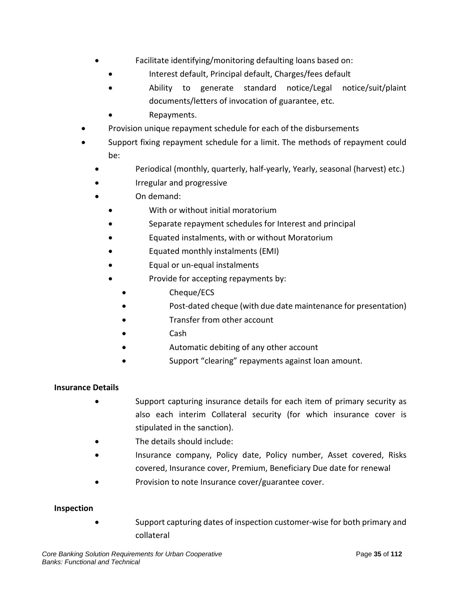- Facilitate identifying/monitoring defaulting loans based on:
	- Interest default, Principal default, Charges/fees default
	- Ability to generate standard notice/Legal notice/suit/plaint documents/letters of invocation of guarantee, etc.
	- Repayments.
- Provision unique repayment schedule for each of the disbursements
- Support fixing repayment schedule for a limit. The methods of repayment could be:
	- Periodical (monthly, quarterly, half-yearly, Yearly, seasonal (harvest) etc.)
	- Irregular and progressive
	- On demand:
		- With or without initial moratorium
		- Separate repayment schedules for Interest and principal
		- Equated instalments, with or without Moratorium
		- Equated monthly instalments (EMI)
		- Equal or un-equal instalments
		- Provide for accepting repayments by:
			- Cheque/ECS
			- Post-dated cheque (with due date maintenance for presentation)
			- Transfer from other account
			- Cash
			- Automatic debiting of any other account
			- Support "clearing" repayments against loan amount.

#### **Insurance Details**

- Support capturing insurance details for each item of primary security as also each interim Collateral security (for which insurance cover is stipulated in the sanction).
- The details should include:
- Insurance company, Policy date, Policy number, Asset covered, Risks covered, Insurance cover, Premium, Beneficiary Due date for renewal
- Provision to note Insurance cover/guarantee cover.

#### **Inspection**

• Support capturing dates of inspection customer-wise for both primary and collateral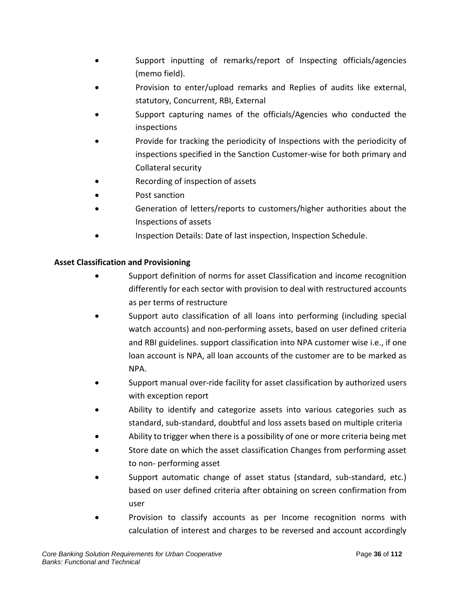- Support inputting of remarks/report of Inspecting officials/agencies (memo field).
- Provision to enter/upload remarks and Replies of audits like external, statutory, Concurrent, RBI, External
- Support capturing names of the officials/Agencies who conducted the inspections
- Provide for tracking the periodicity of Inspections with the periodicity of inspections specified in the Sanction Customer-wise for both primary and Collateral security
- Recording of inspection of assets
- Post sanction
- Generation of letters/reports to customers/higher authorities about the Inspections of assets
- Inspection Details: Date of last inspection, Inspection Schedule.

## **Asset Classification and Provisioning**

- Support definition of norms for asset Classification and income recognition differently for each sector with provision to deal with restructured accounts as per terms of restructure
- Support auto classification of all loans into performing (including special watch accounts) and non-performing assets, based on user defined criteria and RBI guidelines. support classification into NPA customer wise i.e., if one loan account is NPA, all loan accounts of the customer are to be marked as NPA.
- Support manual over-ride facility for asset classification by authorized users with exception report
- Ability to identify and categorize assets into various categories such as standard, sub-standard, doubtful and loss assets based on multiple criteria
- Ability to trigger when there is a possibility of one or more criteria being met
- Store date on which the asset classification Changes from performing asset to non- performing asset
- Support automatic change of asset status (standard, sub-standard, etc.) based on user defined criteria after obtaining on screen confirmation from user
- Provision to classify accounts as per Income recognition norms with calculation of interest and charges to be reversed and account accordingly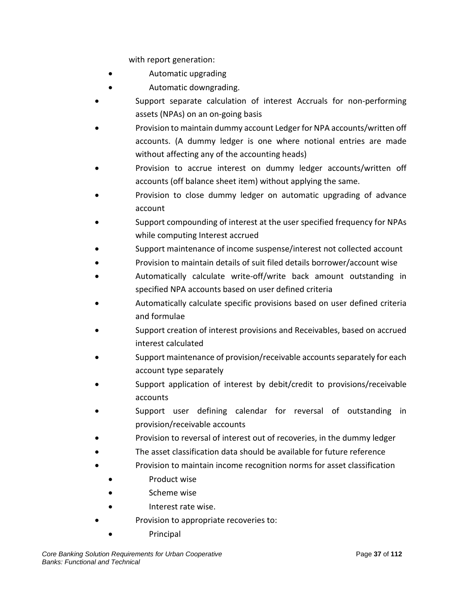with report generation:

- Automatic upgrading
- Automatic downgrading.
- Support separate calculation of interest Accruals for non-performing assets (NPAs) on an on-going basis
- Provision to maintain dummy account Ledger for NPA accounts/written off accounts. (A dummy ledger is one where notional entries are made without affecting any of the accounting heads)
- Provision to accrue interest on dummy ledger accounts/written off accounts (off balance sheet item) without applying the same.
- Provision to close dummy ledger on automatic upgrading of advance account
- Support compounding of interest at the user specified frequency for NPAs while computing Interest accrued
- Support maintenance of income suspense/interest not collected account
- Provision to maintain details of suit filed details borrower/account wise
- Automatically calculate write-off/write back amount outstanding in specified NPA accounts based on user defined criteria
- Automatically calculate specific provisions based on user defined criteria and formulae
- Support creation of interest provisions and Receivables, based on accrued interest calculated
- Support maintenance of provision/receivable accounts separately for each account type separately
- Support application of interest by debit/credit to provisions/receivable accounts
- Support user defining calendar for reversal of outstanding in provision/receivable accounts
- Provision to reversal of interest out of recoveries, in the dummy ledger
- The asset classification data should be available for future reference
- Provision to maintain income recognition norms for asset classification
	- Product wise
	- Scheme wise
	- Interest rate wise.
- Provision to appropriate recoveries to:
	- Principal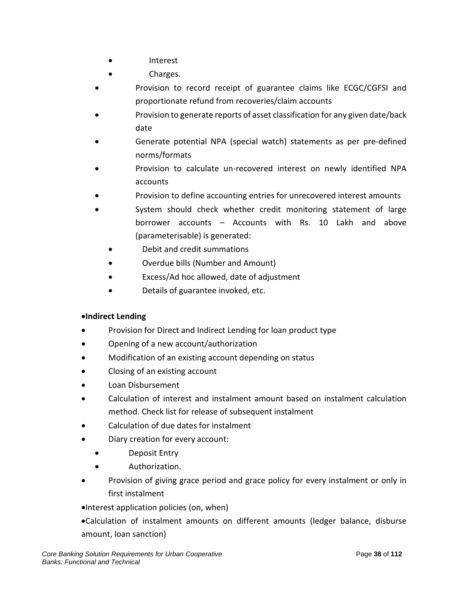- Interest
- Charges.
- Provision to record receipt of guarantee claims like ECGC/CGFSI and proportionate refund from recoveries/claim accounts
- Provision to generate reports of asset classification for any given date/back date
- Generate potential NPA (special watch) statements as per pre-defined norms/formats
- Provision to calculate un-recovered interest on newly identified NPA accounts
- Provision to define accounting entries for unrecovered interest amounts
- System should check whether credit monitoring statement of large borrower accounts – Accounts with Rs. 10 Lakh and above (parameterisable) is generated:
	- Debit and credit summations
	- Overdue bills (Number and Amount)
	- Excess/Ad hoc allowed, date of adjustment
	- Details of guarantee invoked, etc.

# •**Indirect Lending**

- Provision for Direct and Indirect Lending for loan product type
- Opening of a new account/authorization
- Modification of an existing account depending on status
- Closing of an existing account
- Loan Disbursement
- Calculation of interest and instalment amount based on instalment calculation method. Check list for release of subsequent instalment
- Calculation of due dates for instalment
- Diary creation for every account:
	- Deposit Entry
	- Authorization.
- Provision of giving grace period and grace policy for every instalment or only in first instalment
- •Interest application policies (on, when)
- •Calculation of instalment amounts on different amounts (ledger balance, disburse amount, loan sanction)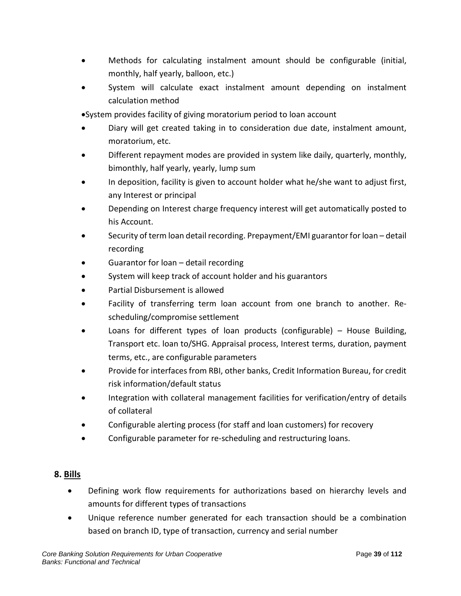- Methods for calculating instalment amount should be configurable (initial, monthly, half yearly, balloon, etc.)
- System will calculate exact instalment amount depending on instalment calculation method
- •System provides facility of giving moratorium period to loan account
- Diary will get created taking in to consideration due date, instalment amount, moratorium, etc.
- Different repayment modes are provided in system like daily, quarterly, monthly, bimonthly, half yearly, yearly, lump sum
- In deposition, facility is given to account holder what he/she want to adjust first, any Interest or principal
- Depending on Interest charge frequency interest will get automatically posted to his Account.
- Security of term loan detail recording. Prepayment/EMI guarantor for loan detail recording
- Guarantor for loan detail recording
- System will keep track of account holder and his guarantors
- Partial Disbursement is allowed
- Facility of transferring term loan account from one branch to another. Rescheduling/compromise settlement
- Loans for different types of loan products (configurable)  $-$  House Building, Transport etc. loan to/SHG. Appraisal process, Interest terms, duration, payment terms, etc., are configurable parameters
- Provide for interfaces from RBI, other banks, Credit Information Bureau, for credit risk information/default status
- Integration with collateral management facilities for verification/entry of details of collateral
- Configurable alerting process (for staff and loan customers) for recovery
- Configurable parameter for re-scheduling and restructuring loans.

## **8. Bills**

- Defining work flow requirements for authorizations based on hierarchy levels and amounts for different types of transactions
- Unique reference number generated for each transaction should be a combination based on branch ID, type of transaction, currency and serial number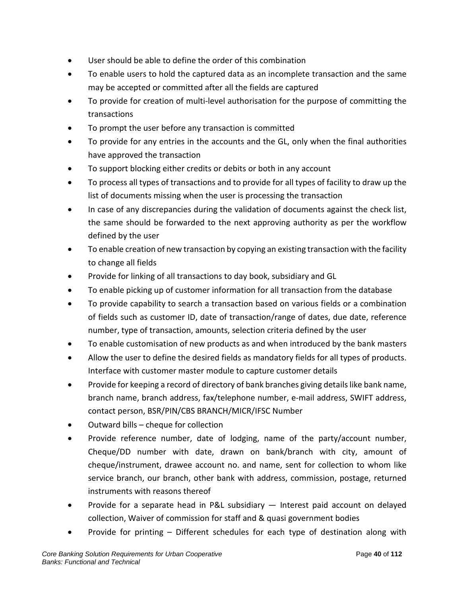- User should be able to define the order of this combination
- To enable users to hold the captured data as an incomplete transaction and the same may be accepted or committed after all the fields are captured
- To provide for creation of multi-level authorisation for the purpose of committing the transactions
- To prompt the user before any transaction is committed
- To provide for any entries in the accounts and the GL, only when the final authorities have approved the transaction
- To support blocking either credits or debits or both in any account
- To process all types of transactions and to provide for all types of facility to draw up the list of documents missing when the user is processing the transaction
- In case of any discrepancies during the validation of documents against the check list, the same should be forwarded to the next approving authority as per the workflow defined by the user
- To enable creation of new transaction by copying an existing transaction with the facility to change all fields
- Provide for linking of all transactions to day book, subsidiary and GL
- To enable picking up of customer information for all transaction from the database
- To provide capability to search a transaction based on various fields or a combination of fields such as customer ID, date of transaction/range of dates, due date, reference number, type of transaction, amounts, selection criteria defined by the user
- To enable customisation of new products as and when introduced by the bank masters
- Allow the user to define the desired fields as mandatory fields for all types of products. Interface with customer master module to capture customer details
- Provide for keeping a record of directory of bank branches giving details like bank name, branch name, branch address, fax/telephone number, e-mail address, SWIFT address, contact person, BSR/PIN/CBS BRANCH/MICR/IFSC Number
- Outward bills cheque for collection
- Provide reference number, date of lodging, name of the party/account number, Cheque/DD number with date, drawn on bank/branch with city, amount of cheque/instrument, drawee account no. and name, sent for collection to whom like service branch, our branch, other bank with address, commission, postage, returned instruments with reasons thereof
- Provide for a separate head in P&L subsidiary Interest paid account on delayed collection, Waiver of commission for staff and & quasi government bodies
- Provide for printing Different schedules for each type of destination along with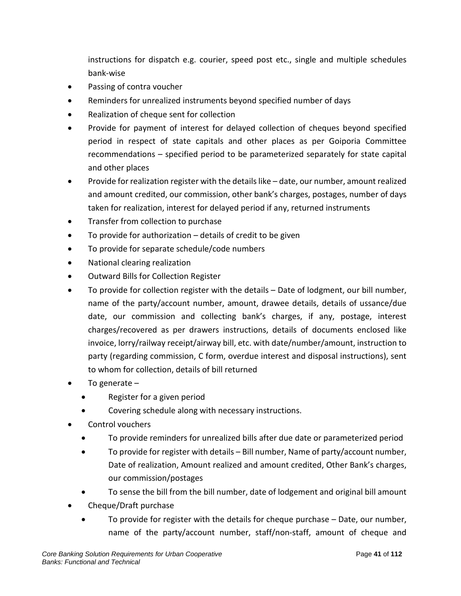instructions for dispatch e.g. courier, speed post etc., single and multiple schedules bank-wise

- Passing of contra voucher
- Reminders for unrealized instruments beyond specified number of days
- Realization of cheque sent for collection
- Provide for payment of interest for delayed collection of cheques beyond specified period in respect of state capitals and other places as per Goiporia Committee recommendations – specified period to be parameterized separately for state capital and other places
- Provide for realization register with the details like date, our number, amount realized and amount credited, our commission, other bank's charges, postages, number of days taken for realization, interest for delayed period if any, returned instruments
- Transfer from collection to purchase
- To provide for authorization details of credit to be given
- To provide for separate schedule/code numbers
- National clearing realization
- Outward Bills for Collection Register
- To provide for collection register with the details Date of lodgment, our bill number, name of the party/account number, amount, drawee details, details of ussance/due date, our commission and collecting bank's charges, if any, postage, interest charges/recovered as per drawers instructions, details of documents enclosed like invoice, lorry/railway receipt/airway bill, etc. with date/number/amount, instruction to party (regarding commission, C form, overdue interest and disposal instructions), sent to whom for collection, details of bill returned
- To generate  $-$ 
	- Register for a given period
	- Covering schedule along with necessary instructions.
- Control vouchers
	- To provide reminders for unrealized bills after due date or parameterized period
	- To provide for register with details Bill number, Name of party/account number, Date of realization, Amount realized and amount credited, Other Bank's charges, our commission/postages
	- To sense the bill from the bill number, date of lodgement and original bill amount
- Cheque/Draft purchase
	- To provide for register with the details for cheque purchase Date, our number, name of the party/account number, staff/non-staff, amount of cheque and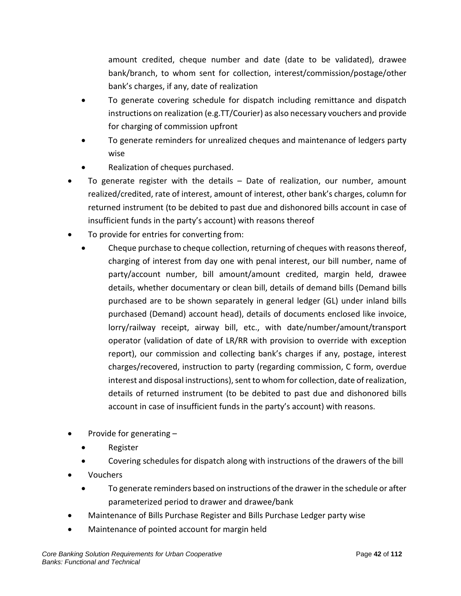amount credited, cheque number and date (date to be validated), drawee bank/branch, to whom sent for collection, interest/commission/postage/other bank's charges, if any, date of realization

- To generate covering schedule for dispatch including remittance and dispatch instructions on realization (e.g.TT/Courier) as also necessary vouchers and provide for charging of commission upfront
- To generate reminders for unrealized cheques and maintenance of ledgers party wise
- Realization of cheques purchased.
- To generate register with the details  $-$  Date of realization, our number, amount realized/credited, rate of interest, amount of interest, other bank's charges, column for returned instrument (to be debited to past due and dishonored bills account in case of insufficient funds in the party's account) with reasons thereof
- To provide for entries for converting from:
	- Cheque purchase to cheque collection, returning of cheques with reasons thereof, charging of interest from day one with penal interest, our bill number, name of party/account number, bill amount/amount credited, margin held, drawee details, whether documentary or clean bill, details of demand bills (Demand bills purchased are to be shown separately in general ledger (GL) under inland bills purchased (Demand) account head), details of documents enclosed like invoice, lorry/railway receipt, airway bill, etc., with date/number/amount/transport operator (validation of date of LR/RR with provision to override with exception report), our commission and collecting bank's charges if any, postage, interest charges/recovered, instruction to party (regarding commission, C form, overdue interest and disposal instructions), sent to whom for collection, date of realization, details of returned instrument (to be debited to past due and dishonored bills account in case of insufficient funds in the party's account) with reasons.
- Provide for generating
	- Register
	- Covering schedules for dispatch along with instructions of the drawers of the bill
- Vouchers
	- To generate reminders based on instructions of the drawer in the schedule or after parameterized period to drawer and drawee/bank
- Maintenance of Bills Purchase Register and Bills Purchase Ledger party wise
- Maintenance of pointed account for margin held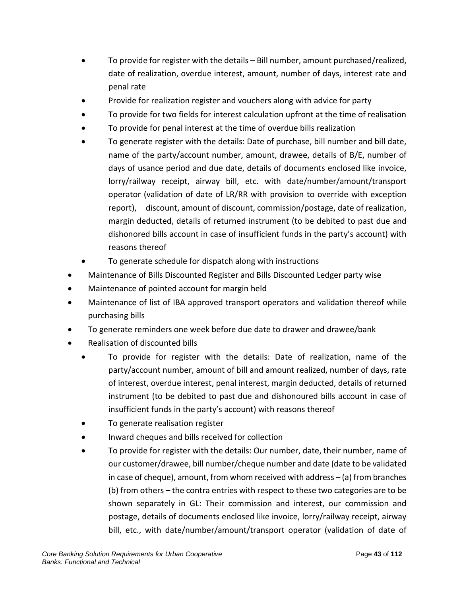- To provide for register with the details Bill number, amount purchased/realized, date of realization, overdue interest, amount, number of days, interest rate and penal rate
- Provide for realization register and vouchers along with advice for party
- To provide for two fields for interest calculation upfront at the time of realisation
- To provide for penal interest at the time of overdue bills realization
- To generate register with the details: Date of purchase, bill number and bill date, name of the party/account number, amount, drawee, details of B/E, number of days of usance period and due date, details of documents enclosed like invoice, lorry/railway receipt, airway bill, etc. with date/number/amount/transport operator (validation of date of LR/RR with provision to override with exception report), discount, amount of discount, commission/postage, date of realization, margin deducted, details of returned instrument (to be debited to past due and dishonored bills account in case of insufficient funds in the party's account) with reasons thereof
- To generate schedule for dispatch along with instructions
- Maintenance of Bills Discounted Register and Bills Discounted Ledger party wise
- Maintenance of pointed account for margin held
- Maintenance of list of IBA approved transport operators and validation thereof while purchasing bills
- To generate reminders one week before due date to drawer and drawee/bank
- Realisation of discounted bills
	- To provide for register with the details: Date of realization, name of the party/account number, amount of bill and amount realized, number of days, rate of interest, overdue interest, penal interest, margin deducted, details of returned instrument (to be debited to past due and dishonoured bills account in case of insufficient funds in the party's account) with reasons thereof
	- To generate realisation register
	- Inward cheques and bills received for collection
	- To provide for register with the details: Our number, date, their number, name of our customer/drawee, bill number/cheque number and date (date to be validated in case of cheque), amount, from whom received with address – (a) from branches (b) from others – the contra entries with respect to these two categories are to be shown separately in GL: Their commission and interest, our commission and postage, details of documents enclosed like invoice, lorry/railway receipt, airway bill, etc., with date/number/amount/transport operator (validation of date of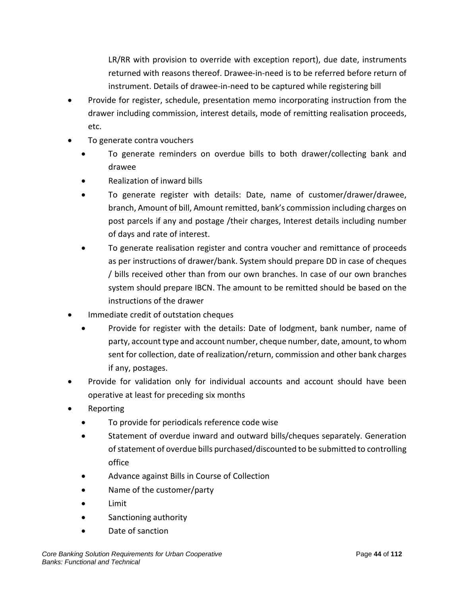LR/RR with provision to override with exception report), due date, instruments returned with reasons thereof. Drawee-in-need is to be referred before return of instrument. Details of drawee-in-need to be captured while registering bill

- Provide for register, schedule, presentation memo incorporating instruction from the drawer including commission, interest details, mode of remitting realisation proceeds, etc.
- To generate contra vouchers
	- To generate reminders on overdue bills to both drawer/collecting bank and drawee
	- Realization of inward bills
	- To generate register with details: Date, name of customer/drawer/drawee, branch, Amount of bill, Amount remitted, bank's commission including charges on post parcels if any and postage /their charges, Interest details including number of days and rate of interest.
	- To generate realisation register and contra voucher and remittance of proceeds as per instructions of drawer/bank. System should prepare DD in case of cheques / bills received other than from our own branches. In case of our own branches system should prepare IBCN. The amount to be remitted should be based on the instructions of the drawer
- Immediate credit of outstation cheques
	- Provide for register with the details: Date of lodgment, bank number, name of party, account type and account number, cheque number, date, amount, to whom sent for collection, date of realization/return, commission and other bank charges if any, postages.
- Provide for validation only for individual accounts and account should have been operative at least for preceding six months
- Reporting
	- To provide for periodicals reference code wise
	- Statement of overdue inward and outward bills/cheques separately. Generation of statement of overdue bills purchased/discounted to be submitted to controlling office
	- Advance against Bills in Course of Collection
	- Name of the customer/party
	- Limit
	- Sanctioning authority
	- Date of sanction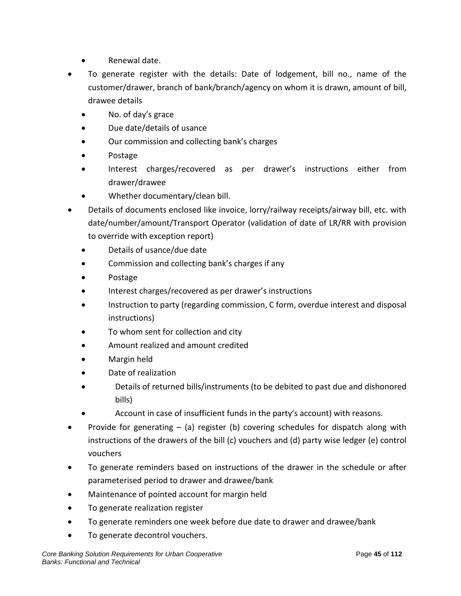- Renewal date.
- To generate register with the details: Date of lodgement, bill no., name of the customer/drawer, branch of bank/branch/agency on whom it is drawn, amount of bill, drawee details
	- No. of day's grace
	- Due date/details of usance
	- Our commission and collecting bank's charges
	- Postage
	- Interest charges/recovered as per drawer's instructions either from drawer/drawee
	- Whether documentary/clean bill.
- Details of documents enclosed like invoice, lorry/railway receipts/airway bill, etc. with date/number/amount/Transport Operator (validation of date of LR/RR with provision to override with exception report)
	- Details of usance/due date
	- Commission and collecting bank's charges if any
	- Postage
	- Interest charges/recovered as per drawer's instructions
	- Instruction to party (regarding commission, C form, overdue interest and disposal instructions)
	- To whom sent for collection and city
	- Amount realized and amount credited
	- Margin held
	- Date of realization
	- Details of returned bills/instruments (to be debited to past due and dishonored bills)
	- Account in case of insufficient funds in the party's account) with reasons.
- Provide for generating  $-$  (a) register (b) covering schedules for dispatch along with instructions of the drawers of the bill (c) vouchers and (d) party wise ledger (e) control vouchers
- To generate reminders based on instructions of the drawer in the schedule or after parameterised period to drawer and drawee/bank
- Maintenance of pointed account for margin held
- To generate realization register
- To generate reminders one week before due date to drawer and drawee/bank
- To generate decontrol vouchers.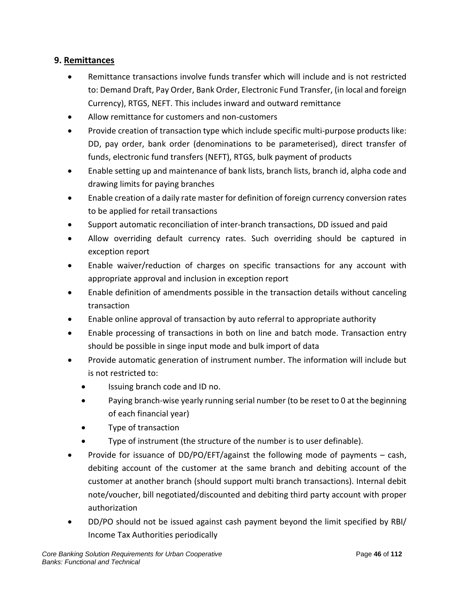## **9. Remittances**

- Remittance transactions involve funds transfer which will include and is not restricted to: Demand Draft, Pay Order, Bank Order, Electronic Fund Transfer, (in local and foreign Currency), RTGS, NEFT. This includes inward and outward remittance
- Allow remittance for customers and non-customers
- Provide creation of transaction type which include specific multi-purpose products like: DD, pay order, bank order (denominations to be parameterised), direct transfer of funds, electronic fund transfers (NEFT), RTGS, bulk payment of products
- Enable setting up and maintenance of bank lists, branch lists, branch id, alpha code and drawing limits for paying branches
- Enable creation of a daily rate master for definition of foreign currency conversion rates to be applied for retail transactions
- Support automatic reconciliation of inter-branch transactions, DD issued and paid
- Allow overriding default currency rates. Such overriding should be captured in exception report
- Enable waiver/reduction of charges on specific transactions for any account with appropriate approval and inclusion in exception report
- Enable definition of amendments possible in the transaction details without canceling transaction
- Enable online approval of transaction by auto referral to appropriate authority
- Enable processing of transactions in both on line and batch mode. Transaction entry should be possible in singe input mode and bulk import of data
- Provide automatic generation of instrument number. The information will include but is not restricted to:
	- Issuing branch code and ID no.
	- Paying branch-wise yearly running serial number (to be reset to 0 at the beginning of each financial year)
	- Type of transaction
	- Type of instrument (the structure of the number is to user definable).
- Provide for issuance of DD/PO/EFT/against the following mode of payments cash, debiting account of the customer at the same branch and debiting account of the customer at another branch (should support multi branch transactions). Internal debit note/voucher, bill negotiated/discounted and debiting third party account with proper authorization
- DD/PO should not be issued against cash payment beyond the limit specified by RBI/ Income Tax Authorities periodically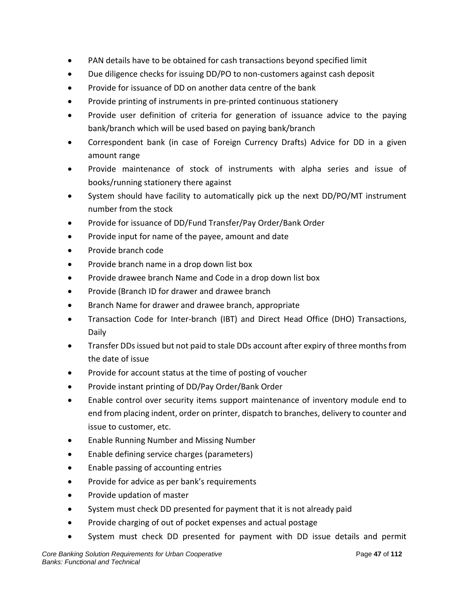- PAN details have to be obtained for cash transactions beyond specified limit
- Due diligence checks for issuing DD/PO to non-customers against cash deposit
- Provide for issuance of DD on another data centre of the bank
- Provide printing of instruments in pre-printed continuous stationery
- Provide user definition of criteria for generation of issuance advice to the paying bank/branch which will be used based on paying bank/branch
- Correspondent bank (in case of Foreign Currency Drafts) Advice for DD in a given amount range
- Provide maintenance of stock of instruments with alpha series and issue of books/running stationery there against
- System should have facility to automatically pick up the next DD/PO/MT instrument number from the stock
- Provide for issuance of DD/Fund Transfer/Pay Order/Bank Order
- Provide input for name of the payee, amount and date
- Provide branch code
- Provide branch name in a drop down list box
- Provide drawee branch Name and Code in a drop down list box
- Provide (Branch ID for drawer and drawee branch
- Branch Name for drawer and drawee branch, appropriate
- Transaction Code for Inter-branch (IBT) and Direct Head Office (DHO) Transactions, Daily
- Transfer DDs issued but not paid to stale DDs account after expiry of three months from the date of issue
- Provide for account status at the time of posting of voucher
- Provide instant printing of DD/Pay Order/Bank Order
- Enable control over security items support maintenance of inventory module end to end from placing indent, order on printer, dispatch to branches, delivery to counter and issue to customer, etc.
- Enable Running Number and Missing Number
- Enable defining service charges (parameters)
- Enable passing of accounting entries
- Provide for advice as per bank's requirements
- Provide updation of master
- System must check DD presented for payment that it is not already paid
- Provide charging of out of pocket expenses and actual postage
- System must check DD presented for payment with DD issue details and permit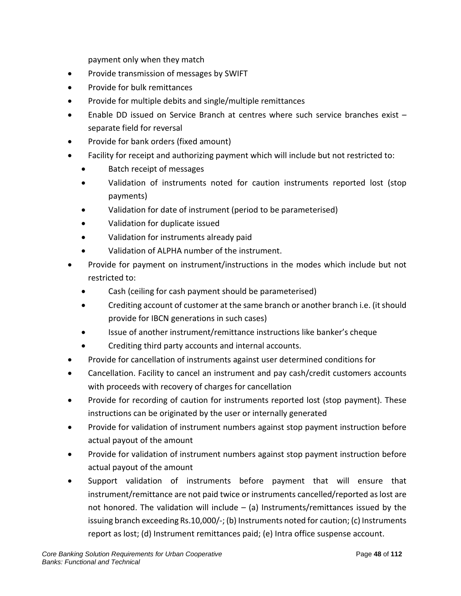payment only when they match

- Provide transmission of messages by SWIFT
- Provide for bulk remittances
- Provide for multiple debits and single/multiple remittances
- Enable DD issued on Service Branch at centres where such service branches exist separate field for reversal
- Provide for bank orders (fixed amount)
- Facility for receipt and authorizing payment which will include but not restricted to:
	- Batch receipt of messages
	- Validation of instruments noted for caution instruments reported lost (stop payments)
	- Validation for date of instrument (period to be parameterised)
	- Validation for duplicate issued
	- Validation for instruments already paid
	- Validation of ALPHA number of the instrument.
- Provide for payment on instrument/instructions in the modes which include but not restricted to:
	- Cash (ceiling for cash payment should be parameterised)
	- Crediting account of customer at the same branch or another branch i.e. (it should provide for IBCN generations in such cases)
	- Issue of another instrument/remittance instructions like banker's cheque
	- Crediting third party accounts and internal accounts.
- Provide for cancellation of instruments against user determined conditions for
- Cancellation. Facility to cancel an instrument and pay cash/credit customers accounts with proceeds with recovery of charges for cancellation
- Provide for recording of caution for instruments reported lost (stop payment). These instructions can be originated by the user or internally generated
- Provide for validation of instrument numbers against stop payment instruction before actual payout of the amount
- Provide for validation of instrument numbers against stop payment instruction before actual payout of the amount
- Support validation of instruments before payment that will ensure that instrument/remittance are not paid twice or instruments cancelled/reported as lost are not honored. The validation will include  $-$  (a) Instruments/remittances issued by the issuing branch exceeding Rs.10,000/-; (b) Instruments noted for caution; (c) Instruments report as lost; (d) Instrument remittances paid; (e) Intra office suspense account.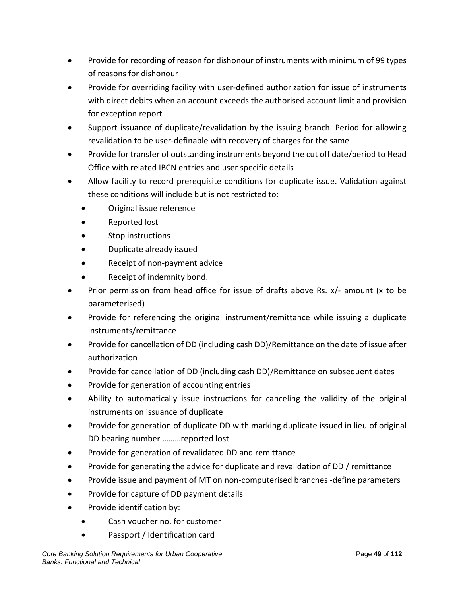- Provide for recording of reason for dishonour of instruments with minimum of 99 types of reasons for dishonour
- Provide for overriding facility with user-defined authorization for issue of instruments with direct debits when an account exceeds the authorised account limit and provision for exception report
- Support issuance of duplicate/revalidation by the issuing branch. Period for allowing revalidation to be user-definable with recovery of charges for the same
- Provide for transfer of outstanding instruments beyond the cut off date/period to Head Office with related IBCN entries and user specific details
- Allow facility to record prerequisite conditions for duplicate issue. Validation against these conditions will include but is not restricted to:
	- Original issue reference
	- Reported lost
	- Stop instructions
	- Duplicate already issued
	- Receipt of non-payment advice
	- Receipt of indemnity bond.
- Prior permission from head office for issue of drafts above Rs. x/- amount (x to be parameterised)
- Provide for referencing the original instrument/remittance while issuing a duplicate instruments/remittance
- Provide for cancellation of DD (including cash DD)/Remittance on the date of issue after authorization
- Provide for cancellation of DD (including cash DD)/Remittance on subsequent dates
- Provide for generation of accounting entries
- Ability to automatically issue instructions for canceling the validity of the original instruments on issuance of duplicate
- Provide for generation of duplicate DD with marking duplicate issued in lieu of original DD bearing number ………reported lost
- Provide for generation of revalidated DD and remittance
- Provide for generating the advice for duplicate and revalidation of DD / remittance
- Provide issue and payment of MT on non-computerised branches -define parameters
- Provide for capture of DD payment details
- Provide identification by:
	- Cash voucher no. for customer
	- Passport / Identification card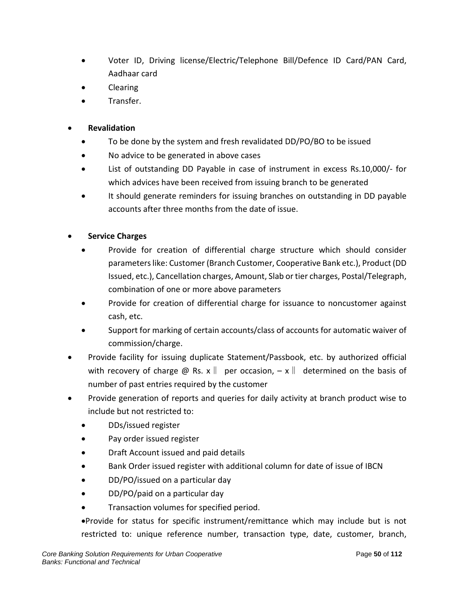- Voter ID, Driving license/Electric/Telephone Bill/Defence ID Card/PAN Card, Aadhaar card
- Clearing
- Transfer.

## • **Revalidation**

- To be done by the system and fresh revalidated DD/PO/BO to be issued
- No advice to be generated in above cases
- List of outstanding DD Payable in case of instrument in excess Rs.10,000/- for which advices have been received from issuing branch to be generated
- It should generate reminders for issuing branches on outstanding in DD payable accounts after three months from the date of issue.

## • **Service Charges**

- Provide for creation of differential charge structure which should consider parameters like: Customer (Branch Customer, Cooperative Bank etc.), Product (DD Issued, etc.), Cancellation charges, Amount, Slab or tier charges, Postal/Telegraph, combination of one or more above parameters
- Provide for creation of differential charge for issuance to noncustomer against cash, etc.
- Support for marking of certain accounts/class of accounts for automatic waiver of commission/charge.
- Provide facility for issuing duplicate Statement/Passbook, etc. by authorized official with recovery of charge @ Rs. x  $\parallel$  per occasion,  $-x \parallel$  determined on the basis of number of past entries required by the customer
- Provide generation of reports and queries for daily activity at branch product wise to include but not restricted to:
	- DDs/issued register
	- Pay order issued register
	- Draft Account issued and paid details
	- Bank Order issued register with additional column for date of issue of IBCN
	- DD/PO/issued on a particular day
	- DD/PO/paid on a particular day
	- Transaction volumes for specified period.

•Provide for status for specific instrument/remittance which may include but is not restricted to: unique reference number, transaction type, date, customer, branch,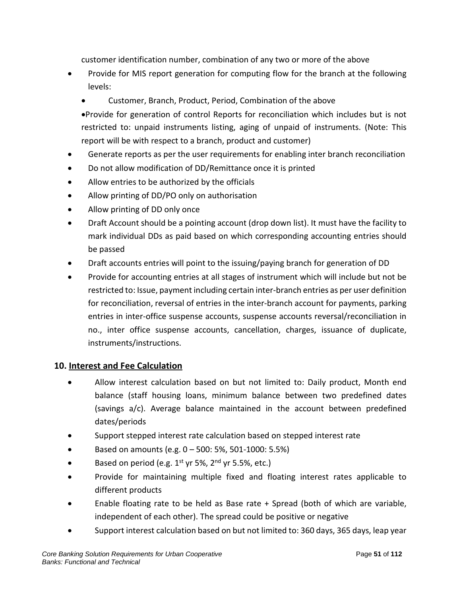customer identification number, combination of any two or more of the above

- Provide for MIS report generation for computing flow for the branch at the following levels:
	- Customer, Branch, Product, Period, Combination of the above

•Provide for generation of control Reports for reconciliation which includes but is not restricted to: unpaid instruments listing, aging of unpaid of instruments. (Note: This report will be with respect to a branch, product and customer)

- Generate reports as per the user requirements for enabling inter branch reconciliation
- Do not allow modification of DD/Remittance once it is printed
- Allow entries to be authorized by the officials
- Allow printing of DD/PO only on authorisation
- Allow printing of DD only once
- Draft Account should be a pointing account (drop down list). It must have the facility to mark individual DDs as paid based on which corresponding accounting entries should be passed
- Draft accounts entries will point to the issuing/paying branch for generation of DD
- Provide for accounting entries at all stages of instrument which will include but not be restricted to: Issue, payment including certain inter-branch entries as per user definition for reconciliation, reversal of entries in the inter-branch account for payments, parking entries in inter-office suspense accounts, suspense accounts reversal/reconciliation in no., inter office suspense accounts, cancellation, charges, issuance of duplicate, instruments/instructions.

# **10. Interest and Fee Calculation**

- Allow interest calculation based on but not limited to: Daily product, Month end balance (staff housing loans, minimum balance between two predefined dates (savings a/c). Average balance maintained in the account between predefined dates/periods
- Support stepped interest rate calculation based on stepped interest rate
- Based on amounts (e.g. 0 500: 5%, 501-1000: 5.5%)
- Based on period (e.g.  $1^{st}$  yr 5%,  $2^{nd}$  yr 5.5%, etc.)
- Provide for maintaining multiple fixed and floating interest rates applicable to different products
- Enable floating rate to be held as Base rate + Spread (both of which are variable, independent of each other). The spread could be positive or negative
- Support interest calculation based on but not limited to: 360 days, 365 days, leap year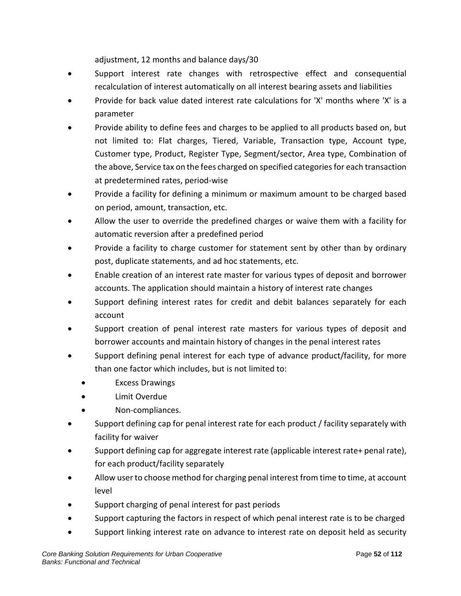adjustment, 12 months and balance days/30

- Support interest rate changes with retrospective effect and consequential recalculation of interest automatically on all interest bearing assets and liabilities
- Provide for back value dated interest rate calculations for 'X' months where 'X' is a parameter
- Provide ability to define fees and charges to be applied to all products based on, but not limited to: Flat charges, Tiered, Variable, Transaction type, Account type, Customer type, Product, Register Type, Segment/sector, Area type, Combination of the above, Service tax on the fees charged on specified categories for each transaction at predetermined rates, period-wise
- Provide a facility for defining a minimum or maximum amount to be charged based on period, amount, transaction, etc.
- Allow the user to override the predefined charges or waive them with a facility for automatic reversion after a predefined period
- Provide a facility to charge customer for statement sent by other than by ordinary post, duplicate statements, and ad hoc statements, etc.
- Enable creation of an interest rate master for various types of deposit and borrower accounts. The application should maintain a history of interest rate changes
- Support defining interest rates for credit and debit balances separately for each account
- Support creation of penal interest rate masters for various types of deposit and borrower accounts and maintain history of changes in the penal interest rates
- Support defining penal interest for each type of advance product/facility, for more than one factor which includes, but is not limited to:
	- Excess Drawings
	- Limit Overdue
	- Non-compliances.
- Support defining cap for penal interest rate for each product / facility separately with facility for waiver
- Support defining cap for aggregate interest rate (applicable interest rate+ penal rate), for each product/facility separately
- Allow user to choose method for charging penal interest from time to time, at account level
- Support charging of penal interest for past periods
- Support capturing the factors in respect of which penal interest rate is to be charged
- Support linking interest rate on advance to interest rate on deposit held as security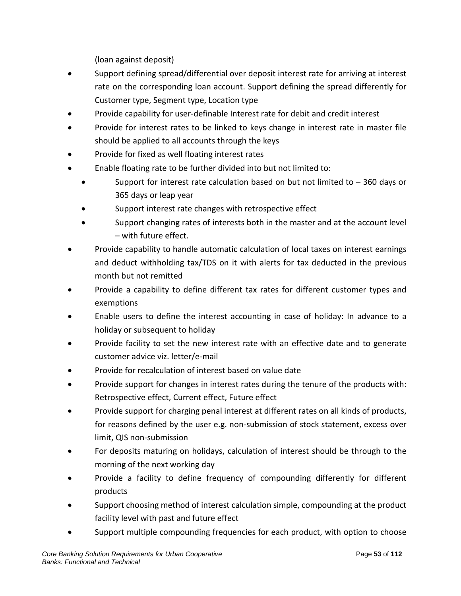(loan against deposit)

- Support defining spread/differential over deposit interest rate for arriving at interest rate on the corresponding loan account. Support defining the spread differently for Customer type, Segment type, Location type
- Provide capability for user-definable Interest rate for debit and credit interest
- Provide for interest rates to be linked to keys change in interest rate in master file should be applied to all accounts through the keys
- Provide for fixed as well floating interest rates
- Enable floating rate to be further divided into but not limited to:
	- Support for interest rate calculation based on but not limited to  $-360$  days or 365 days or leap year
	- Support interest rate changes with retrospective effect
	- Support changing rates of interests both in the master and at the account level – with future effect.
- Provide capability to handle automatic calculation of local taxes on interest earnings and deduct withholding tax/TDS on it with alerts for tax deducted in the previous month but not remitted
- Provide a capability to define different tax rates for different customer types and exemptions
- Enable users to define the interest accounting in case of holiday: In advance to a holiday or subsequent to holiday
- Provide facility to set the new interest rate with an effective date and to generate customer advice viz. letter/e-mail
- Provide for recalculation of interest based on value date
- Provide support for changes in interest rates during the tenure of the products with: Retrospective effect, Current effect, Future effect
- Provide support for charging penal interest at different rates on all kinds of products, for reasons defined by the user e.g. non-submission of stock statement, excess over limit, QIS non-submission
- For deposits maturing on holidays, calculation of interest should be through to the morning of the next working day
- Provide a facility to define frequency of compounding differently for different products
- Support choosing method of interest calculation simple, compounding at the product facility level with past and future effect
- Support multiple compounding frequencies for each product, with option to choose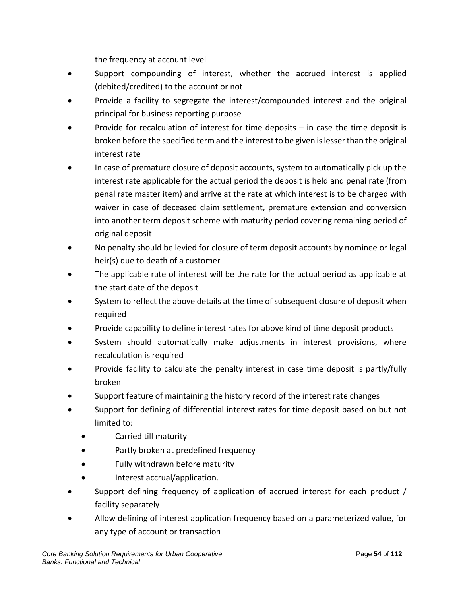the frequency at account level

- Support compounding of interest, whether the accrued interest is applied (debited/credited) to the account or not
- Provide a facility to segregate the interest/compounded interest and the original principal for business reporting purpose
- Provide for recalculation of interest for time deposits  $-$  in case the time deposit is broken before the specified term and the interest to be given is lesser than the original interest rate
- In case of premature closure of deposit accounts, system to automatically pick up the interest rate applicable for the actual period the deposit is held and penal rate (from penal rate master item) and arrive at the rate at which interest is to be charged with waiver in case of deceased claim settlement, premature extension and conversion into another term deposit scheme with maturity period covering remaining period of original deposit
- No penalty should be levied for closure of term deposit accounts by nominee or legal heir(s) due to death of a customer
- The applicable rate of interest will be the rate for the actual period as applicable at the start date of the deposit
- System to reflect the above details at the time of subsequent closure of deposit when required
- Provide capability to define interest rates for above kind of time deposit products
- System should automatically make adjustments in interest provisions, where recalculation is required
- Provide facility to calculate the penalty interest in case time deposit is partly/fully broken
- Support feature of maintaining the history record of the interest rate changes
- Support for defining of differential interest rates for time deposit based on but not limited to:
	- Carried till maturity
	- Partly broken at predefined frequency
	- Fully withdrawn before maturity
	- Interest accrual/application.
- Support defining frequency of application of accrued interest for each product / facility separately
- Allow defining of interest application frequency based on a parameterized value, for any type of account or transaction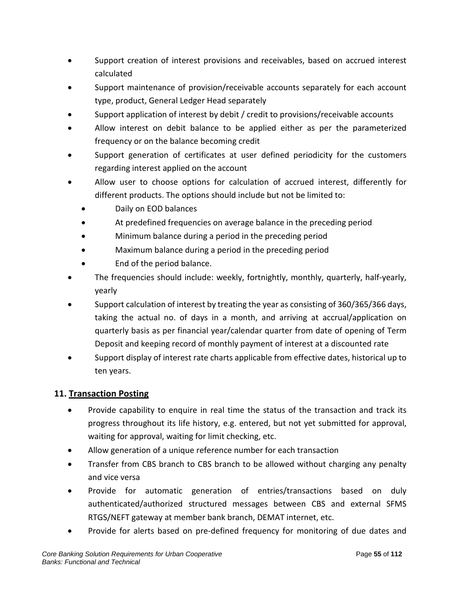- Support creation of interest provisions and receivables, based on accrued interest calculated
- Support maintenance of provision/receivable accounts separately for each account type, product, General Ledger Head separately
- Support application of interest by debit / credit to provisions/receivable accounts
- Allow interest on debit balance to be applied either as per the parameterized frequency or on the balance becoming credit
- Support generation of certificates at user defined periodicity for the customers regarding interest applied on the account
- Allow user to choose options for calculation of accrued interest, differently for different products. The options should include but not be limited to:
	- Daily on EOD balances
	- At predefined frequencies on average balance in the preceding period
	- Minimum balance during a period in the preceding period
	- Maximum balance during a period in the preceding period
	- End of the period balance.
- The frequencies should include: weekly, fortnightly, monthly, quarterly, half-yearly, yearly
- Support calculation of interest by treating the year as consisting of 360/365/366 days, taking the actual no. of days in a month, and arriving at accrual/application on quarterly basis as per financial year/calendar quarter from date of opening of Term Deposit and keeping record of monthly payment of interest at a discounted rate
- Support display of interest rate charts applicable from effective dates, historical up to ten years.

# **11. Transaction Posting**

- Provide capability to enquire in real time the status of the transaction and track its progress throughout its life history, e.g. entered, but not yet submitted for approval, waiting for approval, waiting for limit checking, etc.
- Allow generation of a unique reference number for each transaction
- Transfer from CBS branch to CBS branch to be allowed without charging any penalty and vice versa
- Provide for automatic generation of entries/transactions based on duly authenticated/authorized structured messages between CBS and external SFMS RTGS/NEFT gateway at member bank branch, DEMAT internet, etc.
- Provide for alerts based on pre-defined frequency for monitoring of due dates and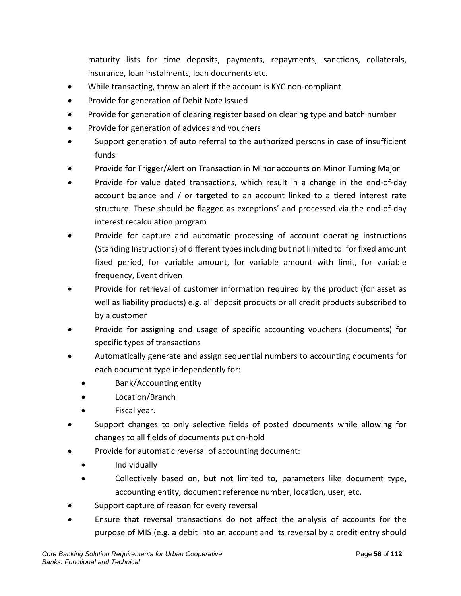maturity lists for time deposits, payments, repayments, sanctions, collaterals, insurance, loan instalments, loan documents etc.

- While transacting, throw an alert if the account is KYC non-compliant
- Provide for generation of Debit Note Issued
- Provide for generation of clearing register based on clearing type and batch number
- Provide for generation of advices and vouchers
- Support generation of auto referral to the authorized persons in case of insufficient funds
- Provide for Trigger/Alert on Transaction in Minor accounts on Minor Turning Major
- Provide for value dated transactions, which result in a change in the end-of-day account balance and / or targeted to an account linked to a tiered interest rate structure. These should be flagged as exceptions' and processed via the end-of-day interest recalculation program
- Provide for capture and automatic processing of account operating instructions (Standing Instructions) of different typesincluding but not limited to: for fixed amount fixed period, for variable amount, for variable amount with limit, for variable frequency, Event driven
- Provide for retrieval of customer information required by the product (for asset as well as liability products) e.g. all deposit products or all credit products subscribed to by a customer
- Provide for assigning and usage of specific accounting vouchers (documents) for specific types of transactions
- Automatically generate and assign sequential numbers to accounting documents for each document type independently for:
	- Bank/Accounting entity
	- Location/Branch
	- Fiscal year.
- Support changes to only selective fields of posted documents while allowing for changes to all fields of documents put on-hold
- Provide for automatic reversal of accounting document:
	- Individually
	- Collectively based on, but not limited to, parameters like document type, accounting entity, document reference number, location, user, etc.
- Support capture of reason for every reversal
- Ensure that reversal transactions do not affect the analysis of accounts for the purpose of MIS (e.g. a debit into an account and its reversal by a credit entry should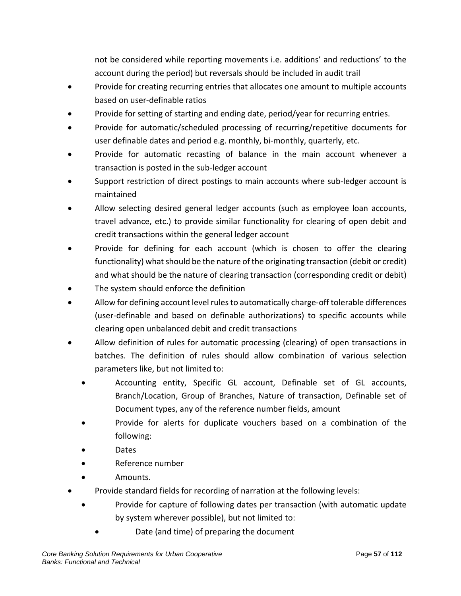not be considered while reporting movements i.e. additions' and reductions' to the account during the period) but reversals should be included in audit trail

- Provide for creating recurring entries that allocates one amount to multiple accounts based on user-definable ratios
- Provide for setting of starting and ending date, period/year for recurring entries.
- Provide for automatic/scheduled processing of recurring/repetitive documents for user definable dates and period e.g. monthly, bi-monthly, quarterly, etc.
- Provide for automatic recasting of balance in the main account whenever a transaction is posted in the sub-ledger account
- Support restriction of direct postings to main accounts where sub-ledger account is maintained
- Allow selecting desired general ledger accounts (such as employee loan accounts, travel advance, etc.) to provide similar functionality for clearing of open debit and credit transactions within the general ledger account
- Provide for defining for each account (which is chosen to offer the clearing functionality) what should be the nature of the originating transaction (debit or credit) and what should be the nature of clearing transaction (corresponding credit or debit)
- The system should enforce the definition
- Allow for defining account level rules to automatically charge-off tolerable differences (user-definable and based on definable authorizations) to specific accounts while clearing open unbalanced debit and credit transactions
- Allow definition of rules for automatic processing (clearing) of open transactions in batches. The definition of rules should allow combination of various selection parameters like, but not limited to:
	- Accounting entity, Specific GL account, Definable set of GL accounts, Branch/Location, Group of Branches, Nature of transaction, Definable set of Document types, any of the reference number fields, amount
	- Provide for alerts for duplicate vouchers based on a combination of the following:
	- Dates
	- Reference number
	- Amounts.
- Provide standard fields for recording of narration at the following levels:
	- Provide for capture of following dates per transaction (with automatic update by system wherever possible), but not limited to:
		- Date (and time) of preparing the document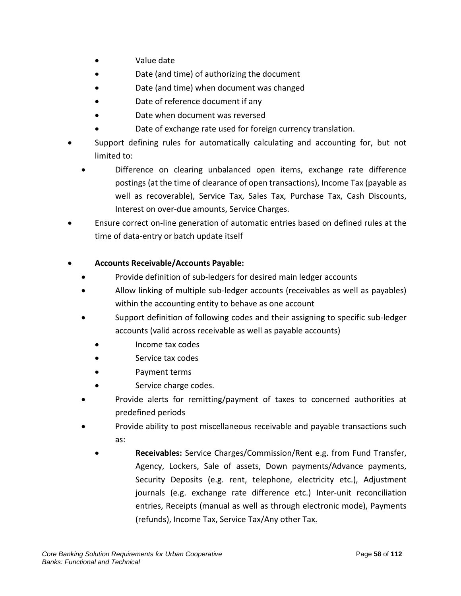- Value date
- Date (and time) of authorizing the document
- Date (and time) when document was changed
- Date of reference document if any
- Date when document was reversed
- Date of exchange rate used for foreign currency translation.
- Support defining rules for automatically calculating and accounting for, but not limited to:
	- Difference on clearing unbalanced open items, exchange rate difference postings (at the time of clearance of open transactions), Income Tax (payable as well as recoverable), Service Tax, Sales Tax, Purchase Tax, Cash Discounts, Interest on over-due amounts, Service Charges.
- Ensure correct on-line generation of automatic entries based on defined rules at the time of data-entry or batch update itself

## • **Accounts Receivable/Accounts Payable:**

- Provide definition of sub-ledgers for desired main ledger accounts
- Allow linking of multiple sub-ledger accounts (receivables as well as payables) within the accounting entity to behave as one account
- Support definition of following codes and their assigning to specific sub-ledger accounts (valid across receivable as well as payable accounts)
	- Income tax codes
	- Service tax codes
	- Payment terms
	- Service charge codes.
- Provide alerts for remitting/payment of taxes to concerned authorities at predefined periods
- Provide ability to post miscellaneous receivable and payable transactions such as:
	- **Receivables:** Service Charges/Commission/Rent e.g. from Fund Transfer, Agency, Lockers, Sale of assets, Down payments/Advance payments, Security Deposits (e.g. rent, telephone, electricity etc.), Adjustment journals (e.g. exchange rate difference etc.) Inter-unit reconciliation entries, Receipts (manual as well as through electronic mode), Payments (refunds), Income Tax, Service Tax/Any other Tax.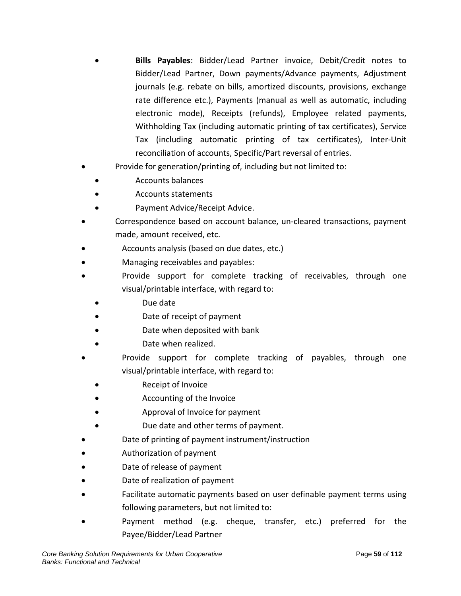- **Bills Payables**: Bidder/Lead Partner invoice, Debit/Credit notes to Bidder/Lead Partner, Down payments/Advance payments, Adjustment journals (e.g. rebate on bills, amortized discounts, provisions, exchange rate difference etc.), Payments (manual as well as automatic, including electronic mode), Receipts (refunds), Employee related payments, Withholding Tax (including automatic printing of tax certificates), Service Tax (including automatic printing of tax certificates), Inter-Unit reconciliation of accounts, Specific/Part reversal of entries.
- Provide for generation/printing of, including but not limited to:
	- Accounts balances
	- Accounts statements
	- Payment Advice/Receipt Advice.
- Correspondence based on account balance, un-cleared transactions, payment made, amount received, etc.
- Accounts analysis (based on due dates, etc.)
- Managing receivables and payables:
- Provide support for complete tracking of receivables, through one visual/printable interface, with regard to:
	- Due date
	- Date of receipt of payment
	- Date when deposited with bank
	- Date when realized.
- Provide support for complete tracking of payables, through one visual/printable interface, with regard to:
	- Receipt of Invoice
	- Accounting of the Invoice
	- Approval of Invoice for payment
	- Due date and other terms of payment.
- Date of printing of payment instrument/instruction
- Authorization of payment
- Date of release of payment
- Date of realization of payment
- Facilitate automatic payments based on user definable payment terms using following parameters, but not limited to:
- Payment method (e.g. cheque, transfer, etc.) preferred for the Payee/Bidder/Lead Partner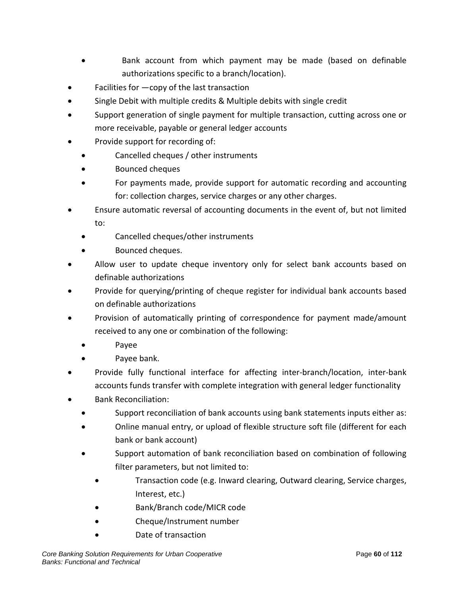- Bank account from which payment may be made (based on definable authorizations specific to a branch/location).
- Facilities for  $-\text{copy}$  of the last transaction
- Single Debit with multiple credits & Multiple debits with single credit
- Support generation of single payment for multiple transaction, cutting across one or more receivable, payable or general ledger accounts
- Provide support for recording of:
	- Cancelled cheques / other instruments
	- Bounced cheques
	- For payments made, provide support for automatic recording and accounting for: collection charges, service charges or any other charges.
- Ensure automatic reversal of accounting documents in the event of, but not limited to:
	- Cancelled cheques/other instruments
	- Bounced cheques.
- Allow user to update cheque inventory only for select bank accounts based on definable authorizations
- Provide for querying/printing of cheque register for individual bank accounts based on definable authorizations
- Provision of automatically printing of correspondence for payment made/amount received to any one or combination of the following:
	- Payee
	- Payee bank.
- Provide fully functional interface for affecting inter-branch/location, inter-bank accounts funds transfer with complete integration with general ledger functionality
- Bank Reconciliation:
	- Support reconciliation of bank accounts using bank statements inputs either as:
	- Online manual entry, or upload of flexible structure soft file (different for each bank or bank account)
	- Support automation of bank reconciliation based on combination of following filter parameters, but not limited to:
		- Transaction code (e.g. Inward clearing, Outward clearing, Service charges, Interest, etc.)
		- Bank/Branch code/MICR code
		- Cheque/Instrument number
		- Date of transaction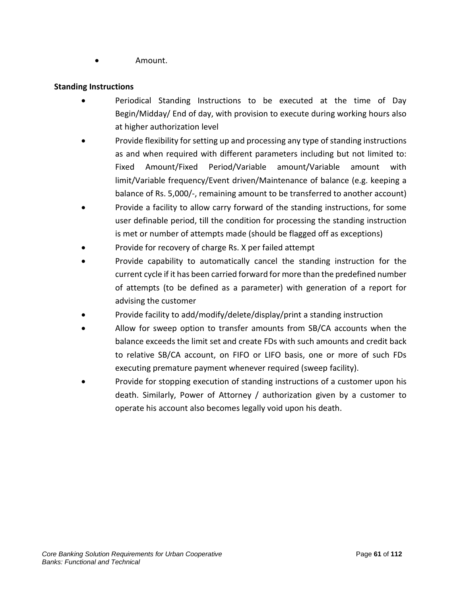• Amount.

#### **Standing Instructions**

- Periodical Standing Instructions to be executed at the time of Day Begin/Midday/ End of day, with provision to execute during working hours also at higher authorization level
- Provide flexibility for setting up and processing any type of standing instructions as and when required with different parameters including but not limited to: Fixed Amount/Fixed Period/Variable amount/Variable amount with limit/Variable frequency/Event driven/Maintenance of balance (e.g. keeping a balance of Rs. 5,000/-, remaining amount to be transferred to another account)
- Provide a facility to allow carry forward of the standing instructions, for some user definable period, till the condition for processing the standing instruction is met or number of attempts made (should be flagged off as exceptions)
- Provide for recovery of charge Rs. X per failed attempt
- Provide capability to automatically cancel the standing instruction for the current cycle if it has been carried forward for more than the predefined number of attempts (to be defined as a parameter) with generation of a report for advising the customer
- Provide facility to add/modify/delete/display/print a standing instruction
- Allow for sweep option to transfer amounts from SB/CA accounts when the balance exceeds the limit set and create FDs with such amounts and credit back to relative SB/CA account, on FIFO or LIFO basis, one or more of such FDs executing premature payment whenever required (sweep facility).
- Provide for stopping execution of standing instructions of a customer upon his death. Similarly, Power of Attorney / authorization given by a customer to operate his account also becomes legally void upon his death.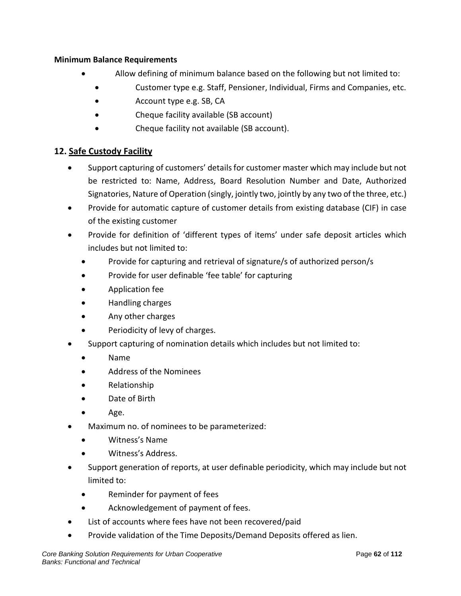#### **Minimum Balance Requirements**

- Allow defining of minimum balance based on the following but not limited to:
	- Customer type e.g. Staff, Pensioner, Individual, Firms and Companies, etc.
	- Account type e.g. SB, CA
	- Cheque facility available (SB account)
	- Cheque facility not available (SB account).

## **12. Safe Custody Facility**

- Support capturing of customers' details for customer master which may include but not be restricted to: Name, Address, Board Resolution Number and Date, Authorized Signatories, Nature of Operation (singly, jointly two, jointly by any two of the three, etc.)
- Provide for automatic capture of customer details from existing database (CIF) in case of the existing customer
- Provide for definition of 'different types of items' under safe deposit articles which includes but not limited to:
	- Provide for capturing and retrieval of signature/s of authorized person/s
	- Provide for user definable 'fee table' for capturing
	- Application fee
	- Handling charges
	- Any other charges
	- Periodicity of levy of charges.
- Support capturing of nomination details which includes but not limited to:
	- Name
	- Address of the Nominees
	- Relationship
	- Date of Birth
	- Age.
- Maximum no. of nominees to be parameterized:
	- Witness's Name
	- Witness's Address.
- Support generation of reports, at user definable periodicity, which may include but not limited to:
	- Reminder for payment of fees
	- Acknowledgement of payment of fees.
- List of accounts where fees have not been recovered/paid
- Provide validation of the Time Deposits/Demand Deposits offered as lien.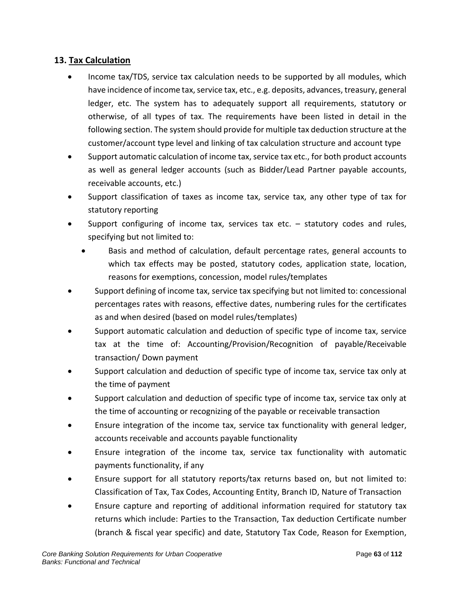## **13. Tax Calculation**

- Income tax/TDS, service tax calculation needs to be supported by all modules, which have incidence of income tax, service tax, etc., e.g. deposits, advances, treasury, general ledger, etc. The system has to adequately support all requirements, statutory or otherwise, of all types of tax. The requirements have been listed in detail in the following section. The system should provide for multiple tax deduction structure at the customer/account type level and linking of tax calculation structure and account type
- Support automatic calculation of income tax, service tax etc., for both product accounts as well as general ledger accounts (such as Bidder/Lead Partner payable accounts, receivable accounts, etc.)
- Support classification of taxes as income tax, service tax, any other type of tax for statutory reporting
- Support configuring of income tax, services tax etc.  $-$  statutory codes and rules, specifying but not limited to:
	- Basis and method of calculation, default percentage rates, general accounts to which tax effects may be posted, statutory codes, application state, location, reasons for exemptions, concession, model rules/templates
- Support defining of income tax, service tax specifying but not limited to: concessional percentages rates with reasons, effective dates, numbering rules for the certificates as and when desired (based on model rules/templates)
- Support automatic calculation and deduction of specific type of income tax, service tax at the time of: Accounting/Provision/Recognition of payable/Receivable transaction/ Down payment
- Support calculation and deduction of specific type of income tax, service tax only at the time of payment
- Support calculation and deduction of specific type of income tax, service tax only at the time of accounting or recognizing of the payable or receivable transaction
- Ensure integration of the income tax, service tax functionality with general ledger, accounts receivable and accounts payable functionality
- Ensure integration of the income tax, service tax functionality with automatic payments functionality, if any
- Ensure support for all statutory reports/tax returns based on, but not limited to: Classification of Tax, Tax Codes, Accounting Entity, Branch ID, Nature of Transaction
- Ensure capture and reporting of additional information required for statutory tax returns which include: Parties to the Transaction, Tax deduction Certificate number (branch & fiscal year specific) and date, Statutory Tax Code, Reason for Exemption,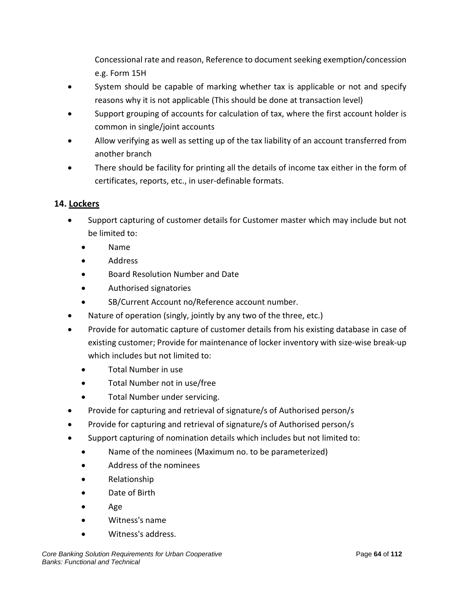Concessional rate and reason, Reference to document seeking exemption/concession e.g. Form 15H

- System should be capable of marking whether tax is applicable or not and specify reasons why it is not applicable (This should be done at transaction level)
- Support grouping of accounts for calculation of tax, where the first account holder is common in single/joint accounts
- Allow verifying as well as setting up of the tax liability of an account transferred from another branch
- There should be facility for printing all the details of income tax either in the form of certificates, reports, etc., in user-definable formats.

# **14. Lockers**

- Support capturing of customer details for Customer master which may include but not be limited to:
	- Name
	- Address
	- Board Resolution Number and Date
	- Authorised signatories
	- SB/Current Account no/Reference account number.
- Nature of operation (singly, jointly by any two of the three, etc.)
- Provide for automatic capture of customer details from his existing database in case of existing customer; Provide for maintenance of locker inventory with size-wise break-up which includes but not limited to:
	- Total Number in use
	- Total Number not in use/free
	- Total Number under servicing.
- Provide for capturing and retrieval of signature/s of Authorised person/s
- Provide for capturing and retrieval of signature/s of Authorised person/s
- Support capturing of nomination details which includes but not limited to:
	- Name of the nominees (Maximum no. to be parameterized)
	- Address of the nominees
	- Relationship
	- Date of Birth
	- Age
	- Witness's name
	- Witness's address.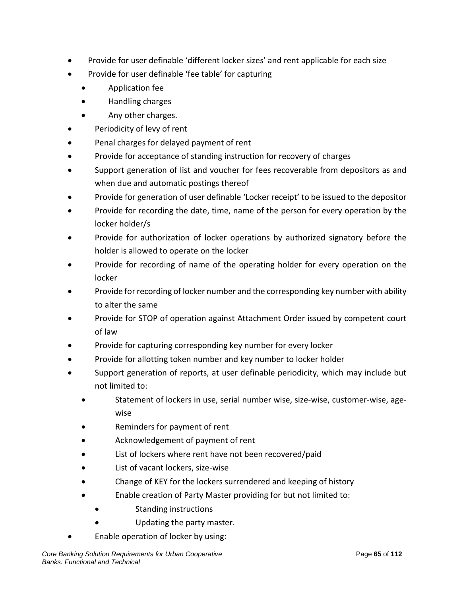- Provide for user definable 'different locker sizes' and rent applicable for each size
- Provide for user definable 'fee table' for capturing
	- Application fee
	- Handling charges
	- Any other charges.
- Periodicity of levy of rent
- Penal charges for delayed payment of rent
- Provide for acceptance of standing instruction for recovery of charges
- Support generation of list and voucher for fees recoverable from depositors as and when due and automatic postings thereof
- Provide for generation of user definable 'Locker receipt' to be issued to the depositor
- Provide for recording the date, time, name of the person for every operation by the locker holder/s
- Provide for authorization of locker operations by authorized signatory before the holder is allowed to operate on the locker
- Provide for recording of name of the operating holder for every operation on the locker
- Provide for recording of locker number and the corresponding key number with ability to alter the same
- Provide for STOP of operation against Attachment Order issued by competent court of law
- Provide for capturing corresponding key number for every locker
- Provide for allotting token number and key number to locker holder
- Support generation of reports, at user definable periodicity, which may include but not limited to:
	- Statement of lockers in use, serial number wise, size-wise, customer-wise, agewise
	- Reminders for payment of rent
	- Acknowledgement of payment of rent
	- List of lockers where rent have not been recovered/paid
	- List of vacant lockers, size-wise
	- Change of KEY for the lockers surrendered and keeping of history
	- Enable creation of Party Master providing for but not limited to:
		- Standing instructions
			- Updating the party master.
- Enable operation of locker by using: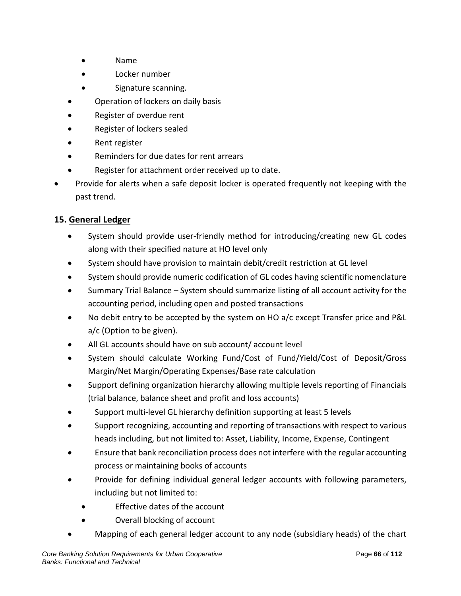- Name
- Locker number
- Signature scanning.
- Operation of lockers on daily basis
- Register of overdue rent
- Register of lockers sealed
- Rent register
- Reminders for due dates for rent arrears
- Register for attachment order received up to date.
- Provide for alerts when a safe deposit locker is operated frequently not keeping with the past trend.

## **15. General Ledger**

- System should provide user-friendly method for introducing/creating new GL codes along with their specified nature at HO level only
- System should have provision to maintain debit/credit restriction at GL level
- System should provide numeric codification of GL codes having scientific nomenclature
- Summary Trial Balance System should summarize listing of all account activity for the accounting period, including open and posted transactions
- No debit entry to be accepted by the system on HO a/c except Transfer price and P&L a/c (Option to be given).
- All GL accounts should have on sub account/ account level
- System should calculate Working Fund/Cost of Fund/Yield/Cost of Deposit/Gross Margin/Net Margin/Operating Expenses/Base rate calculation
- Support defining organization hierarchy allowing multiple levels reporting of Financials (trial balance, balance sheet and profit and loss accounts)
- Support multi-level GL hierarchy definition supporting at least 5 levels
- Support recognizing, accounting and reporting of transactions with respect to various heads including, but not limited to: Asset, Liability, Income, Expense, Contingent
- Ensure that bank reconciliation process does not interfere with the regular accounting process or maintaining books of accounts
- Provide for defining individual general ledger accounts with following parameters, including but not limited to:
	- Effective dates of the account
	- Overall blocking of account
- Mapping of each general ledger account to any node (subsidiary heads) of the chart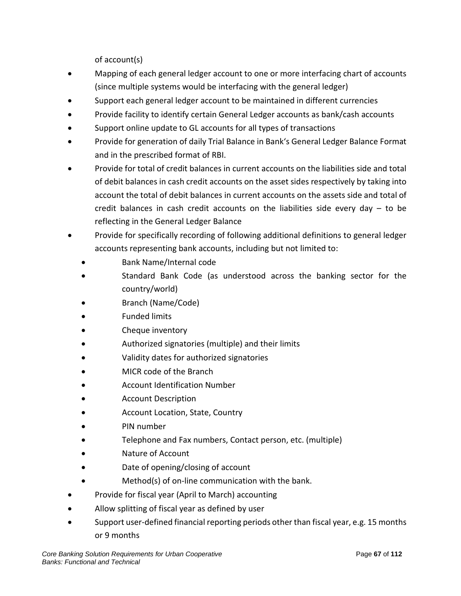of account(s)

- Mapping of each general ledger account to one or more interfacing chart of accounts (since multiple systems would be interfacing with the general ledger)
- Support each general ledger account to be maintained in different currencies
- Provide facility to identify certain General Ledger accounts as bank/cash accounts
- Support online update to GL accounts for all types of transactions
- Provide for generation of daily Trial Balance in Bank's General Ledger Balance Format and in the prescribed format of RBI.
- Provide for total of credit balances in current accounts on the liabilities side and total of debit balances in cash credit accounts on the asset sides respectively by taking into account the total of debit balances in current accounts on the assets side and total of credit balances in cash credit accounts on the liabilities side every day – to be reflecting in the General Ledger Balance
- Provide for specifically recording of following additional definitions to general ledger accounts representing bank accounts, including but not limited to:
	- Bank Name/Internal code
	- Standard Bank Code (as understood across the banking sector for the country/world)
	- Branch (Name/Code)
	- Funded limits
	- Cheque inventory
	- Authorized signatories (multiple) and their limits
	- Validity dates for authorized signatories
	- MICR code of the Branch
	- Account Identification Number
	- Account Description
	- Account Location, State, Country
	- PIN number
	- Telephone and Fax numbers, Contact person, etc. (multiple)
	- Nature of Account
	- Date of opening/closing of account
	- Method(s) of on-line communication with the bank.
- Provide for fiscal year (April to March) accounting
- Allow splitting of fiscal year as defined by user
- Support user-defined financial reporting periods other than fiscal year, e.g. 15 months or 9 months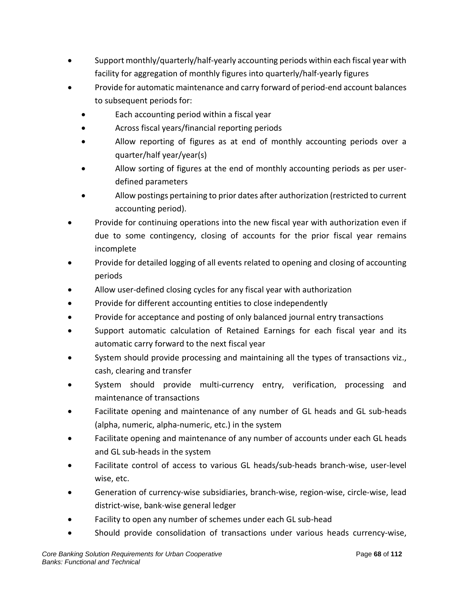- Support monthly/quarterly/half-yearly accounting periods within each fiscal year with facility for aggregation of monthly figures into quarterly/half-yearly figures
- Provide for automatic maintenance and carry forward of period-end account balances to subsequent periods for:
	- Each accounting period within a fiscal year
	- Across fiscal years/financial reporting periods
	- Allow reporting of figures as at end of monthly accounting periods over a quarter/half year/year(s)
	- Allow sorting of figures at the end of monthly accounting periods as per userdefined parameters
	- Allow postings pertaining to prior dates after authorization (restricted to current accounting period).
- Provide for continuing operations into the new fiscal year with authorization even if due to some contingency, closing of accounts for the prior fiscal year remains incomplete
- Provide for detailed logging of all events related to opening and closing of accounting periods
- Allow user-defined closing cycles for any fiscal year with authorization
- Provide for different accounting entities to close independently
- Provide for acceptance and posting of only balanced journal entry transactions
- Support automatic calculation of Retained Earnings for each fiscal year and its automatic carry forward to the next fiscal year
- System should provide processing and maintaining all the types of transactions viz., cash, clearing and transfer
- System should provide multi-currency entry, verification, processing and maintenance of transactions
- Facilitate opening and maintenance of any number of GL heads and GL sub-heads (alpha, numeric, alpha-numeric, etc.) in the system
- Facilitate opening and maintenance of any number of accounts under each GL heads and GL sub-heads in the system
- Facilitate control of access to various GL heads/sub-heads branch-wise, user-level wise, etc.
- Generation of currency-wise subsidiaries, branch-wise, region-wise, circle-wise, lead district-wise, bank-wise general ledger
- Facility to open any number of schemes under each GL sub-head
- Should provide consolidation of transactions under various heads currency-wise,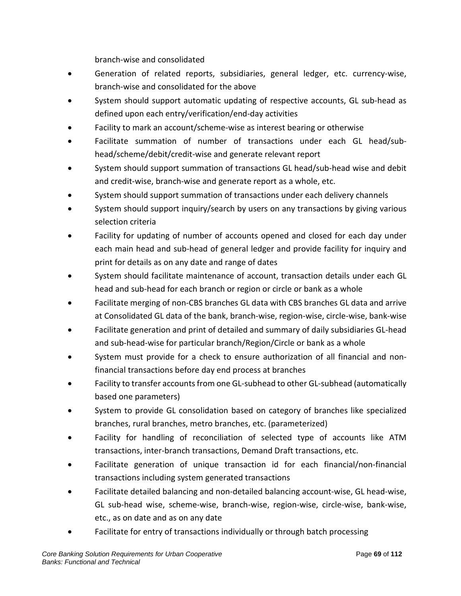branch-wise and consolidated

- Generation of related reports, subsidiaries, general ledger, etc. currency-wise, branch-wise and consolidated for the above
- System should support automatic updating of respective accounts, GL sub-head as defined upon each entry/verification/end-day activities
- Facility to mark an account/scheme-wise as interest bearing or otherwise
- Facilitate summation of number of transactions under each GL head/subhead/scheme/debit/credit-wise and generate relevant report
- System should support summation of transactions GL head/sub-head wise and debit and credit-wise, branch-wise and generate report as a whole, etc.
- System should support summation of transactions under each delivery channels
- System should support inquiry/search by users on any transactions by giving various selection criteria
- Facility for updating of number of accounts opened and closed for each day under each main head and sub-head of general ledger and provide facility for inquiry and print for details as on any date and range of dates
- System should facilitate maintenance of account, transaction details under each GL head and sub-head for each branch or region or circle or bank as a whole
- Facilitate merging of non-CBS branches GL data with CBS branches GL data and arrive at Consolidated GL data of the bank, branch-wise, region-wise, circle-wise, bank-wise
- Facilitate generation and print of detailed and summary of daily subsidiaries GL-head and sub-head-wise for particular branch/Region/Circle or bank as a whole
- System must provide for a check to ensure authorization of all financial and nonfinancial transactions before day end process at branches
- Facility to transfer accounts from one GL-subhead to other GL-subhead (automatically based one parameters)
- System to provide GL consolidation based on category of branches like specialized branches, rural branches, metro branches, etc. (parameterized)
- Facility for handling of reconciliation of selected type of accounts like ATM transactions, inter-branch transactions, Demand Draft transactions, etc.
- Facilitate generation of unique transaction id for each financial/non-financial transactions including system generated transactions
- Facilitate detailed balancing and non-detailed balancing account-wise, GL head-wise, GL sub-head wise, scheme-wise, branch-wise, region-wise, circle-wise, bank-wise, etc., as on date and as on any date
- Facilitate for entry of transactions individually or through batch processing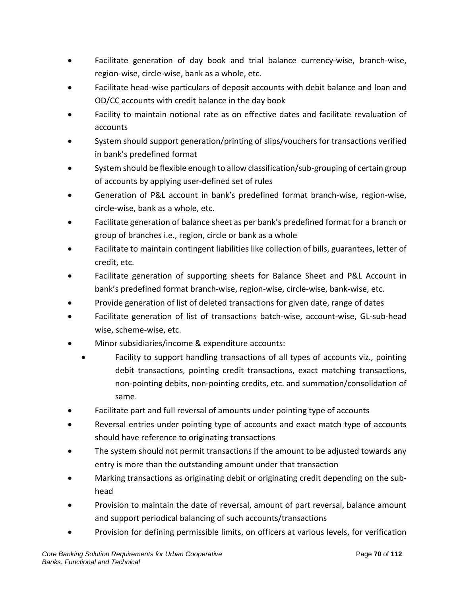- Facilitate generation of day book and trial balance currency-wise, branch-wise, region-wise, circle-wise, bank as a whole, etc.
- Facilitate head-wise particulars of deposit accounts with debit balance and loan and OD/CC accounts with credit balance in the day book
- Facility to maintain notional rate as on effective dates and facilitate revaluation of accounts
- System should support generation/printing of slips/vouchers for transactions verified in bank's predefined format
- System should be flexible enough to allow classification/sub-grouping of certain group of accounts by applying user-defined set of rules
- Generation of P&L account in bank's predefined format branch-wise, region-wise, circle-wise, bank as a whole, etc.
- Facilitate generation of balance sheet as per bank's predefined format for a branch or group of branches i.e., region, circle or bank as a whole
- Facilitate to maintain contingent liabilities like collection of bills, guarantees, letter of credit, etc.
- Facilitate generation of supporting sheets for Balance Sheet and P&L Account in bank's predefined format branch-wise, region-wise, circle-wise, bank-wise, etc.
- Provide generation of list of deleted transactions for given date, range of dates
- Facilitate generation of list of transactions batch-wise, account-wise, GL-sub-head wise, scheme-wise, etc.
- Minor subsidiaries/income & expenditure accounts:
	- Facility to support handling transactions of all types of accounts viz., pointing debit transactions, pointing credit transactions, exact matching transactions, non-pointing debits, non-pointing credits, etc. and summation/consolidation of same.
- Facilitate part and full reversal of amounts under pointing type of accounts
- Reversal entries under pointing type of accounts and exact match type of accounts should have reference to originating transactions
- The system should not permit transactions if the amount to be adjusted towards any entry is more than the outstanding amount under that transaction
- Marking transactions as originating debit or originating credit depending on the subhead
- Provision to maintain the date of reversal, amount of part reversal, balance amount and support periodical balancing of such accounts/transactions
- Provision for defining permissible limits, on officers at various levels, for verification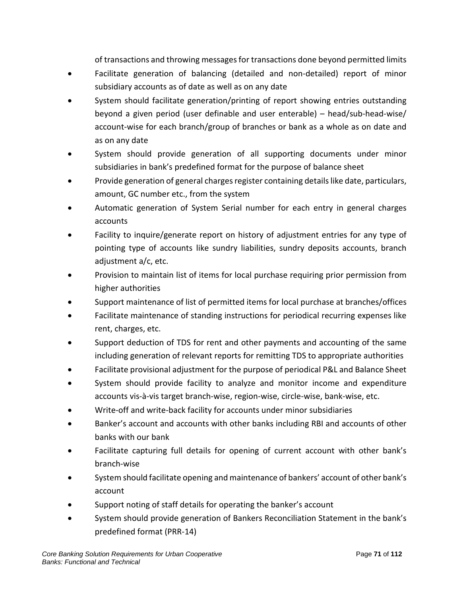of transactions and throwing messages for transactions done beyond permitted limits

- Facilitate generation of balancing (detailed and non-detailed) report of minor subsidiary accounts as of date as well as on any date
- System should facilitate generation/printing of report showing entries outstanding beyond a given period (user definable and user enterable) – head/sub-head-wise/ account-wise for each branch/group of branches or bank as a whole as on date and as on any date
- System should provide generation of all supporting documents under minor subsidiaries in bank's predefined format for the purpose of balance sheet
- Provide generation of general charges register containing details like date, particulars, amount, GC number etc., from the system
- Automatic generation of System Serial number for each entry in general charges accounts
- Facility to inquire/generate report on history of adjustment entries for any type of pointing type of accounts like sundry liabilities, sundry deposits accounts, branch adjustment a/c, etc.
- Provision to maintain list of items for local purchase requiring prior permission from higher authorities
- Support maintenance of list of permitted items for local purchase at branches/offices
- Facilitate maintenance of standing instructions for periodical recurring expenses like rent, charges, etc.
- Support deduction of TDS for rent and other payments and accounting of the same including generation of relevant reports for remitting TDS to appropriate authorities
- Facilitate provisional adjustment for the purpose of periodical P&L and Balance Sheet
- System should provide facility to analyze and monitor income and expenditure accounts vis-à-vis target branch-wise, region-wise, circle-wise, bank-wise, etc.
- Write-off and write-back facility for accounts under minor subsidiaries
- Banker's account and accounts with other banks including RBI and accounts of other banks with our bank
- Facilitate capturing full details for opening of current account with other bank's branch-wise
- System should facilitate opening and maintenance of bankers' account of other bank's account
- Support noting of staff details for operating the banker's account
- System should provide generation of Bankers Reconciliation Statement in the bank's predefined format (PRR-14)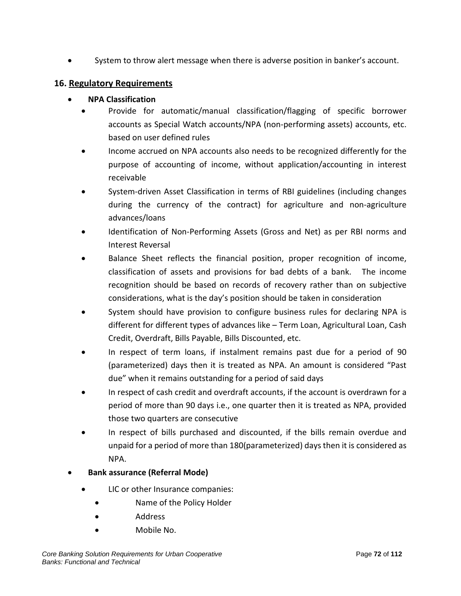• System to throw alert message when there is adverse position in banker's account.

#### **16. Regulatory Requirements**

#### • **NPA Classification**

- Provide for automatic/manual classification/flagging of specific borrower accounts as Special Watch accounts/NPA (non-performing assets) accounts, etc. based on user defined rules
- Income accrued on NPA accounts also needs to be recognized differently for the purpose of accounting of income, without application/accounting in interest receivable
- System-driven Asset Classification in terms of RBI guidelines (including changes during the currency of the contract) for agriculture and non-agriculture advances/loans
- Identification of Non-Performing Assets (Gross and Net) as per RBI norms and Interest Reversal
- Balance Sheet reflects the financial position, proper recognition of income, classification of assets and provisions for bad debts of a bank. The income recognition should be based on records of recovery rather than on subjective considerations, what is the day's position should be taken in consideration
- System should have provision to configure business rules for declaring NPA is different for different types of advances like – Term Loan, Agricultural Loan, Cash Credit, Overdraft, Bills Payable, Bills Discounted, etc.
- In respect of term loans, if instalment remains past due for a period of 90 (parameterized) days then it is treated as NPA. An amount is considered "Past due" when it remains outstanding for a period of said days
- In respect of cash credit and overdraft accounts, if the account is overdrawn for a period of more than 90 days i.e., one quarter then it is treated as NPA, provided those two quarters are consecutive
- In respect of bills purchased and discounted, if the bills remain overdue and unpaid for a period of more than 180(parameterized) days then it is considered as NPA.

## • **Bank assurance (Referral Mode)**

- LIC or other Insurance companies:
	- Name of the Policy Holder
	- Address
	- Mobile No.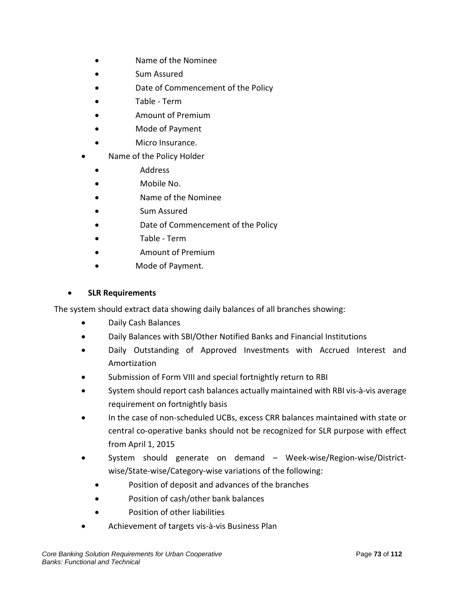- Name of the Nominee
- Sum Assured
- Date of Commencement of the Policy
- Table Term
- Amount of Premium
- Mode of Payment
- Micro Insurance.
- Name of the Policy Holder
	- Address
	- Mobile No.
	- Name of the Nominee
	- Sum Assured
	- Date of Commencement of the Policy
	- Table Term
	- Amount of Premium
	- Mode of Payment.

#### • **SLR Requirements**

The system should extract data showing daily balances of all branches showing:

- Daily Cash Balances
- Daily Balances with SBI/Other Notified Banks and Financial Institutions
- Daily Outstanding of Approved Investments with Accrued Interest and Amortization
- Submission of Form VIII and special fortnightly return to RBI
- System should report cash balances actually maintained with RBI vis-à-vis average requirement on fortnightly basis
- In the case of non-scheduled UCBs, excess CRR balances maintained with state or central co-operative banks should not be recognized for SLR purpose with effect from April 1, 2015
- System should generate on demand Week-wise/Region-wise/Districtwise/State-wise/Category-wise variations of the following:
	- Position of deposit and advances of the branches
	- Position of cash/other bank balances
	- Position of other liabilities
- Achievement of targets vis-à-vis Business Plan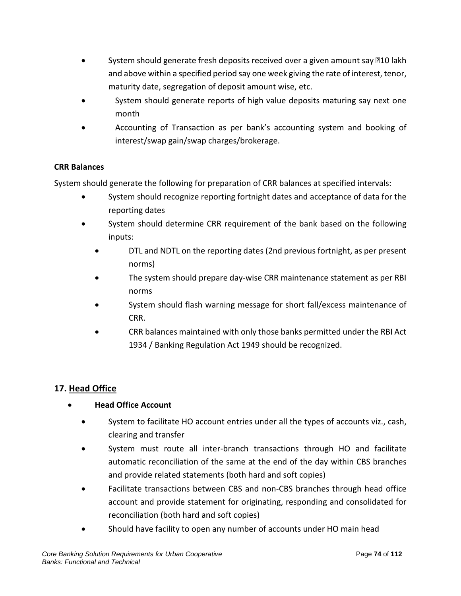- System should generate fresh deposits received over a given amount say  $10$  lakh and above within a specified period say one week giving the rate of interest, tenor, maturity date, segregation of deposit amount wise, etc.
- System should generate reports of high value deposits maturing say next one month
- Accounting of Transaction as per bank's accounting system and booking of interest/swap gain/swap charges/brokerage.

## **CRR Balances**

System should generate the following for preparation of CRR balances at specified intervals:

- System should recognize reporting fortnight dates and acceptance of data for the reporting dates
- System should determine CRR requirement of the bank based on the following inputs:
	- DTL and NDTL on the reporting dates (2nd previous fortnight, as per present norms)
	- The system should prepare day-wise CRR maintenance statement as per RBI norms
	- System should flash warning message for short fall/excess maintenance of CRR.
	- CRR balances maintained with only those banks permitted under the RBI Act 1934 / Banking Regulation Act 1949 should be recognized.

# **17. Head Office**

# • **Head Office Account**

- System to facilitate HO account entries under all the types of accounts viz., cash, clearing and transfer
- System must route all inter-branch transactions through HO and facilitate automatic reconciliation of the same at the end of the day within CBS branches and provide related statements (both hard and soft copies)
- Facilitate transactions between CBS and non-CBS branches through head office account and provide statement for originating, responding and consolidated for reconciliation (both hard and soft copies)
- Should have facility to open any number of accounts under HO main head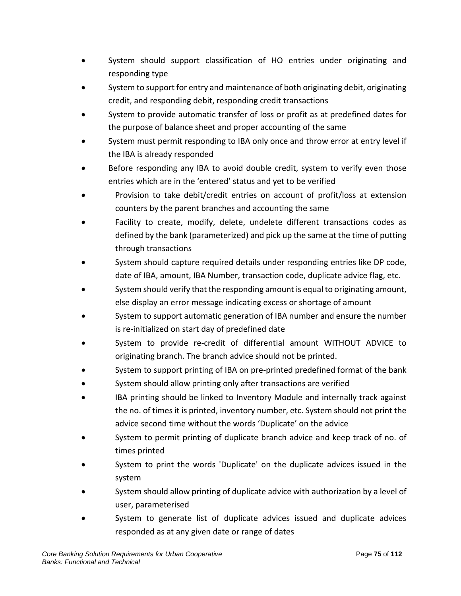- System should support classification of HO entries under originating and responding type
- System to support for entry and maintenance of both originating debit, originating credit, and responding debit, responding credit transactions
- System to provide automatic transfer of loss or profit as at predefined dates for the purpose of balance sheet and proper accounting of the same
- System must permit responding to IBA only once and throw error at entry level if the IBA is already responded
- Before responding any IBA to avoid double credit, system to verify even those entries which are in the 'entered' status and yet to be verified
- Provision to take debit/credit entries on account of profit/loss at extension counters by the parent branches and accounting the same
- Facility to create, modify, delete, undelete different transactions codes as defined by the bank (parameterized) and pick up the same at the time of putting through transactions
- System should capture required details under responding entries like DP code, date of IBA, amount, IBA Number, transaction code, duplicate advice flag, etc.
- System should verify that the responding amount is equal to originating amount, else display an error message indicating excess or shortage of amount
- System to support automatic generation of IBA number and ensure the number is re-initialized on start day of predefined date
- System to provide re-credit of differential amount WITHOUT ADVICE to originating branch. The branch advice should not be printed.
- System to support printing of IBA on pre-printed predefined format of the bank
- System should allow printing only after transactions are verified
- IBA printing should be linked to Inventory Module and internally track against the no. of times it is printed, inventory number, etc. System should not print the advice second time without the words 'Duplicate' on the advice
- System to permit printing of duplicate branch advice and keep track of no. of times printed
- System to print the words 'Duplicate' on the duplicate advices issued in the system
- System should allow printing of duplicate advice with authorization by a level of user, parameterised
- System to generate list of duplicate advices issued and duplicate advices responded as at any given date or range of dates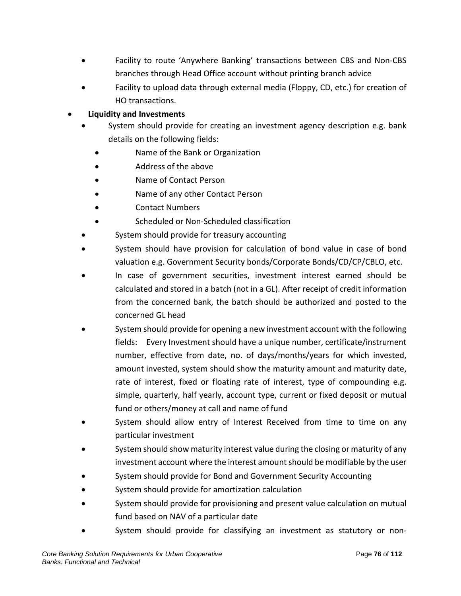- Facility to route 'Anywhere Banking' transactions between CBS and Non-CBS branches through Head Office account without printing branch advice
- Facility to upload data through external media (Floppy, CD, etc.) for creation of HO transactions.

# • **Liquidity and Investments**

- System should provide for creating an investment agency description e.g. bank details on the following fields:
	- Name of the Bank or Organization
	- Address of the above
	- Name of Contact Person
	- Name of any other Contact Person
	- Contact Numbers
	- Scheduled or Non-Scheduled classification
- System should provide for treasury accounting
- System should have provision for calculation of bond value in case of bond valuation e.g. Government Security bonds/Corporate Bonds/CD/CP/CBLO, etc.
- In case of government securities, investment interest earned should be calculated and stored in a batch (not in a GL). After receipt of credit information from the concerned bank, the batch should be authorized and posted to the concerned GL head
- System should provide for opening a new investment account with the following fields: Every Investment should have a unique number, certificate/instrument number, effective from date, no. of days/months/years for which invested, amount invested, system should show the maturity amount and maturity date, rate of interest, fixed or floating rate of interest, type of compounding e.g. simple, quarterly, half yearly, account type, current or fixed deposit or mutual fund or others/money at call and name of fund
- System should allow entry of Interest Received from time to time on any particular investment
- System should show maturity interest value during the closing or maturity of any investment account where the interest amount should be modifiable by the user
- System should provide for Bond and Government Security Accounting
- System should provide for amortization calculation
- System should provide for provisioning and present value calculation on mutual fund based on NAV of a particular date
- System should provide for classifying an investment as statutory or non-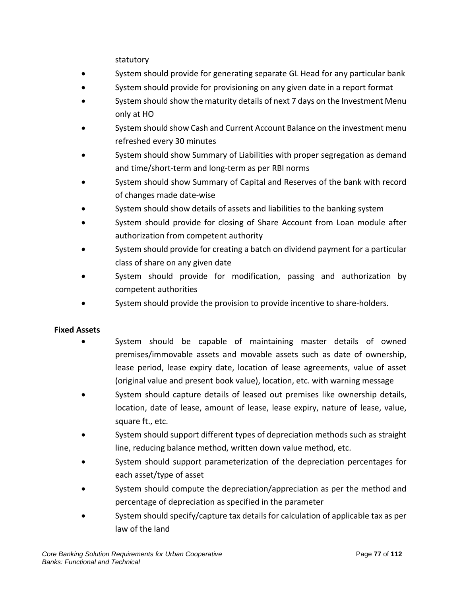statutory

- System should provide for generating separate GL Head for any particular bank
- System should provide for provisioning on any given date in a report format
- System should show the maturity details of next 7 days on the Investment Menu only at HO
- System should show Cash and Current Account Balance on the investment menu refreshed every 30 minutes
- System should show Summary of Liabilities with proper segregation as demand and time/short-term and long-term as per RBI norms
- System should show Summary of Capital and Reserves of the bank with record of changes made date-wise
- System should show details of assets and liabilities to the banking system
- System should provide for closing of Share Account from Loan module after authorization from competent authority
- System should provide for creating a batch on dividend payment for a particular class of share on any given date
- System should provide for modification, passing and authorization by competent authorities
- System should provide the provision to provide incentive to share-holders.

#### **Fixed Assets**

- System should be capable of maintaining master details of owned premises/immovable assets and movable assets such as date of ownership, lease period, lease expiry date, location of lease agreements, value of asset (original value and present book value), location, etc. with warning message
- System should capture details of leased out premises like ownership details, location, date of lease, amount of lease, lease expiry, nature of lease, value, square ft., etc.
- System should support different types of depreciation methods such as straight line, reducing balance method, written down value method, etc.
- System should support parameterization of the depreciation percentages for each asset/type of asset
- System should compute the depreciation/appreciation as per the method and percentage of depreciation as specified in the parameter
- System should specify/capture tax details for calculation of applicable tax as per law of the land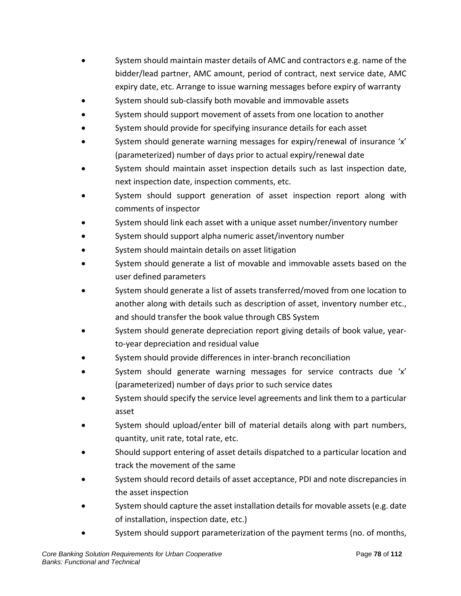- System should maintain master details of AMC and contractors e.g. name of the bidder/lead partner, AMC amount, period of contract, next service date, AMC expiry date, etc. Arrange to issue warning messages before expiry of warranty
- System should sub-classify both movable and immovable assets
- System should support movement of assets from one location to another
- System should provide for specifying insurance details for each asset
- System should generate warning messages for expiry/renewal of insurance 'x' (parameterized) number of days prior to actual expiry/renewal date
- System should maintain asset inspection details such as last inspection date, next inspection date, inspection comments, etc.
- System should support generation of asset inspection report along with comments of inspector
- System should link each asset with a unique asset number/inventory number
- System should support alpha numeric asset/inventory number
- System should maintain details on asset litigation
- System should generate a list of movable and immovable assets based on the user defined parameters
- System should generate a list of assets transferred/moved from one location to another along with details such as description of asset, inventory number etc., and should transfer the book value through CBS System
- System should generate depreciation report giving details of book value, yearto-year depreciation and residual value
- System should provide differences in inter-branch reconciliation
- System should generate warning messages for service contracts due 'x' (parameterized) number of days prior to such service dates
- System should specify the service level agreements and link them to a particular asset
- System should upload/enter bill of material details along with part numbers, quantity, unit rate, total rate, etc.
- Should support entering of asset details dispatched to a particular location and track the movement of the same
- System should record details of asset acceptance, PDI and note discrepancies in the asset inspection
- System should capture the asset installation details for movable assets (e.g. date of installation, inspection date, etc.)
- System should support parameterization of the payment terms (no. of months,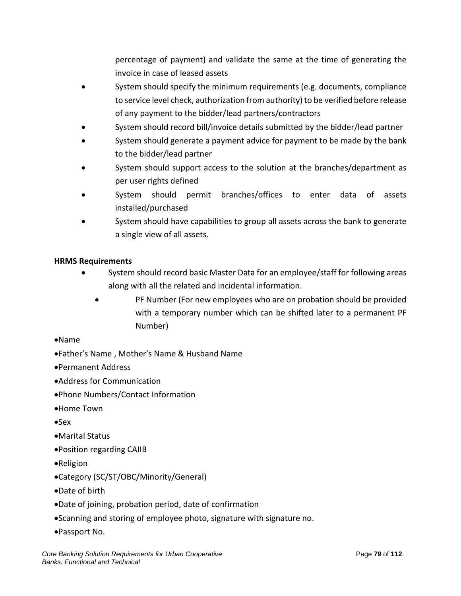percentage of payment) and validate the same at the time of generating the invoice in case of leased assets

- System should specify the minimum requirements (e.g. documents, compliance to service level check, authorization from authority) to be verified before release of any payment to the bidder/lead partners/contractors
- System should record bill/invoice details submitted by the bidder/lead partner
- System should generate a payment advice for payment to be made by the bank to the bidder/lead partner
- System should support access to the solution at the branches/department as per user rights defined
- System should permit branches/offices to enter data of assets installed/purchased
- System should have capabilities to group all assets across the bank to generate a single view of all assets.

## **HRMS Requirements**

- System should record basic Master Data for an employee/staff for following areas along with all the related and incidental information.
	- PF Number (For new employees who are on probation should be provided with a temporary number which can be shifted later to a permanent PF Number)

#### •Name

- •Father's Name , Mother's Name & Husband Name
- •Permanent Address
- •Address for Communication
- •Phone Numbers/Contact Information
- •Home Town
- •Sex
- •Marital Status
- •Position regarding CAIIB
- •Religion
- •Category (SC/ST/OBC/Minority/General)
- •Date of birth
- •Date of joining, probation period, date of confirmation
- •Scanning and storing of employee photo, signature with signature no.
- •Passport No.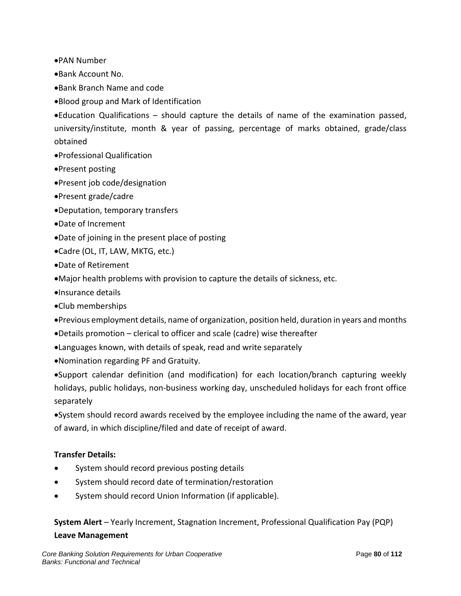•PAN Number

•Bank Account No.

- •Bank Branch Name and code
- •Blood group and Mark of Identification

•Education Qualifications – should capture the details of name of the examination passed, university/institute, month & year of passing, percentage of marks obtained, grade/class obtained

- •Professional Qualification
- •Present posting
- •Present job code/designation
- •Present grade/cadre
- •Deputation, temporary transfers
- •Date of Increment
- •Date of joining in the present place of posting
- •Cadre (OL, IT, LAW, MKTG, etc.)
- •Date of Retirement
- •Major health problems with provision to capture the details of sickness, etc.
- •Insurance details
- •Club memberships
- •Previous employment details, name of organization, position held, duration in years and months
- •Details promotion clerical to officer and scale (cadre) wise thereafter
- •Languages known, with details of speak, read and write separately
- •Nomination regarding PF and Gratuity.

•Support calendar definition (and modification) for each location/branch capturing weekly holidays, public holidays, non-business working day, unscheduled holidays for each front office separately

•System should record awards received by the employee including the name of the award, year of award, in which discipline/filed and date of receipt of award.

#### **Transfer Details:**

- System should record previous posting details
- System should record date of termination/restoration
- System should record Union Information (if applicable).

**System Alert** – Yearly Increment, Stagnation Increment, Professional Qualification Pay (PQP)

#### **Leave Management**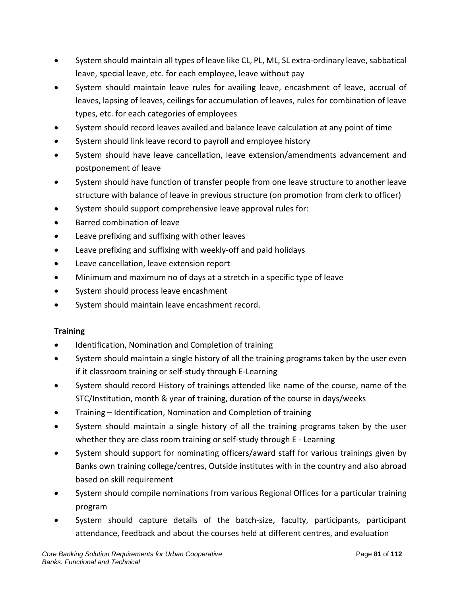- System should maintain all types of leave like CL, PL, ML, SL extra-ordinary leave, sabbatical leave, special leave, etc. for each employee, leave without pay
- System should maintain leave rules for availing leave, encashment of leave, accrual of leaves, lapsing of leaves, ceilings for accumulation of leaves, rules for combination of leave types, etc. for each categories of employees
- System should record leaves availed and balance leave calculation at any point of time
- System should link leave record to payroll and employee history
- System should have leave cancellation, leave extension/amendments advancement and postponement of leave
- System should have function of transfer people from one leave structure to another leave structure with balance of leave in previous structure (on promotion from clerk to officer)
- System should support comprehensive leave approval rules for:
- Barred combination of leave
- Leave prefixing and suffixing with other leaves
- Leave prefixing and suffixing with weekly-off and paid holidays
- Leave cancellation, leave extension report
- Minimum and maximum no of days at a stretch in a specific type of leave
- System should process leave encashment
- System should maintain leave encashment record.

## **Training**

- Identification, Nomination and Completion of training
- System should maintain a single history of all the training programs taken by the user even if it classroom training or self-study through E-Learning
- System should record History of trainings attended like name of the course, name of the STC/Institution, month & year of training, duration of the course in days/weeks
- Training Identification, Nomination and Completion of training
- System should maintain a single history of all the training programs taken by the user whether they are class room training or self-study through E - Learning
- System should support for nominating officers/award staff for various trainings given by Banks own training college/centres, Outside institutes with in the country and also abroad based on skill requirement
- System should compile nominations from various Regional Offices for a particular training program
- System should capture details of the batch-size, faculty, participants, participant attendance, feedback and about the courses held at different centres, and evaluation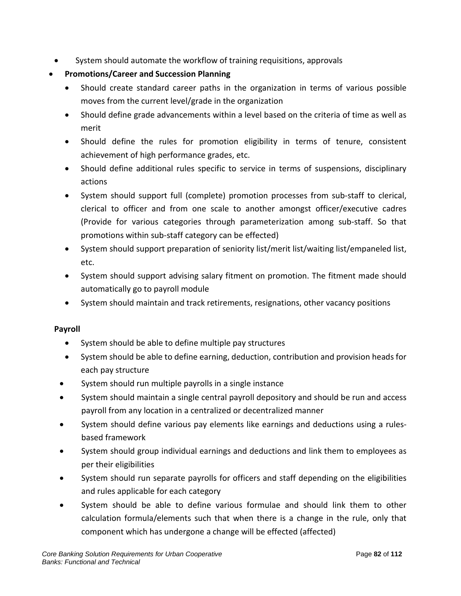• System should automate the workflow of training requisitions, approvals

# • **Promotions/Career and Succession Planning**

- Should create standard career paths in the organization in terms of various possible moves from the current level/grade in the organization
- Should define grade advancements within a level based on the criteria of time as well as merit
- Should define the rules for promotion eligibility in terms of tenure, consistent achievement of high performance grades, etc.
- Should define additional rules specific to service in terms of suspensions, disciplinary actions
- System should support full (complete) promotion processes from sub-staff to clerical, clerical to officer and from one scale to another amongst officer/executive cadres (Provide for various categories through parameterization among sub-staff. So that promotions within sub-staff category can be effected)
- System should support preparation of seniority list/merit list/waiting list/empaneled list, etc.
- System should support advising salary fitment on promotion. The fitment made should automatically go to payroll module
- System should maintain and track retirements, resignations, other vacancy positions

## **Payroll**

- System should be able to define multiple pay structures
- System should be able to define earning, deduction, contribution and provision heads for each pay structure
- System should run multiple payrolls in a single instance
- System should maintain a single central payroll depository and should be run and access payroll from any location in a centralized or decentralized manner
- System should define various pay elements like earnings and deductions using a rulesbased framework
- System should group individual earnings and deductions and link them to employees as per their eligibilities
- System should run separate payrolls for officers and staff depending on the eligibilities and rules applicable for each category
- System should be able to define various formulae and should link them to other calculation formula/elements such that when there is a change in the rule, only that component which has undergone a change will be effected (affected)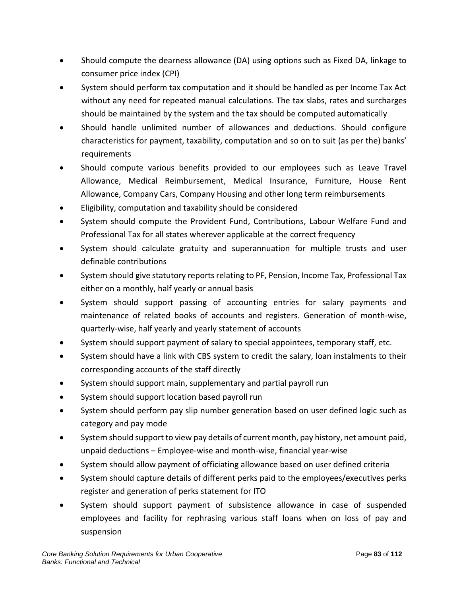- Should compute the dearness allowance (DA) using options such as Fixed DA, linkage to consumer price index (CPI)
- System should perform tax computation and it should be handled as per Income Tax Act without any need for repeated manual calculations. The tax slabs, rates and surcharges should be maintained by the system and the tax should be computed automatically
- Should handle unlimited number of allowances and deductions. Should configure characteristics for payment, taxability, computation and so on to suit (as per the) banks' requirements
- Should compute various benefits provided to our employees such as Leave Travel Allowance, Medical Reimbursement, Medical Insurance, Furniture, House Rent Allowance, Company Cars, Company Housing and other long term reimbursements
- Eligibility, computation and taxability should be considered
- System should compute the Provident Fund, Contributions, Labour Welfare Fund and Professional Tax for all states wherever applicable at the correct frequency
- System should calculate gratuity and superannuation for multiple trusts and user definable contributions
- System should give statutory reports relating to PF, Pension, Income Tax, Professional Tax either on a monthly, half yearly or annual basis
- System should support passing of accounting entries for salary payments and maintenance of related books of accounts and registers. Generation of month-wise, quarterly-wise, half yearly and yearly statement of accounts
- System should support payment of salary to special appointees, temporary staff, etc.
- System should have a link with CBS system to credit the salary, loan instalments to their corresponding accounts of the staff directly
- System should support main, supplementary and partial payroll run
- System should support location based payroll run
- System should perform pay slip number generation based on user defined logic such as category and pay mode
- System should support to view pay details of current month, pay history, net amount paid, unpaid deductions – Employee-wise and month-wise, financial year-wise
- System should allow payment of officiating allowance based on user defined criteria
- System should capture details of different perks paid to the employees/executives perks register and generation of perks statement for ITO
- System should support payment of subsistence allowance in case of suspended employees and facility for rephrasing various staff loans when on loss of pay and suspension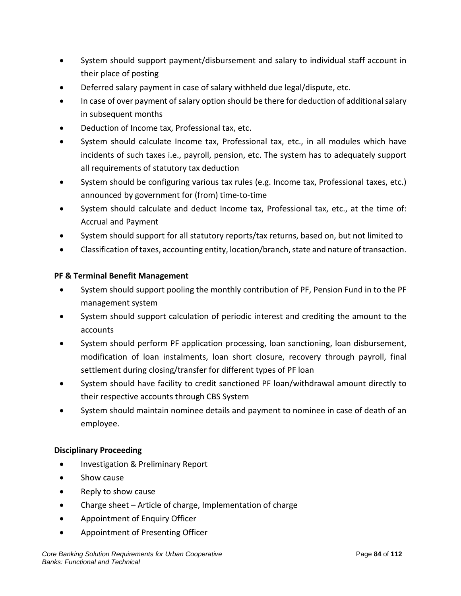- System should support payment/disbursement and salary to individual staff account in their place of posting
- Deferred salary payment in case of salary withheld due legal/dispute, etc.
- In case of over payment of salary option should be there for deduction of additional salary in subsequent months
- Deduction of Income tax, Professional tax, etc.
- System should calculate Income tax, Professional tax, etc., in all modules which have incidents of such taxes i.e., payroll, pension, etc. The system has to adequately support all requirements of statutory tax deduction
- System should be configuring various tax rules (e.g. Income tax, Professional taxes, etc.) announced by government for (from) time-to-time
- System should calculate and deduct Income tax, Professional tax, etc., at the time of: Accrual and Payment
- System should support for all statutory reports/tax returns, based on, but not limited to
- Classification of taxes, accounting entity, location/branch, state and nature of transaction.

#### **PF & Terminal Benefit Management**

- System should support pooling the monthly contribution of PF, Pension Fund in to the PF management system
- System should support calculation of periodic interest and crediting the amount to the accounts
- System should perform PF application processing, loan sanctioning, loan disbursement, modification of loan instalments, loan short closure, recovery through payroll, final settlement during closing/transfer for different types of PF loan
- System should have facility to credit sanctioned PF loan/withdrawal amount directly to their respective accounts through CBS System
- System should maintain nominee details and payment to nominee in case of death of an employee.

#### **Disciplinary Proceeding**

- Investigation & Preliminary Report
- Show cause
- Reply to show cause
- Charge sheet Article of charge, Implementation of charge
- Appointment of Enquiry Officer
- Appointment of Presenting Officer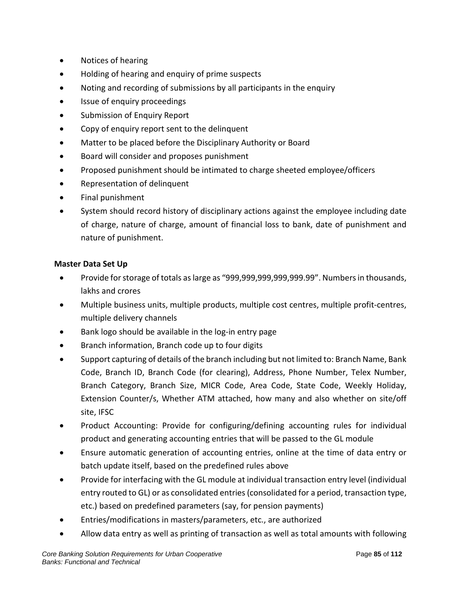- Notices of hearing
- Holding of hearing and enquiry of prime suspects
- Noting and recording of submissions by all participants in the enquiry
- Issue of enquiry proceedings
- Submission of Enquiry Report
- Copy of enquiry report sent to the delinquent
- Matter to be placed before the Disciplinary Authority or Board
- Board will consider and proposes punishment
- Proposed punishment should be intimated to charge sheeted employee/officers
- Representation of delinquent
- Final punishment
- System should record history of disciplinary actions against the employee including date of charge, nature of charge, amount of financial loss to bank, date of punishment and nature of punishment.

#### **Master Data Set Up**

- Provide for storage of totals as large as "999,999,999,999,999.99". Numbers in thousands, lakhs and crores
- Multiple business units, multiple products, multiple cost centres, multiple profit-centres, multiple delivery channels
- Bank logo should be available in the log-in entry page
- Branch information, Branch code up to four digits
- Support capturing of details of the branch including but not limited to: Branch Name, Bank Code, Branch ID, Branch Code (for clearing), Address, Phone Number, Telex Number, Branch Category, Branch Size, MICR Code, Area Code, State Code, Weekly Holiday, Extension Counter/s, Whether ATM attached, how many and also whether on site/off site, IFSC
- Product Accounting: Provide for configuring/defining accounting rules for individual product and generating accounting entries that will be passed to the GL module
- Ensure automatic generation of accounting entries, online at the time of data entry or batch update itself, based on the predefined rules above
- Provide for interfacing with the GL module at individual transaction entry level (individual entry routed to GL) or as consolidated entries (consolidated for a period, transaction type, etc.) based on predefined parameters (say, for pension payments)
- Entries/modifications in masters/parameters, etc., are authorized
- Allow data entry as well as printing of transaction as well as total amounts with following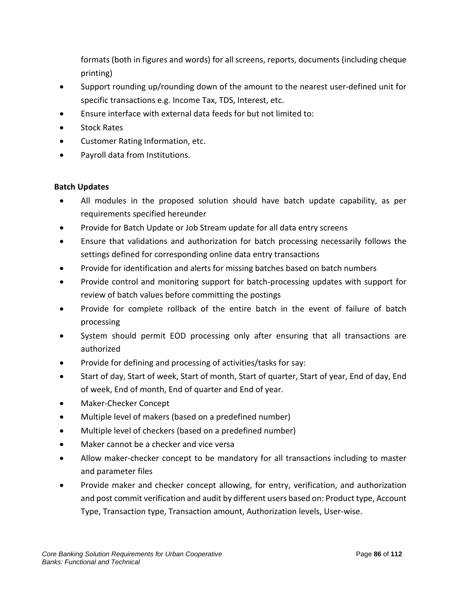formats (both in figures and words) for all screens, reports, documents (including cheque printing)

- Support rounding up/rounding down of the amount to the nearest user-defined unit for specific transactions e.g. Income Tax, TDS, Interest, etc.
- Ensure interface with external data feeds for but not limited to:
- Stock Rates
- Customer Rating Information, etc.
- Payroll data from Institutions.

#### **Batch Updates**

- All modules in the proposed solution should have batch update capability, as per requirements specified hereunder
- Provide for Batch Update or Job Stream update for all data entry screens
- Ensure that validations and authorization for batch processing necessarily follows the settings defined for corresponding online data entry transactions
- Provide for identification and alerts for missing batches based on batch numbers
- Provide control and monitoring support for batch-processing updates with support for review of batch values before committing the postings
- Provide for complete rollback of the entire batch in the event of failure of batch processing
- System should permit EOD processing only after ensuring that all transactions are authorized
- Provide for defining and processing of activities/tasks for say:
- Start of day, Start of week, Start of month, Start of quarter, Start of year, End of day, End of week, End of month, End of quarter and End of year.
- Maker-Checker Concept
- Multiple level of makers (based on a predefined number)
- Multiple level of checkers (based on a predefined number)
- Maker cannot be a checker and vice versa
- Allow maker-checker concept to be mandatory for all transactions including to master and parameter files
- Provide maker and checker concept allowing, for entry, verification, and authorization and post commit verification and audit by different users based on: Product type, Account Type, Transaction type, Transaction amount, Authorization levels, User-wise.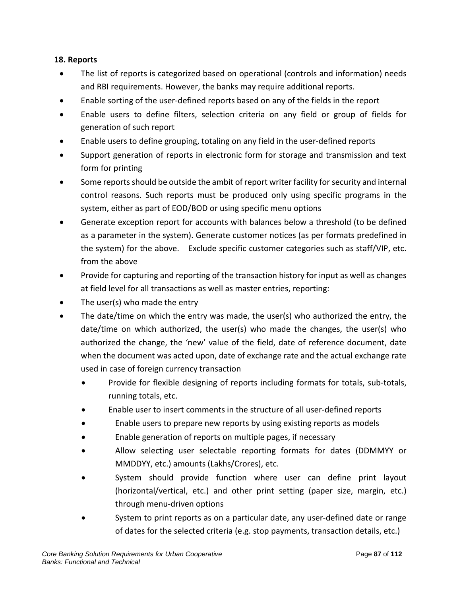### **18. Reports**

- The list of reports is categorized based on operational (controls and information) needs and RBI requirements. However, the banks may require additional reports.
- Enable sorting of the user-defined reports based on any of the fields in the report
- Enable users to define filters, selection criteria on any field or group of fields for generation of such report
- Enable users to define grouping, totaling on any field in the user-defined reports
- Support generation of reports in electronic form for storage and transmission and text form for printing
- Some reports should be outside the ambit of report writer facility for security and internal control reasons. Such reports must be produced only using specific programs in the system, either as part of EOD/BOD or using specific menu options
- Generate exception report for accounts with balances below a threshold (to be defined as a parameter in the system). Generate customer notices (as per formats predefined in the system) for the above. Exclude specific customer categories such as staff/VIP, etc. from the above
- Provide for capturing and reporting of the transaction history for input as well as changes at field level for all transactions as well as master entries, reporting:
- The user(s) who made the entry
- The date/time on which the entry was made, the user(s) who authorized the entry, the date/time on which authorized, the user(s) who made the changes, the user(s) who authorized the change, the 'new' value of the field, date of reference document, date when the document was acted upon, date of exchange rate and the actual exchange rate used in case of foreign currency transaction
	- Provide for flexible designing of reports including formats for totals, sub-totals, running totals, etc.
	- Enable user to insert comments in the structure of all user-defined reports
	- Enable users to prepare new reports by using existing reports as models
	- Enable generation of reports on multiple pages, if necessary
	- Allow selecting user selectable reporting formats for dates (DDMMYY or MMDDYY, etc.) amounts (Lakhs/Crores), etc.
	- System should provide function where user can define print layout (horizontal/vertical, etc.) and other print setting (paper size, margin, etc.) through menu-driven options
	- System to print reports as on a particular date, any user-defined date or range of dates for the selected criteria (e.g. stop payments, transaction details, etc.)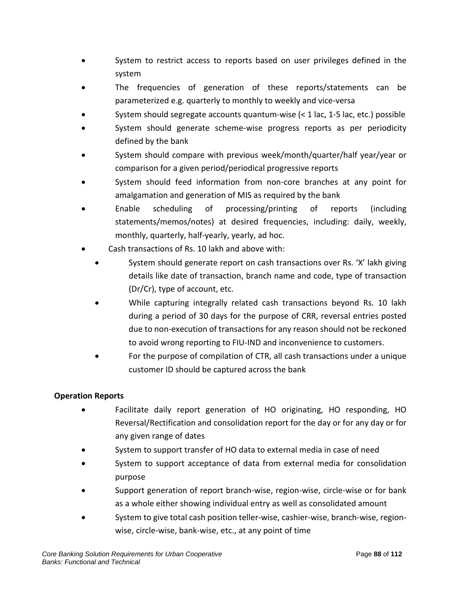- System to restrict access to reports based on user privileges defined in the system
- The frequencies of generation of these reports/statements can be parameterized e.g. quarterly to monthly to weekly and vice-versa
- System should segregate accounts quantum-wise (< 1 lac, 1-5 lac, etc.) possible
- System should generate scheme-wise progress reports as per periodicity defined by the bank
- System should compare with previous week/month/quarter/half year/year or comparison for a given period/periodical progressive reports
- System should feed information from non-core branches at any point for amalgamation and generation of MIS as required by the bank
- Enable scheduling of processing/printing of reports (including statements/memos/notes) at desired frequencies, including: daily, weekly, monthly, quarterly, half-yearly, yearly, ad hoc.
- Cash transactions of Rs. 10 lakh and above with:
	- System should generate report on cash transactions over Rs. 'X' lakh giving details like date of transaction, branch name and code, type of transaction (Dr/Cr), type of account, etc.
	- While capturing integrally related cash transactions beyond Rs. 10 lakh during a period of 30 days for the purpose of CRR, reversal entries posted due to non-execution of transactions for any reason should not be reckoned to avoid wrong reporting to FIU-IND and inconvenience to customers.
	- For the purpose of compilation of CTR, all cash transactions under a unique customer ID should be captured across the bank

#### **Operation Reports**

- Facilitate daily report generation of HO originating, HO responding, HO Reversal/Rectification and consolidation report for the day or for any day or for any given range of dates
- System to support transfer of HO data to external media in case of need
- System to support acceptance of data from external media for consolidation purpose
- Support generation of report branch-wise, region-wise, circle-wise or for bank as a whole either showing individual entry as well as consolidated amount
- System to give total cash position teller-wise, cashier-wise, branch-wise, regionwise, circle-wise, bank-wise, etc., at any point of time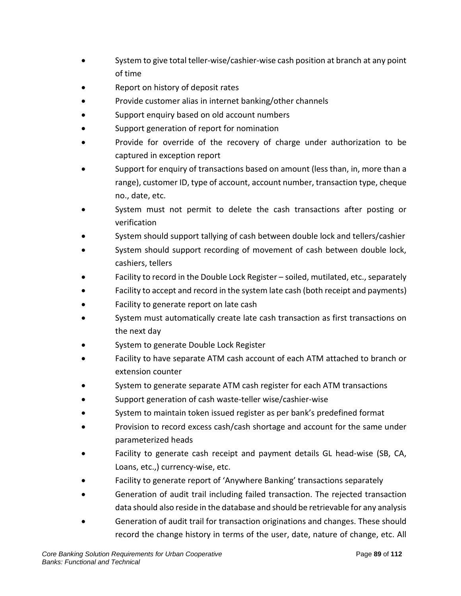- System to give total teller-wise/cashier-wise cash position at branch at any point of time
- Report on history of deposit rates
- Provide customer alias in internet banking/other channels
- Support enquiry based on old account numbers
- Support generation of report for nomination
- Provide for override of the recovery of charge under authorization to be captured in exception report
- Support for enquiry of transactions based on amount (less than, in, more than a range), customer ID, type of account, account number, transaction type, cheque no., date, etc.
- System must not permit to delete the cash transactions after posting or verification
- System should support tallying of cash between double lock and tellers/cashier
- System should support recording of movement of cash between double lock, cashiers, tellers
- Facility to record in the Double Lock Register soiled, mutilated, etc., separately
- Facility to accept and record in the system late cash (both receipt and payments)
- Facility to generate report on late cash
- System must automatically create late cash transaction as first transactions on the next day
- System to generate Double Lock Register
- Facility to have separate ATM cash account of each ATM attached to branch or extension counter
- System to generate separate ATM cash register for each ATM transactions
- Support generation of cash waste-teller wise/cashier-wise
- System to maintain token issued register as per bank's predefined format
- Provision to record excess cash/cash shortage and account for the same under parameterized heads
- Facility to generate cash receipt and payment details GL head-wise (SB, CA, Loans, etc.,) currency-wise, etc.
- Facility to generate report of 'Anywhere Banking' transactions separately
- Generation of audit trail including failed transaction. The rejected transaction data should also reside in the database and should be retrievable for any analysis
- Generation of audit trail for transaction originations and changes. These should record the change history in terms of the user, date, nature of change, etc. All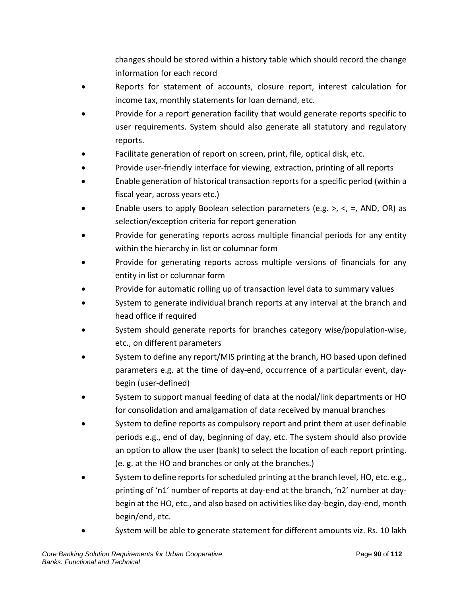changes should be stored within a history table which should record the change information for each record

- Reports for statement of accounts, closure report, interest calculation for income tax, monthly statements for loan demand, etc.
- Provide for a report generation facility that would generate reports specific to user requirements. System should also generate all statutory and regulatory reports.
- Facilitate generation of report on screen, print, file, optical disk, etc.
- Provide user-friendly interface for viewing, extraction, printing of all reports
- Enable generation of historical transaction reports for a specific period (within a fiscal year, across years etc.)
- Enable users to apply Boolean selection parameters (e.g.  $>$ ,  $\lt$ ,  $=$ , AND, OR) as selection/exception criteria for report generation
- Provide for generating reports across multiple financial periods for any entity within the hierarchy in list or columnar form
- Provide for generating reports across multiple versions of financials for any entity in list or columnar form
- Provide for automatic rolling up of transaction level data to summary values
- System to generate individual branch reports at any interval at the branch and head office if required
- System should generate reports for branches category wise/population-wise, etc., on different parameters
- System to define any report/MIS printing at the branch, HO based upon defined parameters e.g. at the time of day-end, occurrence of a particular event, daybegin (user-defined)
- System to support manual feeding of data at the nodal/link departments or HO for consolidation and amalgamation of data received by manual branches
- System to define reports as compulsory report and print them at user definable periods e.g., end of day, beginning of day, etc. The system should also provide an option to allow the user (bank) to select the location of each report printing. (e. g. at the HO and branches or only at the branches.)
- System to define reports for scheduled printing at the branch level, HO, etc. e.g., printing of 'n1' number of reports at day-end at the branch, 'n2' number at daybegin at the HO, etc., and also based on activities like day-begin, day-end, month begin/end, etc.
- System will be able to generate statement for different amounts viz. Rs. 10 lakh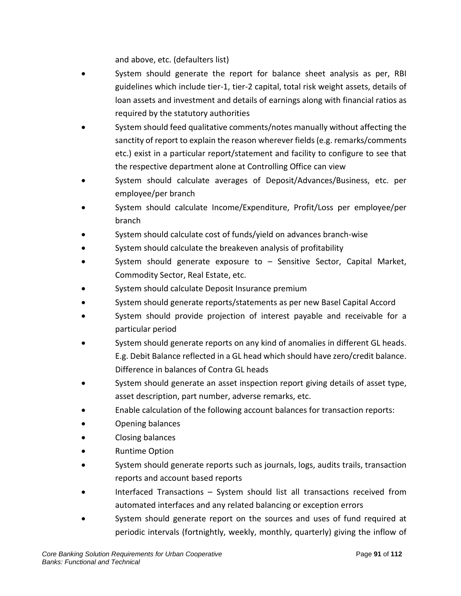and above, etc. (defaulters list)

- System should generate the report for balance sheet analysis as per, RBI guidelines which include tier-1, tier-2 capital, total risk weight assets, details of loan assets and investment and details of earnings along with financial ratios as required by the statutory authorities
- System should feed qualitative comments/notes manually without affecting the sanctity of report to explain the reason wherever fields (e.g. remarks/comments etc.) exist in a particular report/statement and facility to configure to see that the respective department alone at Controlling Office can view
- System should calculate averages of Deposit/Advances/Business, etc. per employee/per branch
- System should calculate Income/Expenditure, Profit/Loss per employee/per branch
- System should calculate cost of funds/yield on advances branch-wise
- System should calculate the breakeven analysis of profitability
- System should generate exposure to  $-$  Sensitive Sector, Capital Market, Commodity Sector, Real Estate, etc.
- System should calculate Deposit Insurance premium
- System should generate reports/statements as per new Basel Capital Accord
- System should provide projection of interest payable and receivable for a particular period
- System should generate reports on any kind of anomalies in different GL heads. E.g. Debit Balance reflected in a GL head which should have zero/credit balance. Difference in balances of Contra GL heads
- System should generate an asset inspection report giving details of asset type, asset description, part number, adverse remarks, etc.
- Enable calculation of the following account balances for transaction reports:
- Opening balances
- Closing balances
- Runtime Option
- System should generate reports such as journals, logs, audits trails, transaction reports and account based reports
- Interfaced Transactions System should list all transactions received from automated interfaces and any related balancing or exception errors
- System should generate report on the sources and uses of fund required at periodic intervals (fortnightly, weekly, monthly, quarterly) giving the inflow of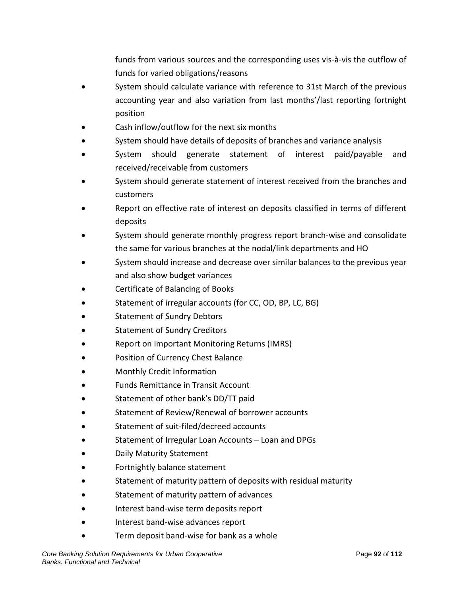funds from various sources and the corresponding uses vis-à-vis the outflow of funds for varied obligations/reasons

- System should calculate variance with reference to 31st March of the previous accounting year and also variation from last months'/last reporting fortnight position
- Cash inflow/outflow for the next six months
- System should have details of deposits of branches and variance analysis
- System should generate statement of interest paid/payable and received/receivable from customers
- System should generate statement of interest received from the branches and customers
- Report on effective rate of interest on deposits classified in terms of different deposits
- System should generate monthly progress report branch-wise and consolidate the same for various branches at the nodal/link departments and HO
- System should increase and decrease over similar balances to the previous year and also show budget variances
- Certificate of Balancing of Books
- Statement of irregular accounts (for CC, OD, BP, LC, BG)
- Statement of Sundry Debtors
- Statement of Sundry Creditors
- Report on Important Monitoring Returns (IMRS)
- Position of Currency Chest Balance
- Monthly Credit Information
- Funds Remittance in Transit Account
- Statement of other bank's DD/TT paid
- Statement of Review/Renewal of borrower accounts
- Statement of suit-filed/decreed accounts
- Statement of Irregular Loan Accounts Loan and DPGs
- Daily Maturity Statement
- Fortnightly balance statement
- Statement of maturity pattern of deposits with residual maturity
- Statement of maturity pattern of advances
- Interest band-wise term deposits report
- Interest band-wise advances report
- Term deposit band-wise for bank as a whole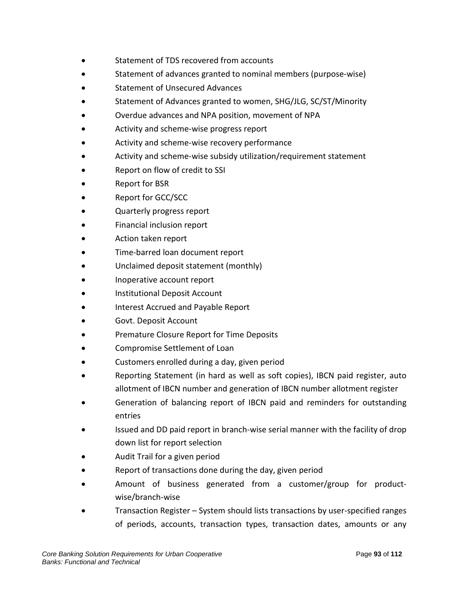- Statement of TDS recovered from accounts
- Statement of advances granted to nominal members (purpose-wise)
- Statement of Unsecured Advances
- Statement of Advances granted to women, SHG/JLG, SC/ST/Minority
- Overdue advances and NPA position, movement of NPA
- Activity and scheme-wise progress report
- Activity and scheme-wise recovery performance
- Activity and scheme-wise subsidy utilization/requirement statement
- Report on flow of credit to SSI
- Report for BSR
- Report for GCC/SCC
- Quarterly progress report
- Financial inclusion report
- Action taken report
- Time-barred loan document report
- Unclaimed deposit statement (monthly)
- Inoperative account report
- Institutional Deposit Account
- Interest Accrued and Payable Report
- Govt. Deposit Account
- Premature Closure Report for Time Deposits
- Compromise Settlement of Loan
- Customers enrolled during a day, given period
- Reporting Statement (in hard as well as soft copies), IBCN paid register, auto allotment of IBCN number and generation of IBCN number allotment register
- Generation of balancing report of IBCN paid and reminders for outstanding entries
- Issued and DD paid report in branch-wise serial manner with the facility of drop down list for report selection
- Audit Trail for a given period
- Report of transactions done during the day, given period
- Amount of business generated from a customer/group for productwise/branch-wise
- Transaction Register System should lists transactions by user-specified ranges of periods, accounts, transaction types, transaction dates, amounts or any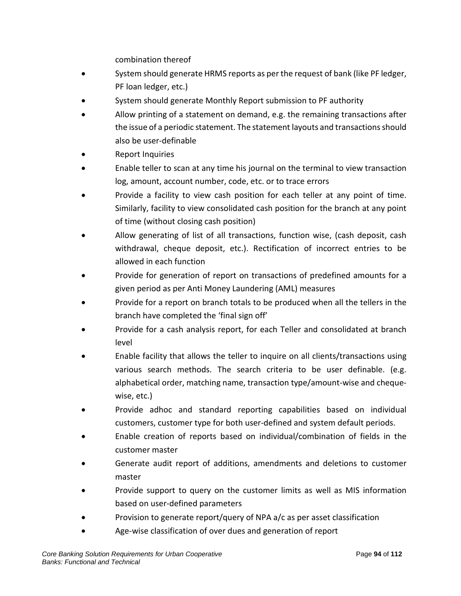combination thereof

- System should generate HRMS reports as per the request of bank (like PF ledger, PF loan ledger, etc.)
- System should generate Monthly Report submission to PF authority
- Allow printing of a statement on demand, e.g. the remaining transactions after the issue of a periodic statement. The statement layouts and transactions should also be user-definable
- Report Inquiries
- Enable teller to scan at any time his journal on the terminal to view transaction log, amount, account number, code, etc. or to trace errors
- Provide a facility to view cash position for each teller at any point of time. Similarly, facility to view consolidated cash position for the branch at any point of time (without closing cash position)
- Allow generating of list of all transactions, function wise, (cash deposit, cash withdrawal, cheque deposit, etc.). Rectification of incorrect entries to be allowed in each function
- Provide for generation of report on transactions of predefined amounts for a given period as per Anti Money Laundering (AML) measures
- Provide for a report on branch totals to be produced when all the tellers in the branch have completed the 'final sign off'
- Provide for a cash analysis report, for each Teller and consolidated at branch level
- Enable facility that allows the teller to inquire on all clients/transactions using various search methods. The search criteria to be user definable. (e.g. alphabetical order, matching name, transaction type/amount-wise and chequewise, etc.)
- Provide adhoc and standard reporting capabilities based on individual customers, customer type for both user-defined and system default periods.
- Enable creation of reports based on individual/combination of fields in the customer master
- Generate audit report of additions, amendments and deletions to customer master
- Provide support to query on the customer limits as well as MIS information based on user-defined parameters
- Provision to generate report/query of NPA a/c as per asset classification
- Age-wise classification of over dues and generation of report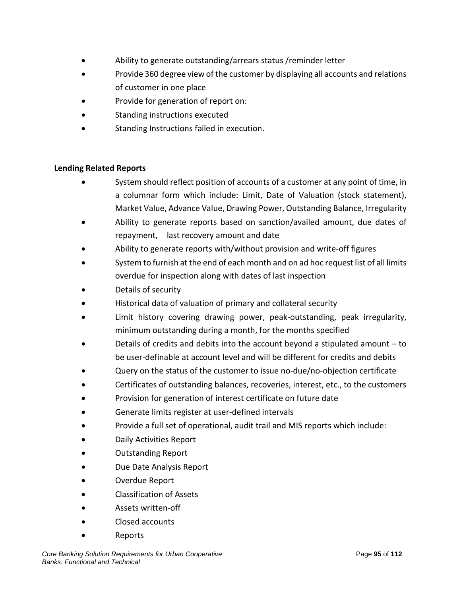- Ability to generate outstanding/arrears status /reminder letter
- Provide 360 degree view of the customer by displaying all accounts and relations of customer in one place
- Provide for generation of report on:
- Standing instructions executed
- Standing Instructions failed in execution.

#### **Lending Related Reports**

- System should reflect position of accounts of a customer at any point of time, in a columnar form which include: Limit, Date of Valuation (stock statement), Market Value, Advance Value, Drawing Power, Outstanding Balance, Irregularity
- Ability to generate reports based on sanction/availed amount, due dates of repayment, last recovery amount and date
- Ability to generate reports with/without provision and write-off figures
- System to furnish at the end of each month and on ad hoc request list of all limits overdue for inspection along with dates of last inspection
- Details of security
- Historical data of valuation of primary and collateral security
- Limit history covering drawing power, peak-outstanding, peak irregularity, minimum outstanding during a month, for the months specified
- Details of credits and debits into the account beyond a stipulated amount to be user-definable at account level and will be different for credits and debits
- Query on the status of the customer to issue no-due/no-objection certificate
- Certificates of outstanding balances, recoveries, interest, etc., to the customers
- Provision for generation of interest certificate on future date
- Generate limits register at user-defined intervals
- Provide a full set of operational, audit trail and MIS reports which include:
- Daily Activities Report
- Outstanding Report
- Due Date Analysis Report
- Overdue Report
- Classification of Assets
- Assets written-off
- Closed accounts
- Reports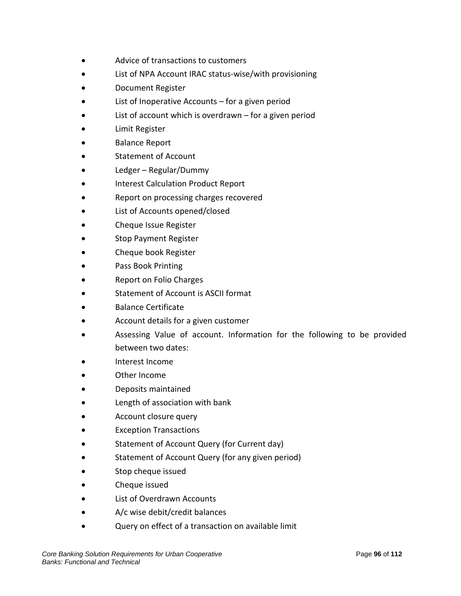- Advice of transactions to customers
- List of NPA Account IRAC status-wise/with provisioning
- Document Register
- List of Inoperative Accounts  $-$  for a given period
- List of account which is overdrawn  $-$  for a given period
- Limit Register
- Balance Report
- Statement of Account
- Ledger Regular/Dummy
- Interest Calculation Product Report
- Report on processing charges recovered
- List of Accounts opened/closed
- Cheque Issue Register
- Stop Payment Register
- Cheque book Register
- Pass Book Printing
- Report on Folio Charges
- Statement of Account is ASCII format
- Balance Certificate
- Account details for a given customer
- Assessing Value of account. Information for the following to be provided between two dates:
- Interest Income
- Other Income
- Deposits maintained
- Length of association with bank
- Account closure query
- **Exception Transactions**
- Statement of Account Query (for Current day)
- Statement of Account Query (for any given period)
- Stop cheque issued
- Cheque issued
- List of Overdrawn Accounts
- A/c wise debit/credit balances
- Query on effect of a transaction on available limit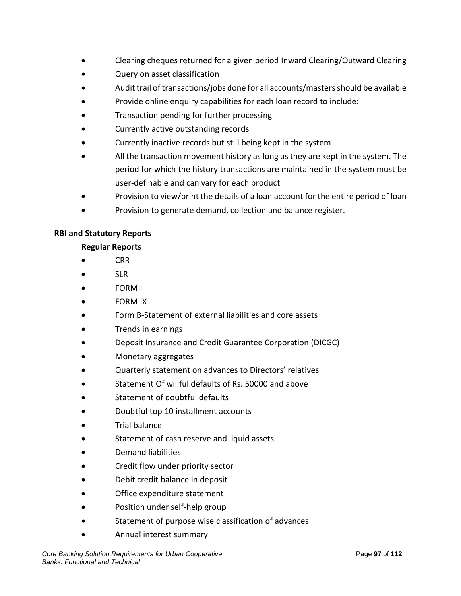- Clearing cheques returned for a given period Inward Clearing/Outward Clearing
- Query on asset classification
- Audit trail of transactions/jobs done for all accounts/masters should be available
- Provide online enquiry capabilities for each loan record to include:
- Transaction pending for further processing
- Currently active outstanding records
- Currently inactive records but still being kept in the system
- All the transaction movement history as long as they are kept in the system. The period for which the history transactions are maintained in the system must be user-definable and can vary for each product
- Provision to view/print the details of a loan account for the entire period of loan
- Provision to generate demand, collection and balance register.

#### **RBI and Statutory Reports**

#### **Regular Reports**

- CRR
- SLR
- FORM I
- FORM IX
- Form B-Statement of external liabilities and core assets
- Trends in earnings
- Deposit Insurance and Credit Guarantee Corporation (DICGC)
- Monetary aggregates
- Quarterly statement on advances to Directors' relatives
- Statement Of willful defaults of Rs. 50000 and above
- Statement of doubtful defaults
- Doubtful top 10 installment accounts
- Trial balance
- Statement of cash reserve and liquid assets
- Demand liabilities
- Credit flow under priority sector
- Debit credit balance in deposit
- Office expenditure statement
- Position under self-help group
- Statement of purpose wise classification of advances
- Annual interest summary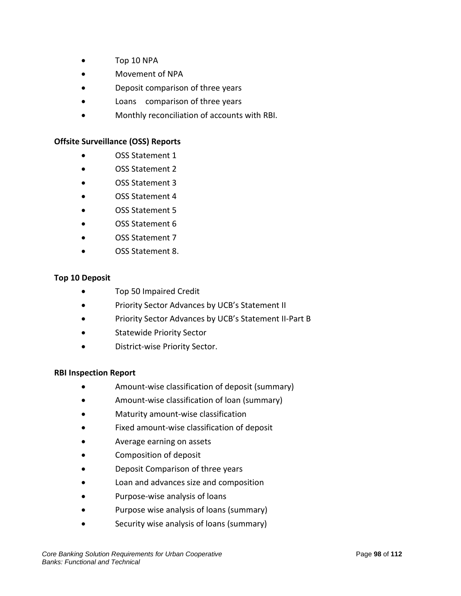- Top 10 NPA
- Movement of NPA
- Deposit comparison of three years
- Loans comparison of three years
- Monthly reconciliation of accounts with RBI.

#### **Offsite Surveillance (OSS) Reports**

- OSS Statement 1
- OSS Statement 2
- OSS Statement 3
- OSS Statement 4
- OSS Statement 5
- OSS Statement 6
- OSS Statement 7
- OSS Statement 8.

#### **Top 10 Deposit**

- Top 50 Impaired Credit
- Priority Sector Advances by UCB's Statement II
- Priority Sector Advances by UCB's Statement II-Part B
- Statewide Priority Sector
- District-wise Priority Sector.

#### **RBI Inspection Report**

- Amount-wise classification of deposit (summary)
- Amount-wise classification of loan (summary)
- Maturity amount-wise classification
- Fixed amount-wise classification of deposit
- Average earning on assets
- Composition of deposit
- Deposit Comparison of three years
- Loan and advances size and composition
- Purpose-wise analysis of loans
- Purpose wise analysis of loans (summary)
- Security wise analysis of loans (summary)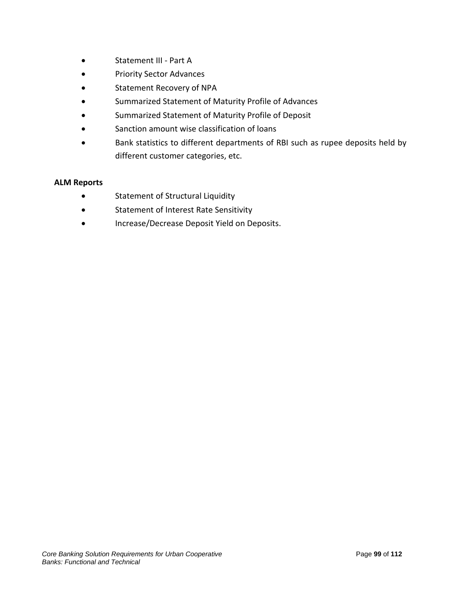- Statement III Part A
- Priority Sector Advances
- Statement Recovery of NPA
- Summarized Statement of Maturity Profile of Advances
- Summarized Statement of Maturity Profile of Deposit
- Sanction amount wise classification of loans
- Bank statistics to different departments of RBI such as rupee deposits held by different customer categories, etc.

#### **ALM Reports**

- Statement of Structural Liquidity
- Statement of Interest Rate Sensitivity
- Increase/Decrease Deposit Yield on Deposits.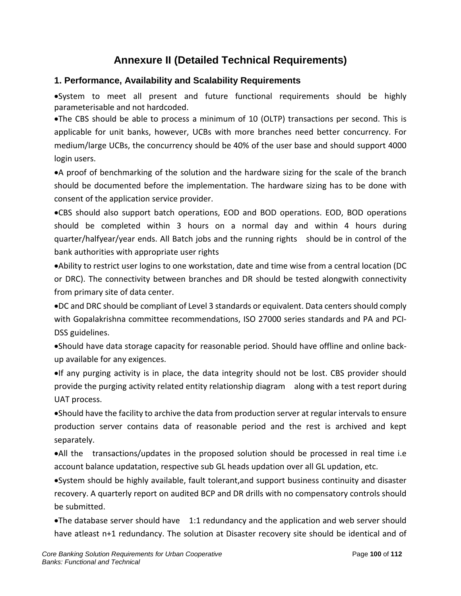# **Annexure II (Detailed Technical Requirements)**

# **1. Performance, Availability and Scalability Requirements**

•System to meet all present and future functional requirements should be highly parameterisable and not hardcoded.

•The CBS should be able to process a minimum of 10 (OLTP) transactions per second. This is applicable for unit banks, however, UCBs with more branches need better concurrency. For medium/large UCBs, the concurrency should be 40% of the user base and should support 4000 login users.

•A proof of benchmarking of the solution and the hardware sizing for the scale of the branch should be documented before the implementation. The hardware sizing has to be done with consent of the application service provider.

•CBS should also support batch operations, EOD and BOD operations. EOD, BOD operations should be completed within 3 hours on a normal day and within 4 hours during quarter/halfyear/year ends. All Batch jobs and the running rights should be in control of the bank authorities with appropriate user rights

•Ability to restrict user logins to one workstation, date and time wise from a central location (DC or DRC). The connectivity between branches and DR should be tested alongwith connectivity from primary site of data center.

•DC and DRC should be compliant of Level 3 standards or equivalent. Data centers should comply with Gopalakrishna committee recommendations, ISO 27000 series standards and PA and PCI-DSS guidelines.

•Should have data storage capacity for reasonable period. Should have offline and online backup available for any exigences.

•If any purging activity is in place, the data integrity should not be lost. CBS provider should provide the purging activity related entity relationship diagram along with a test report during UAT process.

•Should have the facility to archive the data from production server at regular intervals to ensure production server contains data of reasonable period and the rest is archived and kept separately.

•All the transactions/updates in the proposed solution should be processed in real time i.e account balance updatation, respective sub GL heads updation over all GL updation, etc.

•System should be highly available, fault tolerant,and support business continuity and disaster recovery. A quarterly report on audited BCP and DR drills with no compensatory controls should be submitted.

•The database server should have 1:1 redundancy and the application and web server should have atleast n+1 redundancy. The solution at Disaster recovery site should be identical and of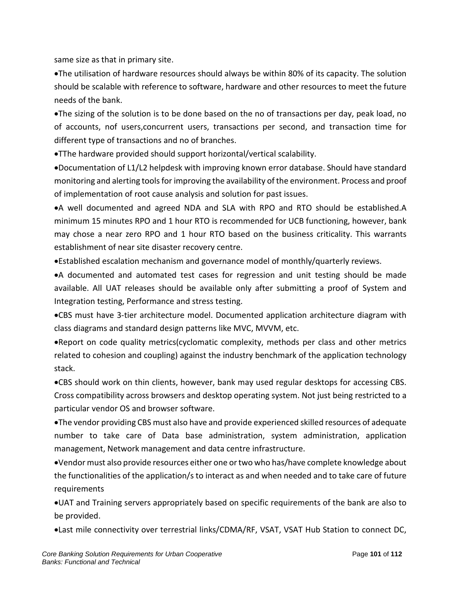same size as that in primary site.

•The utilisation of hardware resources should always be within 80% of its capacity. The solution should be scalable with reference to software, hardware and other resources to meet the future needs of the bank.

•The sizing of the solution is to be done based on the no of transactions per day, peak load, no of accounts, nof users,concurrent users, transactions per second, and transaction time for different type of transactions and no of branches.

•TThe hardware provided should support horizontal/vertical scalability.

•Documentation of L1/L2 helpdesk with improving known error database. Should have standard monitoring and alerting tools for improving the availability of the environment. Process and proof of implementation of root cause analysis and solution for past issues.

•A well documented and agreed NDA and SLA with RPO and RTO should be established.A minimum 15 minutes RPO and 1 hour RTO is recommended for UCB functioning, however, bank may chose a near zero RPO and 1 hour RTO based on the business criticality. This warrants establishment of near site disaster recovery centre.

•Established escalation mechanism and governance model of monthly/quarterly reviews.

•A documented and automated test cases for regression and unit testing should be made available. All UAT releases should be available only after submitting a proof of System and Integration testing, Performance and stress testing.

•CBS must have 3-tier architecture model. Documented application architecture diagram with class diagrams and standard design patterns like MVC, MVVM, etc.

•Report on code quality metrics(cyclomatic complexity, methods per class and other metrics related to cohesion and coupling) against the industry benchmark of the application technology stack.

•CBS should work on thin clients, however, bank may used regular desktops for accessing CBS. Cross compatibility across browsers and desktop operating system. Not just being restricted to a particular vendor OS and browser software.

•The vendor providing CBS must also have and provide experienced skilled resources of adequate number to take care of Data base administration, system administration, application management, Network management and data centre infrastructure.

•Vendor must also provide resources either one or two who has/have complete knowledge about the functionalities of the application/s to interact as and when needed and to take care of future requirements

•UAT and Training servers appropriately based on specific requirements of the bank are also to be provided.

•Last mile connectivity over terrestrial links/CDMA/RF, VSAT, VSAT Hub Station to connect DC,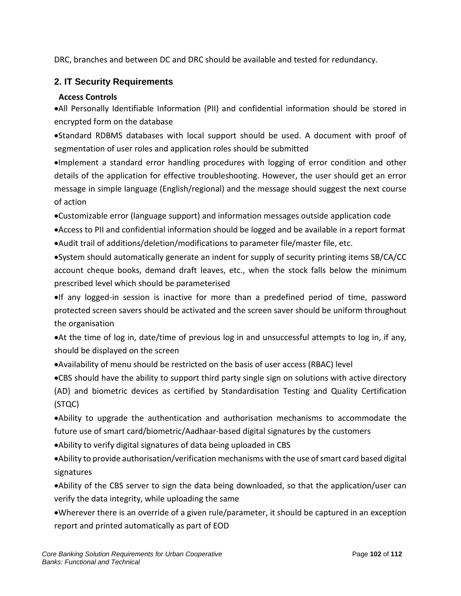DRC, branches and between DC and DRC should be available and tested for redundancy.

# **2. IT Security Requirements**

# **Access Controls**

•All Personally Identifiable Information (PII) and confidential information should be stored in encrypted form on the database

•Standard RDBMS databases with local support should be used. A document with proof of segmentation of user roles and application roles should be submitted

•Implement a standard error handling procedures with logging of error condition and other details of the application for effective troubleshooting. However, the user should get an error message in simple language (English/regional) and the message should suggest the next course of action

•Customizable error (language support) and information messages outside application code

- •Access to PII and confidential information should be logged and be available in a report format •Audit trail of additions/deletion/modifications to parameter file/master file, etc.
- •System should automatically generate an indent for supply of security printing items SB/CA/CC account cheque books, demand draft leaves, etc., when the stock falls below the minimum prescribed level which should be parameterised

•If any logged-in session is inactive for more than a predefined period of time, password protected screen savers should be activated and the screen saver should be uniform throughout the organisation

•At the time of log in, date/time of previous log in and unsuccessful attempts to log in, if any, should be displayed on the screen

•Availability of menu should be restricted on the basis of user access (RBAC) level

•CBS should have the ability to support third party single sign on solutions with active directory (AD) and biometric devices as certified by Standardisation Testing and Quality Certification (STQC)

•Ability to upgrade the authentication and authorisation mechanisms to accommodate the future use of smart card/biometric/Aadhaar-based digital signatures by the customers

•Ability to verify digital signatures of data being uploaded in CBS

•Ability to provide authorisation/verification mechanisms with the use of smart card based digital signatures

- •Ability of the CBS server to sign the data being downloaded, so that the application/user can verify the data integrity, while uploading the same
- •Wherever there is an override of a given rule/parameter, it should be captured in an exception report and printed automatically as part of EOD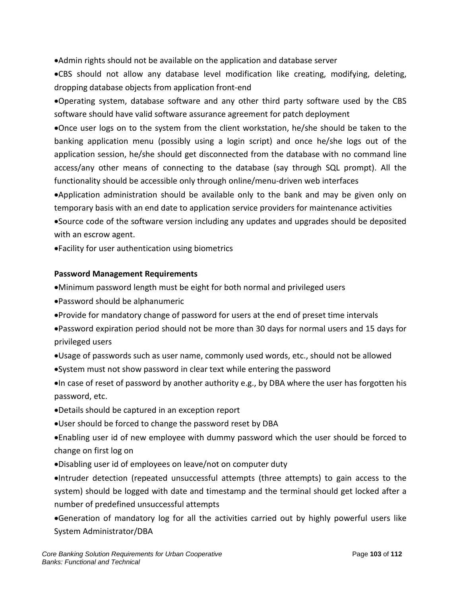•Admin rights should not be available on the application and database server

•CBS should not allow any database level modification like creating, modifying, deleting, dropping database objects from application front-end

•Operating system, database software and any other third party software used by the CBS software should have valid software assurance agreement for patch deployment

•Once user logs on to the system from the client workstation, he/she should be taken to the banking application menu (possibly using a login script) and once he/she logs out of the application session, he/she should get disconnected from the database with no command line access/any other means of connecting to the database (say through SQL prompt). All the functionality should be accessible only through online/menu-driven web interfaces

•Application administration should be available only to the bank and may be given only on temporary basis with an end date to application service providers for maintenance activities

•Source code of the software version including any updates and upgrades should be deposited with an escrow agent.

•Facility for user authentication using biometrics

### **Password Management Requirements**

•Minimum password length must be eight for both normal and privileged users

- •Password should be alphanumeric
- •Provide for mandatory change of password for users at the end of preset time intervals
- •Password expiration period should not be more than 30 days for normal users and 15 days for privileged users
- •Usage of passwords such as user name, commonly used words, etc., should not be allowed
- •System must not show password in clear text while entering the password
- •In case of reset of password by another authority e.g., by DBA where the user has forgotten his password, etc.
- •Details should be captured in an exception report
- •User should be forced to change the password reset by DBA
- •Enabling user id of new employee with dummy password which the user should be forced to change on first log on
- •Disabling user id of employees on leave/not on computer duty

•Intruder detection (repeated unsuccessful attempts (three attempts) to gain access to the system) should be logged with date and timestamp and the terminal should get locked after a number of predefined unsuccessful attempts

•Generation of mandatory log for all the activities carried out by highly powerful users like System Administrator/DBA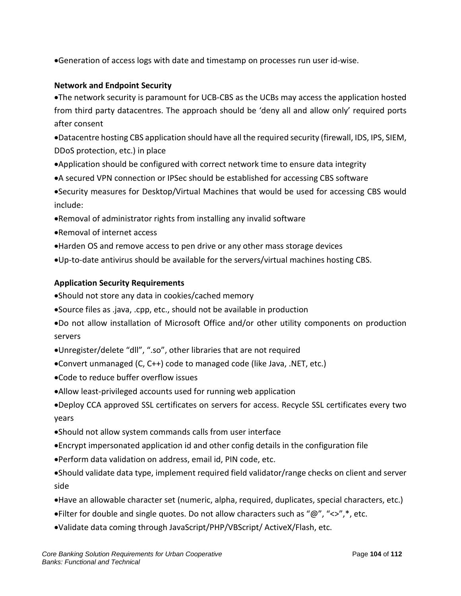•Generation of access logs with date and timestamp on processes run user id-wise.

### **Network and Endpoint Security**

•The network security is paramount for UCB-CBS as the UCBs may access the application hosted from third party datacentres. The approach should be 'deny all and allow only' required ports after consent

•Datacentre hosting CBS application should have all the required security (firewall, IDS, IPS, SIEM, DDoS protection, etc.) in place

- •Application should be configured with correct network time to ensure data integrity
- •A secured VPN connection or IPSec should be established for accessing CBS software

•Security measures for Desktop/Virtual Machines that would be used for accessing CBS would include:

- •Removal of administrator rights from installing any invalid software
- •Removal of internet access
- •Harden OS and remove access to pen drive or any other mass storage devices
- •Up-to-date antivirus should be available for the servers/virtual machines hosting CBS.

#### **Application Security Requirements**

•Should not store any data in cookies/cached memory

- •Source files as .java, .cpp, etc., should not be available in production
- •Do not allow installation of Microsoft Office and/or other utility components on production servers
- •Unregister/delete "dll", ".so", other libraries that are not required
- •Convert unmanaged (C, C++) code to managed code (like Java, .NET, etc.)
- •Code to reduce buffer overflow issues
- •Allow least-privileged accounts used for running web application
- •Deploy CCA approved SSL certificates on servers for access. Recycle SSL certificates every two years
- •Should not allow system commands calls from user interface
- •Encrypt impersonated application id and other config details in the configuration file
- •Perform data validation on address, email id, PIN code, etc.
- •Should validate data type, implement required field validator/range checks on client and server side
- •Have an allowable character set (numeric, alpha, required, duplicates, special characters, etc.)
- •Filter for double and single quotes. Do not allow characters such as " $@"$ , " $\lt\lt;$ ", \*, etc.
- •Validate data coming through JavaScript/PHP/VBScript/ ActiveX/Flash, etc.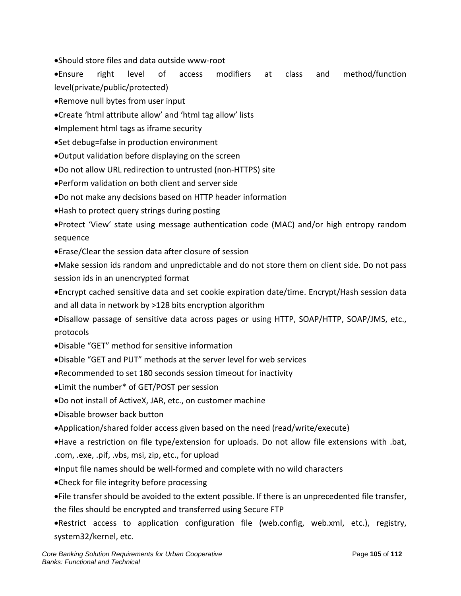•Should store files and data outside www-root

•Ensure right level of access modifiers at class and method/function level(private/public/protected)

- •Remove null bytes from user input
- •Create 'html attribute allow' and 'html tag allow' lists
- •Implement html tags as iframe security
- •Set debug=false in production environment
- •Output validation before displaying on the screen
- •Do not allow URL redirection to untrusted (non-HTTPS) site
- •Perform validation on both client and server side
- •Do not make any decisions based on HTTP header information
- •Hash to protect query strings during posting

•Protect 'View' state using message authentication code (MAC) and/or high entropy random sequence

•Erase/Clear the session data after closure of session

•Make session ids random and unpredictable and do not store them on client side. Do not pass session ids in an unencrypted format

•Encrypt cached sensitive data and set cookie expiration date/time. Encrypt/Hash session data and all data in network by >128 bits encryption algorithm

•Disallow passage of sensitive data across pages or using HTTP, SOAP/HTTP, SOAP/JMS, etc., protocols

- •Disable "GET" method for sensitive information
- •Disable "GET and PUT" methods at the server level for web services
- •Recommended to set 180 seconds session timeout for inactivity
- •Limit the number\* of GET/POST per session
- •Do not install of ActiveX, JAR, etc., on customer machine
- •Disable browser back button
- •Application/shared folder access given based on the need (read/write/execute)

•Have a restriction on file type/extension for uploads. Do not allow file extensions with .bat, .com, .exe, .pif, .vbs, msi, zip, etc., for upload

- •Input file names should be well-formed and complete with no wild characters
- •Check for file integrity before processing
- •File transfer should be avoided to the extent possible. If there is an unprecedented file transfer, the files should be encrypted and transferred using Secure FTP
- •Restrict access to application configuration file (web.config, web.xml, etc.), registry, system32/kernel, etc.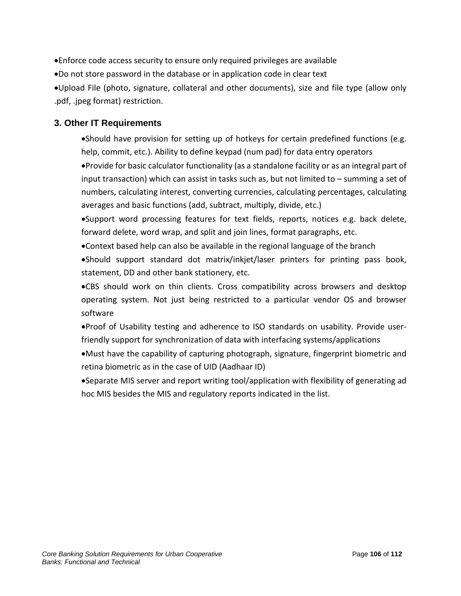•Enforce code access security to ensure only required privileges are available

•Do not store password in the database or in application code in clear text

•Upload File (photo, signature, collateral and other documents), size and file type (allow only .pdf, .jpeg format) restriction.

# **3. Other IT Requirements**

•Should have provision for setting up of hotkeys for certain predefined functions (e.g. help, commit, etc.). Ability to define keypad (num pad) for data entry operators

•Provide for basic calculator functionality (as a standalone facility or as an integral part of input transaction) which can assist in tasks such as, but not limited to – summing a set of numbers, calculating interest, converting currencies, calculating percentages, calculating averages and basic functions (add, subtract, multiply, divide, etc.)

•Support word processing features for text fields, reports, notices e.g. back delete, forward delete, word wrap, and split and join lines, format paragraphs, etc.

•Context based help can also be available in the regional language of the branch

•Should support standard dot matrix/inkjet/laser printers for printing pass book, statement, DD and other bank stationery, etc.

•CBS should work on thin clients. Cross compatibility across browsers and desktop operating system. Not just being restricted to a particular vendor OS and browser software

•Proof of Usability testing and adherence to ISO standards on usability. Provide userfriendly support for synchronization of data with interfacing systems/applications

•Must have the capability of capturing photograph, signature, fingerprint biometric and retina biometric as in the case of UID (Aadhaar ID)

•Separate MIS server and report writing tool/application with flexibility of generating ad hoc MIS besides the MIS and regulatory reports indicated in the list.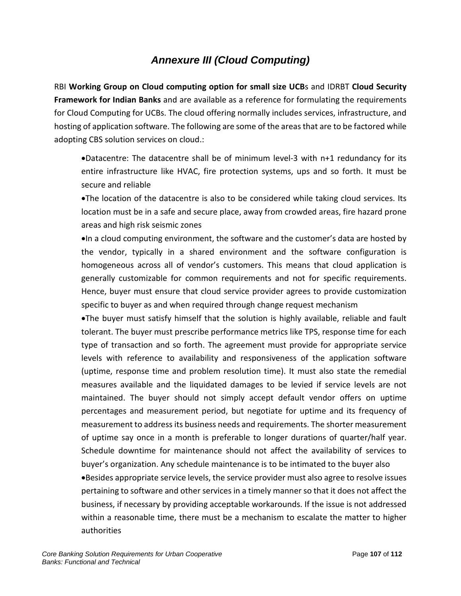# *Annexure III (Cloud Computing)*

RBI **Working Group on Cloud computing option for small size UCB**s and IDRBT **Cloud Security Framework for Indian Banks** and are available as a reference for formulating the requirements for Cloud Computing for UCBs. The cloud offering normally includes services, infrastructure, and hosting of application software. The following are some of the areas that are to be factored while adopting CBS solution services on cloud.:

•Datacentre: The datacentre shall be of minimum level-3 with n+1 redundancy for its entire infrastructure like HVAC, fire protection systems, ups and so forth. It must be secure and reliable

•The location of the datacentre is also to be considered while taking cloud services. Its location must be in a safe and secure place, away from crowded areas, fire hazard prone areas and high risk seismic zones

•In a cloud computing environment, the software and the customer's data are hosted by the vendor, typically in a shared environment and the software configuration is homogeneous across all of vendor's customers. This means that cloud application is generally customizable for common requirements and not for specific requirements. Hence, buyer must ensure that cloud service provider agrees to provide customization specific to buyer as and when required through change request mechanism

•The buyer must satisfy himself that the solution is highly available, reliable and fault tolerant. The buyer must prescribe performance metrics like TPS, response time for each type of transaction and so forth. The agreement must provide for appropriate service levels with reference to availability and responsiveness of the application software (uptime, response time and problem resolution time). It must also state the remedial measures available and the liquidated damages to be levied if service levels are not maintained. The buyer should not simply accept default vendor offers on uptime percentages and measurement period, but negotiate for uptime and its frequency of measurement to address its business needs and requirements. The shorter measurement of uptime say once in a month is preferable to longer durations of quarter/half year. Schedule downtime for maintenance should not affect the availability of services to buyer's organization. Any schedule maintenance is to be intimated to the buyer also

•Besides appropriate service levels, the service provider must also agree to resolve issues pertaining to software and other services in a timely manner so that it does not affect the business, if necessary by providing acceptable workarounds. If the issue is not addressed within a reasonable time, there must be a mechanism to escalate the matter to higher authorities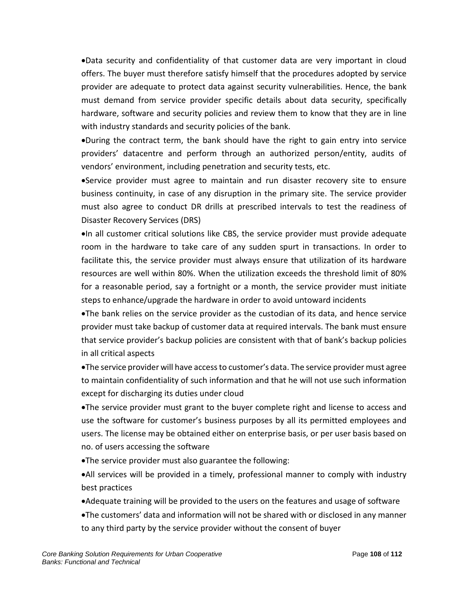•Data security and confidentiality of that customer data are very important in cloud offers. The buyer must therefore satisfy himself that the procedures adopted by service provider are adequate to protect data against security vulnerabilities. Hence, the bank must demand from service provider specific details about data security, specifically hardware, software and security policies and review them to know that they are in line with industry standards and security policies of the bank.

•During the contract term, the bank should have the right to gain entry into service providers' datacentre and perform through an authorized person/entity, audits of vendors' environment, including penetration and security tests, etc.

•Service provider must agree to maintain and run disaster recovery site to ensure business continuity, in case of any disruption in the primary site. The service provider must also agree to conduct DR drills at prescribed intervals to test the readiness of Disaster Recovery Services (DRS)

•In all customer critical solutions like CBS, the service provider must provide adequate room in the hardware to take care of any sudden spurt in transactions. In order to facilitate this, the service provider must always ensure that utilization of its hardware resources are well within 80%. When the utilization exceeds the threshold limit of 80% for a reasonable period, say a fortnight or a month, the service provider must initiate steps to enhance/upgrade the hardware in order to avoid untoward incidents

•The bank relies on the service provider as the custodian of its data, and hence service provider must take backup of customer data at required intervals. The bank must ensure that service provider's backup policies are consistent with that of bank's backup policies in all critical aspects

•The service provider will have access to customer's data. The service provider must agree to maintain confidentiality of such information and that he will not use such information except for discharging its duties under cloud

•The service provider must grant to the buyer complete right and license to access and use the software for customer's business purposes by all its permitted employees and users. The license may be obtained either on enterprise basis, or per user basis based on no. of users accessing the software

•The service provider must also guarantee the following:

•All services will be provided in a timely, professional manner to comply with industry best practices

- •Adequate training will be provided to the users on the features and usage of software
- •The customers' data and information will not be shared with or disclosed in any manner to any third party by the service provider without the consent of buyer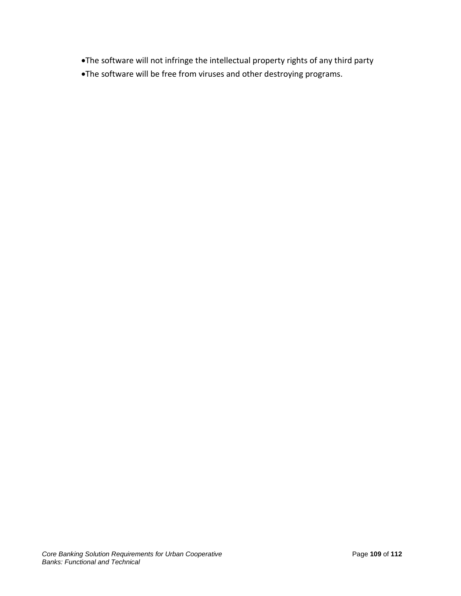- •The software will not infringe the intellectual property rights of any third party
- •The software will be free from viruses and other destroying programs.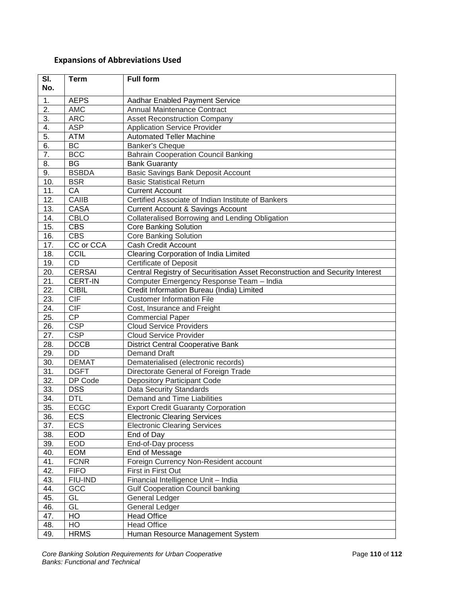## **Expansions of Abbreviations Used**

| SI.<br>No.        | <b>Term</b>     | <b>Full form</b>                                                              |
|-------------------|-----------------|-------------------------------------------------------------------------------|
| 1.                | <b>AEPS</b>     | Aadhar Enabled Payment Service                                                |
| $\overline{2}$ .  | <b>AMC</b>      | Annual Maintenance Contract                                                   |
| $\overline{3}$ .  | <b>ARC</b>      | <b>Asset Reconstruction Company</b>                                           |
| $\overline{4}$ .  | <b>ASP</b>      | <b>Application Service Provider</b>                                           |
| $\overline{5}$ .  | <b>ATM</b>      | <b>Automated Teller Machine</b>                                               |
| 6.                | BC              | Banker's Cheque                                                               |
| $\overline{7}$ .  | <b>BCC</b>      | <b>Bahrain Cooperation Council Banking</b>                                    |
| 8.                | $\overline{BG}$ | <b>Bank Guaranty</b>                                                          |
| 9.                | <b>BSBDA</b>    | <b>Basic Savings Bank Deposit Account</b>                                     |
| 10.               | <b>BSR</b>      | <b>Basic Statistical Return</b>                                               |
| 11.               | $\overline{CA}$ | Current Account                                                               |
| 12.               | <b>CAIIB</b>    | Certified Associate of Indian Institute of Bankers                            |
| 13.               | <b>CASA</b>     | <b>Current Account &amp; Savings Account</b>                                  |
| 14.               | <b>CBLO</b>     | Collateralised Borrowing and Lending Obligation                               |
| 15.               | <b>CBS</b>      | <b>Core Banking Solution</b>                                                  |
| 16.               | <b>CBS</b>      | Core Banking Solution                                                         |
| 17.               | CC or CCA       | <b>Cash Credit Account</b>                                                    |
| 18.               | CCIL            | Clearing Corporation of India Limited                                         |
| 19.               | CD              | <b>Certificate of Deposit</b>                                                 |
| 20.               | <b>CERSAI</b>   | Central Registry of Securitisation Asset Reconstruction and Security Interest |
| 21.               | <b>CERT-IN</b>  | Computer Emergency Response Team - India                                      |
| $\overline{22}$ . | <b>CIBIL</b>    | Credit Information Bureau (India) Limited                                     |
| 23.               | CIF             | <b>Customer Information File</b>                                              |
| 24.               | CIF             | Cost, Insurance and Freight                                                   |
| 25.               | CP              | <b>Commercial Paper</b>                                                       |
| 26.               | <b>CSP</b>      | <b>Cloud Service Providers</b>                                                |
| 27.               | <b>CSP</b>      | <b>Cloud Service Provider</b>                                                 |
| 28.               | <b>DCCB</b>     | <b>District Central Cooperative Bank</b>                                      |
| 29.               | $\overline{DD}$ | <b>Demand Draft</b>                                                           |
| $\overline{30}$ . | <b>DEMAT</b>    | Dematerialised (electronic records)                                           |
| 31.               | <b>DGFT</b>     | Directorate General of Foreign Trade                                          |
| $\overline{32}$ . | DP Code         | <b>Depository Participant Code</b>                                            |
| 33.               | <b>DSS</b>      | <b>Data Security Standards</b>                                                |
| 34.               | <b>DTL</b>      | Demand and Time Liabilities                                                   |
| $\overline{35}$ . | <b>ECGC</b>     | <b>Export Credit Guaranty Corporation</b>                                     |
| 36.               | <b>ECS</b>      | <b>Electronic Clearing Services</b>                                           |
| 37.               | ECS             | <b>Electronic Clearing Services</b>                                           |
| 38.               | <b>EOD</b>      | End of Day                                                                    |
| 39.               | <b>EOD</b>      | End-of-Day process                                                            |
| 40.               | EOM             | End of Message                                                                |
| 41.               | <b>FCNR</b>     | Foreign Currency Non-Resident account                                         |
| 42.               | <b>FIFO</b>     | First in First Out                                                            |
| 43.               | FIU-IND         | Financial Intelligence Unit - India                                           |
| 44.               | GCC             | <b>Gulf Cooperation Council banking</b>                                       |
| 45.               | GL              | General Ledger                                                                |
| 46.               | GL              | <b>General Ledger</b>                                                         |
| 47.               | HO              | <b>Head Office</b>                                                            |
| 48.               | HO              | <b>Head Office</b>                                                            |
| 49.               | <b>HRMS</b>     | Human Resource Management System                                              |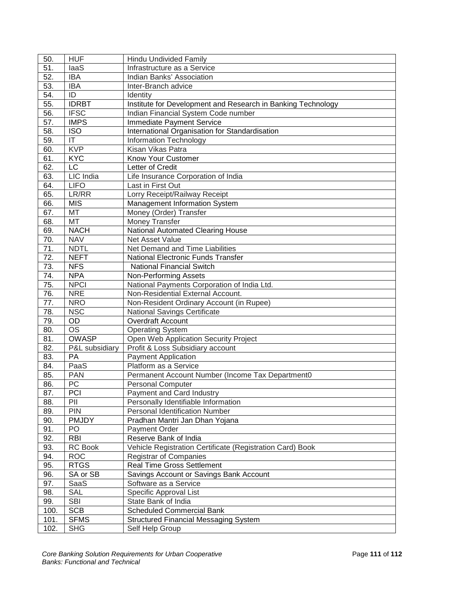| 50.  | <b>HUF</b>     | <b>Hindu Undivided Family</b>                                |
|------|----------------|--------------------------------------------------------------|
| 51.  | laaS           | Infrastructure as a Service                                  |
| 52.  | <b>IBA</b>     | Indian Banks' Association                                    |
| 53.  | <b>IBA</b>     | Inter-Branch advice                                          |
| 54.  | ID             | Identity                                                     |
| 55.  | <b>IDRBT</b>   | Institute for Development and Research in Banking Technology |
| 56.  | <b>IFSC</b>    | Indian Financial System Code number                          |
| 57.  | <b>IMPS</b>    | Immediate Payment Service                                    |
| 58.  | <b>ISO</b>     | International Organisation for Standardisation               |
| 59.  | IT             | Information Technology                                       |
| 60.  | <b>KVP</b>     | Kisan Vikas Patra                                            |
| 61.  | <b>KYC</b>     | Know Your Customer                                           |
| 62.  | LC             | Letter of Credit                                             |
| 63.  | LIC India      | Life Insurance Corporation of India                          |
| 64.  | <b>LIFO</b>    | Last in First Out                                            |
| 65.  | LR/RR          |                                                              |
|      |                | Lorry Receipt/Railway Receipt                                |
| 66.  | <b>MIS</b>     | Management Information System                                |
| 67.  | MT             | Money (Order) Transfer                                       |
| 68.  | <b>MT</b>      | Money Transfer                                               |
| 69.  | <b>NACH</b>    | <b>National Automated Clearing House</b>                     |
| 70.  | <b>NAV</b>     | <b>Net Asset Value</b>                                       |
| 71.  | <b>NDTL</b>    | Net Demand and Time Liabilities                              |
| 72.  | <b>NEFT</b>    | <b>National Electronic Funds Transfer</b>                    |
| 73.  | <b>NFS</b>     | <b>National Financial Switch</b>                             |
| 74.  | <b>NPA</b>     | <b>Non-Performing Assets</b>                                 |
| 75.  | <b>NPCI</b>    | National Payments Corporation of India Ltd.                  |
| 76.  | <b>NRE</b>     | Non-Residential External Account.                            |
| 77.  | <b>NRO</b>     | Non-Resident Ordinary Account (in Rupee)                     |
| 78.  | <b>NSC</b>     | <b>National Savings Certificate</b>                          |
| 79.  | OD             | Overdraft Account                                            |
| 80.  | <b>OS</b>      | <b>Operating System</b>                                      |
| 81.  | <b>OWASP</b>   | Open Web Application Security Project                        |
| 82.  | P&L subsidiary | Profit & Loss Subsidiary account                             |
| 83.  | PA             | <b>Payment Application</b>                                   |
| 84.  | PaaS           | Platform as a Service                                        |
| 85.  | <b>PAN</b>     | Permanent Account Number (Income Tax Department0             |
| 86.  | PC             | <b>Personal Computer</b>                                     |
| 87.  | PCI            | Payment and Card Industry                                    |
| 88.  | PII            | Personally Identifiable Information                          |
| 89.  | PIN            | Personal Identification Number                               |
| 90.  | <b>PMJDY</b>   | Pradhan Mantri Jan Dhan Yojana                               |
| 91.  | PO             | Payment Order                                                |
| 92.  | <b>RBI</b>     | Reserve Bank of India                                        |
| 93.  | <b>RC</b> Book | Vehicle Registration Certificate (Registration Card) Book    |
| 94.  | <b>ROC</b>     | <b>Registrar of Companies</b>                                |
| 95.  | <b>RTGS</b>    | <b>Real Time Gross Settlement</b>                            |
| 96.  | SA or SB       | Savings Account or Savings Bank Account                      |
| 97.  | SaaS           | Software as a Service                                        |
| 98.  | <b>SAL</b>     | Specific Approval List                                       |
| 99.  | <b>SBI</b>     | State Bank of India                                          |
| 100. | <b>SCB</b>     | <b>Scheduled Commercial Bank</b>                             |
| 101. | <b>SFMS</b>    | <b>Structured Financial Messaging System</b>                 |
| 102. | <b>SHG</b>     | Self Help Group                                              |
|      |                |                                                              |